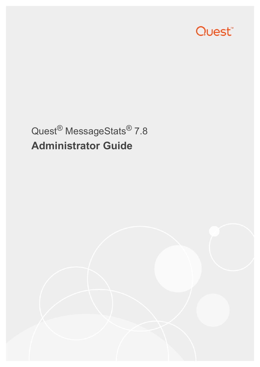

# Quest® MessageStats® 7.8 **Administrator Guide**

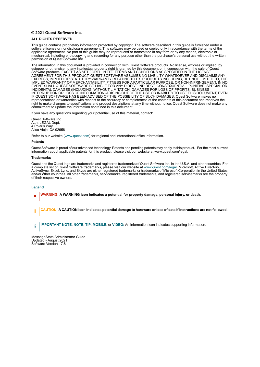#### **© 2021 Quest Software Inc.**

#### **ALL RIGHTS RESERVED.**

This guide contains proprietary information protected by copyright. The software described in this guide is furnished under a software license or nondisclosure agreement. This software may be used or copied only in accordance with the terms of the applicable agreement. No part of this guide may be reproduced or transmitted in any form or by any means, electronic or mechanical, including photocopying and recording for any purpose other than the purchaser's personal use without the written permission of Quest Software Inc.

The information in this document is provided in connection with Quest Software products. No license, express or implied, by estoppel or otherwise, to any intellectual property right is granted by this document or in connection with the sale of Quest<br>Software products. EXCEPT AS SET FORTH IN THE TERMS AND CONDITIONS AS SPECIFIED IN THE LICENSE<br>A EXPRESS, IMPLIED OR STATUTORY WARRANTY RELATING TO ITS PRODUCTS INCLUDING, BUT NOT LIMITED TO, THE IMPLIED WARRANTY OF MERCHANTABILITY, FITNESS FOR A PARTICULAR PURPOSE, OR NON-INFRINGEMENT. IN NO EVENT SHALL QUEST SOFTWARE BE LIABLE FOR ANY DIRECT, INDIRECT, CONSEQUENTIAL, PUNITIVE, SPECIAL OR INCIDENTAL DAMAGES (INCLUDING, WITHOUT LIMITATION, DAMAGES FOR LOSS OF PROFITS, BUSINESS<br>INTERRUPTION OR LOSS OF INFORMATION) ARISING OUT OF THE USE OR INABILITY TO USE THIS DOCUMENT, EVEN IF QUEST SOFTWARE HAS BEEN ADVISED OF THE POSSIBILITY OF SUCH DAMAGES. Quest Software makes no representations or warranties with respect to the accuracy or completeness of the contents of this document and reserves the right to make changes to specifications and product descriptions at any time without notice. Quest Software does not make any commitment to update the information contained in this document.

If you have any questions regarding your potential use of this material, contact:

Quest Software Inc. Attn: LEGAL Dept. 4 Polaris Way Aliso Viejo, CA 92656

Refer to our website [\(www.quest.com](http://www.quest.com)) for regional and international office information.

#### **Patents**

Quest Software is proud of our advanced technology. Patents and pending patents may apply to this product. For the most current information about applicable patents for this product, please visit our website at www.quest.com/legal.

#### **Trademarks**

Quest and the Quest logo are trademarks and registered trademarks of Quest Software Inc. in the U.S.A. and other countries. For a complete list of Quest Software trademarks, please visit our website at [www.quest.com/legal.](http://www.quest.com/legal) Microsoft, Active Directory, ActiveSync, Excel, Lync, and Skype are either registered trademarks or trademarks of Microsoft Corporation in the United States and/or other countries. All other trademarks, servicemarks, registered trademarks, and registered servicemarks are the property of their respective owners.

#### **Legend**

- **WARNING: A WARNING icon indicates a potential for property damage, personal injury, or death.**
- **CAUTION: A CAUTION icon indicates potential damage to hardware or loss of data if instructions are not followed.** Ţ

**IMPORTANT NOTE**, **NOTE**, **TIP**, **MOBILE**, or **VIDEO:** An information icon indicates supporting information.i

MessageStats Administrator Guide Updated - August 2021 Software Version - 7.8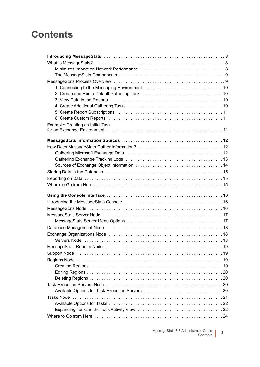## **Contents**

| 3. View Data in the Reports (and according to the Reports of Aller and Aller and Aller and Aller and Aller and                                                                                                                 |
|--------------------------------------------------------------------------------------------------------------------------------------------------------------------------------------------------------------------------------|
|                                                                                                                                                                                                                                |
|                                                                                                                                                                                                                                |
|                                                                                                                                                                                                                                |
| Example: Creating an Initial Task                                                                                                                                                                                              |
|                                                                                                                                                                                                                                |
|                                                                                                                                                                                                                                |
|                                                                                                                                                                                                                                |
|                                                                                                                                                                                                                                |
|                                                                                                                                                                                                                                |
|                                                                                                                                                                                                                                |
|                                                                                                                                                                                                                                |
| Storing Data in the Database (and accommunication of the Database of Alexander Alexander Alexander Alexander A                                                                                                                 |
|                                                                                                                                                                                                                                |
|                                                                                                                                                                                                                                |
|                                                                                                                                                                                                                                |
|                                                                                                                                                                                                                                |
|                                                                                                                                                                                                                                |
|                                                                                                                                                                                                                                |
|                                                                                                                                                                                                                                |
|                                                                                                                                                                                                                                |
| MessageStats Server Menu Options (and the content of the state of the MessageStats Server Menu Options (and the content of the MessageState of the MessageState of the MessageState of the MessageState of the MessageState of |
|                                                                                                                                                                                                                                |
|                                                                                                                                                                                                                                |
|                                                                                                                                                                                                                                |
|                                                                                                                                                                                                                                |
|                                                                                                                                                                                                                                |
|                                                                                                                                                                                                                                |
|                                                                                                                                                                                                                                |
|                                                                                                                                                                                                                                |
|                                                                                                                                                                                                                                |
|                                                                                                                                                                                                                                |
|                                                                                                                                                                                                                                |
|                                                                                                                                                                                                                                |
|                                                                                                                                                                                                                                |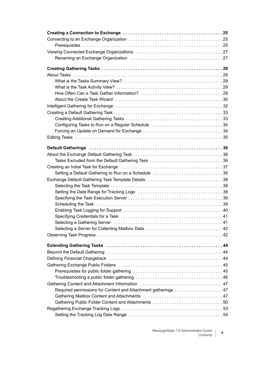| Renaming an Exchange Organization (and the content of the content of 27                                        |  |
|----------------------------------------------------------------------------------------------------------------|--|
|                                                                                                                |  |
|                                                                                                                |  |
|                                                                                                                |  |
|                                                                                                                |  |
|                                                                                                                |  |
| About the Create Task Wizard (and the content of the content of the creater of the creater of the creater of t |  |
|                                                                                                                |  |
|                                                                                                                |  |
|                                                                                                                |  |
| Configuring Tasks to Run on a Regular Schedule 34                                                              |  |
|                                                                                                                |  |
|                                                                                                                |  |
|                                                                                                                |  |
|                                                                                                                |  |
|                                                                                                                |  |
| Tasks Excluded from the Default Gathering Task 36                                                              |  |
|                                                                                                                |  |
| Setting a Default Gathering to Run on a Schedule 38                                                            |  |
| Exchange Default Gathering Task Template Details 38                                                            |  |
|                                                                                                                |  |
|                                                                                                                |  |
|                                                                                                                |  |
|                                                                                                                |  |
|                                                                                                                |  |
|                                                                                                                |  |
|                                                                                                                |  |
|                                                                                                                |  |
|                                                                                                                |  |
|                                                                                                                |  |
|                                                                                                                |  |
|                                                                                                                |  |
|                                                                                                                |  |
|                                                                                                                |  |
|                                                                                                                |  |
|                                                                                                                |  |
|                                                                                                                |  |
|                                                                                                                |  |
| Gathering Public Folder Content and Attachments 50                                                             |  |
|                                                                                                                |  |
|                                                                                                                |  |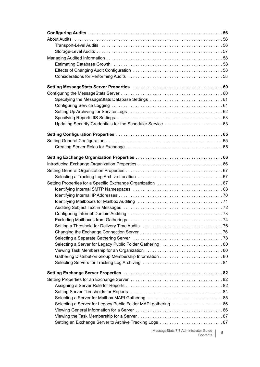| Selecting a Separate Gathering Server (and the content of the content of 78 |  |
|-----------------------------------------------------------------------------|--|
| Selecting a Server for Legacy Public Folder Gathering 80                    |  |
|                                                                             |  |
|                                                                             |  |
|                                                                             |  |
|                                                                             |  |
|                                                                             |  |
|                                                                             |  |
|                                                                             |  |
|                                                                             |  |
|                                                                             |  |
|                                                                             |  |
|                                                                             |  |
|                                                                             |  |
|                                                                             |  |
|                                                                             |  |

MessageStats 7.8 Administrator Guide Contents **<sup>5</sup>**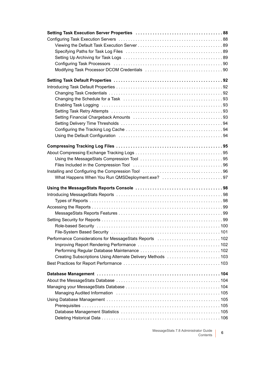| Specifying Paths for Task Log Files (and the content of the content of the Specifying Paths for Task Log Files (and the content of the content of the Specifical S |  |
|--------------------------------------------------------------------------------------------------------------------------------------------------------------------|--|
|                                                                                                                                                                    |  |
|                                                                                                                                                                    |  |
|                                                                                                                                                                    |  |
|                                                                                                                                                                    |  |
|                                                                                                                                                                    |  |
|                                                                                                                                                                    |  |
|                                                                                                                                                                    |  |
|                                                                                                                                                                    |  |
|                                                                                                                                                                    |  |
|                                                                                                                                                                    |  |
|                                                                                                                                                                    |  |
|                                                                                                                                                                    |  |
|                                                                                                                                                                    |  |
|                                                                                                                                                                    |  |
|                                                                                                                                                                    |  |
|                                                                                                                                                                    |  |
|                                                                                                                                                                    |  |
|                                                                                                                                                                    |  |
|                                                                                                                                                                    |  |
|                                                                                                                                                                    |  |
|                                                                                                                                                                    |  |
|                                                                                                                                                                    |  |
|                                                                                                                                                                    |  |
|                                                                                                                                                                    |  |
|                                                                                                                                                                    |  |
|                                                                                                                                                                    |  |
|                                                                                                                                                                    |  |
|                                                                                                                                                                    |  |
|                                                                                                                                                                    |  |
|                                                                                                                                                                    |  |
|                                                                                                                                                                    |  |
| Performance Considerations for MessageStats Reports (and accommodation of 102                                                                                      |  |
|                                                                                                                                                                    |  |
|                                                                                                                                                                    |  |
| Creating Subscriptions Using Alternate Delivery Methods 103                                                                                                        |  |
|                                                                                                                                                                    |  |
|                                                                                                                                                                    |  |
|                                                                                                                                                                    |  |
|                                                                                                                                                                    |  |
|                                                                                                                                                                    |  |
|                                                                                                                                                                    |  |
|                                                                                                                                                                    |  |
|                                                                                                                                                                    |  |
|                                                                                                                                                                    |  |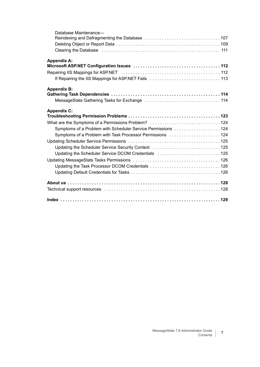| Database Maintenance-                                                                                                                                                                                                          |
|--------------------------------------------------------------------------------------------------------------------------------------------------------------------------------------------------------------------------------|
| Reindexing and Defragmenting the Database contracts of contact contracts and 707                                                                                                                                               |
|                                                                                                                                                                                                                                |
| Clearing the Database (and according to the control of the Clearing the Database of the control of the Clearing the Database of the Clearing the Database of the Clearing term of the Clearing term of the Clearing term of th |
| <b>Appendix A:</b>                                                                                                                                                                                                             |
|                                                                                                                                                                                                                                |
|                                                                                                                                                                                                                                |
|                                                                                                                                                                                                                                |
| <b>Appendix B:</b>                                                                                                                                                                                                             |
|                                                                                                                                                                                                                                |
| MessageStats Gathering Tasks for Exchange (and contain and contained a 114                                                                                                                                                     |
| <b>Appendix C:</b>                                                                                                                                                                                                             |
|                                                                                                                                                                                                                                |
| What are the Symptoms of a Permissions Problem?  124                                                                                                                                                                           |
| Symptoms of a Problem with Scheduler Service Permissions  124                                                                                                                                                                  |
| Symptoms of a Problem with Task Processor Permissions 124                                                                                                                                                                      |
|                                                                                                                                                                                                                                |
| Updating the Scheduler Service Security Context  125                                                                                                                                                                           |
| Updating the Scheduler Service DCOM Credentials  125                                                                                                                                                                           |
|                                                                                                                                                                                                                                |
| Updating the Task Processor DCOM Credentials 126                                                                                                                                                                               |
|                                                                                                                                                                                                                                |
|                                                                                                                                                                                                                                |
|                                                                                                                                                                                                                                |
|                                                                                                                                                                                                                                |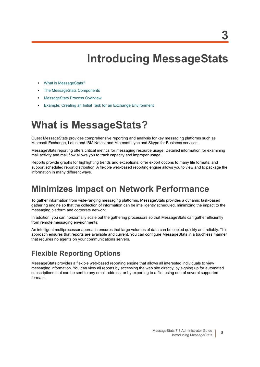# **Introducing MessageStats**

- <span id="page-7-0"></span>**•** [What is MessageStats?](#page-7-1)
- **•** [The MessageStats Components](#page-8-0)
- **•** [MessageStats Process Overview](#page-8-1)
- **•** [Example: Creating an Initial Task for an Exchange Environment](#page-10-2)

## <span id="page-7-1"></span>**What is MessageStats?**

Quest MessageStats provides comprehensive reporting and analysis for key messaging platforms such as Microsoft Exchange, Lotus and IBM Notes, and Microsoft Lync and Skype for Business services.

MessageStats reporting offers critical metrics for messaging resource usage. Detailed information for examining mail activity and mail flow allows you to track capacity and improper usage.

Reports provide graphs for highlighting trends and exceptions, offer export options to many file formats, and support scheduled report distribution. A flexible web-based reporting engine allows you to view and to package the information in many different ways.

### <span id="page-7-2"></span>**Minimizes Impact on Network Performance**

To gather information from wide-ranging messaging platforms, MessageStats provides a dynamic task-based gathering engine so that the collection of information can be intelligently scheduled, minimizing the impact to the messaging platform and corporate network.

In addition, you can horizontally scale out the gathering processors so that MessageStats can gather efficiently from remote messaging environments.

An intelligent multiprocessor approach ensures that large volumes of data can be copied quickly and reliably. This approach ensures that reports are available and current. You can configure MessageStats in a touchless manner that requires no agents on your communications servers.

#### **Flexible Reporting Options**

MessageStats provides a flexible web-based reporting engine that allows all interested individuals to view messaging information. You can view all reports by accessing the web site directly, by signing up for automated subscriptions that can be sent to any email address, or by exporting to a file, using one of several supported formats.

**8**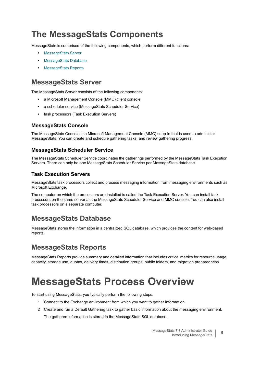## <span id="page-8-0"></span>**The MessageStats Components**

MessageStats is comprised of the following components, which perform different functions:

- **•** [MessageStats Server](#page-8-2)
- **•** [MessageStats Database](#page-8-3)
- **•** [MessageStats Reports](#page-8-4)

### <span id="page-8-2"></span>**MessageStats Server**

The MessageStats Server consists of the following components:

- **•** a Microsoft Management Console (MMC) client console
- **•** a scheduler service (MessageStats Scheduler Service)
- **•** task processors (Task Execution Servers)

#### **MessageStats Console**

The MessageStats Console is a Microsoft Management Console (MMC) snap-in that is used to administer MessageStats. You can create and schedule gathering tasks, and review gathering progress.

#### **MessageStats Scheduler Service**

The MessageStats Scheduler Service coordinates the gatherings performed by the MessageStats Task Execution Servers. There can only be one MessageStats Scheduler Service per MessageStats database.

#### **Task Execution Servers**

MessageStats task processors collect and process messaging information from messaging environments such as Microsoft Exchange.

The computer on which the processors are installed is called the Task Execution Server. You can install task processors on the same server as the MessageStats Scheduler Service and MMC console. You can also install task processors on a separate computer.

#### <span id="page-8-3"></span>**MessageStats Database**

MessageStats stores the information in a centralized SQL database, which provides the content for web-based reports.

#### <span id="page-8-4"></span>**MessageStats Reports**

MessageStats Reports provide summary and detailed information that includes critical metrics for resource usage, capacity, storage use, quotas, delivery times, distribution groups, public folders, and migration preparedness.

# <span id="page-8-5"></span><span id="page-8-1"></span>**MessageStats Process Overview**

To start using MessageStats, you typically perform the following steps:

- 1 Connect to the Exchange environment from which you want to gather information.
- 2 Create and run a Default Gathering task to gather basic information about the messaging environment.

The gathered information is stored in the MessageStats SQL database.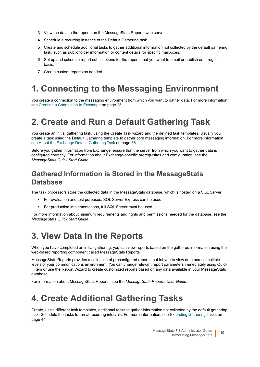- 3 View the data in the reports on the MessageStats Reports web server.
- 4 Schedule a recurring instance of the Default Gathering task.
- 5 Create and schedule additional tasks to gather additional information not collected by the default gathering task, such as public folder information or content details for specific mailboxes.
- 6 Set up and schedule report subscriptions for the reports that you want to email or publish on a regular basis.
- 7 Create custom reports as needed.

## <span id="page-9-0"></span>**1. Connecting to the Messaging Environment**

You create a connection to the messaging environment from which you want to gather data. For more information see [Creating a Connection to Exchange on page 25](#page-24-3).

## <span id="page-9-1"></span>**2. Create and Run a Default Gathering Task**

You create an initial gathering task, using the Create Task wizard and the defined task templates. Usually you create a task using the Default Gathering template to gather core messaging information. For more information, see [About the Exchange Default Gathering Task on page 36](#page-35-3).

Before you gather information from Exchange, ensure that the server from which you want to gather data is configured correctly. For information about Exchange-specific prerequisites and configuration, see the *MessageStats Quick Start Guide*.

#### **Gathered Information is Stored in the MessageStats Database**

The task processors store the collected data in the MessageStats database, which is hosted on a SQL Server:

- **•** For evaluation and test purposes, SQL Server Express can be used.
- **•** For production implementations, full SQL Server must be used.

For more information about minimum requirements and rights and permissions needed for the database, see the *MessageStats Quick Start Guide.*

## <span id="page-9-2"></span>**3. View Data in the Reports**

When you have completed an initial gathering, you can view reports based on the gathered information using the web-based reporting component called MessageStats Reports.

MessageStats Reports provides a collection of preconfigured reports that let you to view data across multiple levels of your communications environment. You can change relevant report parameters immediately using Quick Filters or use the Report Wizard to create customized reports based on any data available in your MessageStats database.

For information about MessageStats Reports, see the *MessageStats Reports User Guide*.

## <span id="page-9-3"></span>**4. Create Additional Gathering Tasks**

Create, using different task templates, additional tasks to gather information not collected by the default gathering task. Schedule the tasks to run at recurring intervals. For more information, see [Extending Gathering Tasks on](#page-43-3)  [page 44](#page-43-3).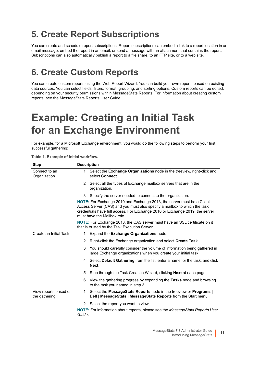## <span id="page-10-0"></span>**5. Create Report Subscriptions**

You can create and schedule report subscriptions. Report subscriptions can embed a link to a report location in an email message, embed the report in an email, or send a message with an attachment that contains the report. Subscriptions can also automatically publish a report to a file share, to an FTP site, or to a web site.

## <span id="page-10-1"></span>**6. Create Custom Reports**

You can create custom reports using the Web Report Wizard. You can build your own reports based on existing data sources. You can select fields, filters, format, grouping, and sorting options. Custom reports can be edited, depending on your security permissions within MessageStats Reports. For information about creating custom reports, see the MessageStats Reports User Guide.

# <span id="page-10-2"></span>**Example: Creating an Initial Task for an Exchange Environment**

For example, for a Microsoft Exchange environment, you would do the following steps to perform your first successful gathering:

#### **Table 1. Example of initial workflow.**

| <b>Step</b>                            | <b>Description</b> |                                                                                                                                                                                                                                                                    |  |  |  |  |
|----------------------------------------|--------------------|--------------------------------------------------------------------------------------------------------------------------------------------------------------------------------------------------------------------------------------------------------------------|--|--|--|--|
| Connect to an<br>Organization          | 1.                 | Select the Exchange Organizations node in the treeview, right-click and<br>select Connect.                                                                                                                                                                         |  |  |  |  |
|                                        |                    | 2 Select all the types of Exchange mailbox servers that are in the<br>organization.                                                                                                                                                                                |  |  |  |  |
|                                        |                    | 3 Specify the server needed to connect to the organization.                                                                                                                                                                                                        |  |  |  |  |
|                                        |                    | NOTE: For Exchange 2010 and Exchange 2013, the server must be a Client<br>Access Server (CAS) and you must also specify a mailbox to which the task<br>credentials have full access. For Exchange 2016 or Exchange 2019, the server<br>must have the Mailbox role. |  |  |  |  |
|                                        |                    | NOTE: For Exchange 2013, the CAS server must have an SSL certificate on it<br>that is trusted by the Task Execution Server.                                                                                                                                        |  |  |  |  |
| Create an Initial Task                 | 1.                 | Expand the Exchange Organizations node.                                                                                                                                                                                                                            |  |  |  |  |
|                                        | $\mathbf{2}$       | Right-click the Exchange organization and select Create Task.                                                                                                                                                                                                      |  |  |  |  |
|                                        | 3                  | You should carefully consider the volume of information being gathered in<br>large Exchange organizations when you create your initial task.                                                                                                                       |  |  |  |  |
|                                        |                    | 4 Select Default Gathering from the list, enter a name for the task, and click<br>Next.                                                                                                                                                                            |  |  |  |  |
|                                        | 5                  | Step through the Task Creation Wizard, clicking <b>Next</b> at each page.                                                                                                                                                                                          |  |  |  |  |
|                                        |                    | 6 View the gathering progress by expanding the Tasks node and browsing<br>to the task you named in step 3.                                                                                                                                                         |  |  |  |  |
| View reports based on<br>the gathering | 1.                 | Select the MessageStats Reports node in the treeview or Programs  <br>Dell   MessageStats   MessageStats Reports from the Start menu.                                                                                                                              |  |  |  |  |
|                                        |                    | 2 Select the report you want to view.                                                                                                                                                                                                                              |  |  |  |  |
|                                        | Guide.             | NOTE: For information about reports, please see the MessageStats Reports User                                                                                                                                                                                      |  |  |  |  |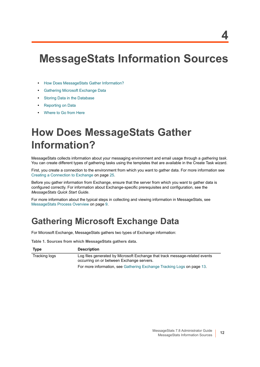# <span id="page-11-0"></span>**MessageStats Information Sources**

- **•** [How Does MessageStats Gather Information?](#page-11-1)
- **•** [Gathering Microsoft Exchange Data](#page-11-2)
- **•** [Storing Data in the Database](#page-14-0)
- **•** [Reporting on Data](#page-14-1)
- **•** [Where to Go from Here](#page-14-2)

# <span id="page-11-1"></span>**How Does MessageStats Gather Information?**

MessageStats collects information about your messaging environment and email usage through a *gathering task*. You can create different types of gathering tasks using the templates that are available in the Create Task wizard.

First, you create a connection to the environment from which you want to gather data. For more information see [Creating a Connection to Exchange on page 25](#page-24-3).

Before you gather information from Exchange, ensure that the server from which you want to gather data is configured correctly. For information about Exchange-specific prerequisites and configuration, see the *MessageStats Quick Start Guide*.

For more information about the typical steps in collecting and viewing information in MessageStats, see [MessageStats Process Overview on page 9](#page-8-5).

## <span id="page-11-2"></span>**Gathering Microsoft Exchange Data**

For Microsoft Exchange, MessageStats gathers two types of Exchange information:

**Table 1. Sources from which MessageStats gathers data.**

| Type          | <b>Description</b>                                                                                                       |
|---------------|--------------------------------------------------------------------------------------------------------------------------|
| Tracking logs | Log files generated by Microsoft Exchange that track message-related events<br>occurring on or between Exchange servers. |
|               | For more information, see Gathering Exchange Tracking Logs on page 13.                                                   |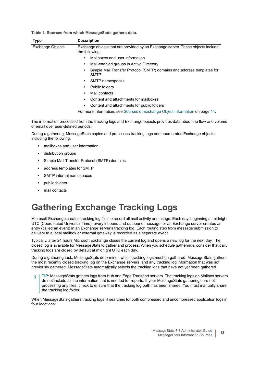**Table 1. Sources from which MessageStats gathers data.**

| <b>Type</b>             | <b>Description</b>                                                                                |  |  |
|-------------------------|---------------------------------------------------------------------------------------------------|--|--|
| <b>Exchange Objects</b> | Exchange objects that are provided by an Exchange server. These objects include<br>the following: |  |  |
|                         | Mailboxes and user information                                                                    |  |  |
|                         | Mail-enabled groups in Active Directory                                                           |  |  |
|                         | Simple Mail Transfer Protocol (SMTP) domains and address templates for<br><b>SMTP</b>             |  |  |
|                         | SMTP namespaces<br>$\bullet$                                                                      |  |  |
|                         | Public folders                                                                                    |  |  |
|                         | Mail contacts                                                                                     |  |  |
|                         | Content and attachments for mailboxes                                                             |  |  |
|                         | Content and attachments for public folders                                                        |  |  |
|                         | For more information, see Sources of Exchange Object Information on page 14.                      |  |  |

The information processed from the tracking logs and Exchange objects provides data about the flow and volume of email over user-defined periods.

During a gathering, MessageStats copies and processes tracking logs and enumerates Exchange objects, including the following:

- **•** mailboxes and user information
- **•** distribution groups
- **•** Simple Mail Transfer Protocol (SMTP) domains
- **•** address templates for SMTP
- **•** SMTP internal namespaces
- **•** public folders
- **•** mail contacts

## <span id="page-12-0"></span>**Gathering Exchange Tracking Logs**

Microsoft Exchange creates tracking log files to record all mail activity and usage. Each day, beginning at midnight UTC (Coordinated Universal Time), every inbound and outbound message for an Exchange server creates an entry (called an event) in an Exchange server's tracking log. Each routing step from message submission to delivery to a local mailbox or external gateway is recorded as a separate event.

Typically, after 24 hours Microsoft Exchange closes the current log and opens a new log for the next day. The closed log is available for MessageStats to gather and process. When you schedule gatherings, consider that daily tracking logs are closed by default at midnight UTC each day.

During a gathering task, MessageStats determines which tracking logs must be gathered. MessageStats gathers the most recently closed tracking log on the Exchange servers, and any tracking log information that was not previously gathered. MessageStats automatically selects the tracking logs that have not yet been gathered.

**TIP:** MessageStats gathers logs from Hub and Edge Transport servers. The tracking logs on Mailbox servers ÷ do not include all the information that is needed for reports. If your MessageStats gatherings are not processing any files, check to ensure that the tracking log path has been shared. You must manually share the tracking log folder.

When MessageStats gathers tracking logs, it searches for both compressed and uncompressed application logs in four locations: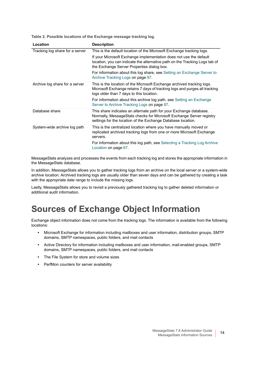**Table 2. Possible locations of the Exchange message tracking log.**

| Location                        | <b>Description</b>                                                                                                                                                                                         |
|---------------------------------|------------------------------------------------------------------------------------------------------------------------------------------------------------------------------------------------------------|
| Tracking log share for a server | This is the default location of the Microsoft Exchange tracking logs.                                                                                                                                      |
|                                 | If your Microsoft Exchange implementation does not use the default<br>location, you can indicate the alternative path on the Tracking Logs tab of<br>the Exchange Server Properties dialog box.            |
|                                 | For information about this log share, see Setting an Exchange Server to<br>Archive Tracking Logs on page 87.                                                                                               |
| Archive log share for a server  | This is the location of the Microsoft Exchange archived tracking logs.<br>Microsoft Exchange retains 7 days of tracking logs and purges all tracking<br>logs older than 7 days to this location.           |
|                                 | For information about this archive log path, see Setting an Exchange<br>Server to Archive Tracking Logs on page 87.                                                                                        |
| Database share                  | This share indicates an alternate path for your Exchange database.<br>Normally, MessageStats checks for Microsoft Exchange Server registry<br>settings for the location of the Exchange Database location. |
| System-wide archive log path    | This is the centralized location where you have manually moved or<br>replicated archived tracking logs from one or more Microsoft Exchange<br>servers.                                                     |
|                                 | For information about this log path, see Selecting a Tracking Log Archive<br>Location on page 67.                                                                                                          |

MessageStats analyzes and processes the events from each tracking log and stores the appropriate information in the MessageStats database.

In addition, MessageStats allows you to gather tracking logs from an archive on the local server or a system-wide archive location. Archived tracking logs are usually older than seven days and can be gathered by creating a task with the appropriate date range to include the missing logs.

Lastly, MessageStats allows you to revisit a previously gathered tracking log to gather deleted information or additional audit information.

## <span id="page-13-0"></span>**Sources of Exchange Object Information**

Exchange object information does not come from the tracking logs. The information is available from the following locations:

- **•** Microsoft Exchange for information including mailboxes and user information, distribution groups, SMTP domains, SMTP namespaces, public folders, and mail contacts
- **•** Active Directory for information including mailboxes and user information, mail-enabled groups, SMTP domains, SMTP namespaces, public folders, and mail contacts
- **•** The File System for store and volume sizes
- **•** PerfMon counters for server availability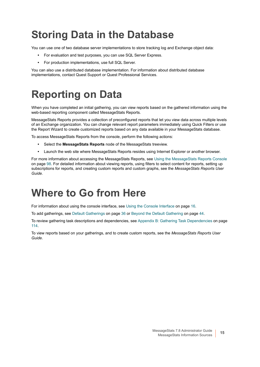# <span id="page-14-0"></span>**Storing Data in the Database**

You can use one of two database server implementations to store tracking log and Exchange object data:

- **•** For evaluation and test purposes, you can use SQL Server Express.
- **•** For production implementations, use full SQL Server.

You can also use a distributed database implementation. For information about distributed database implementations, contact Quest Support or Quest Professional Services.

# <span id="page-14-1"></span>**Reporting on Data**

When you have completed an initial gathering, you can view reports based on the gathered information using the web-based reporting component called MessageStats Reports.

MessageStats Reports provides a collection of preconfigured reports that let you view data across multiple levels of an Exchange organization. You can change relevant report parameters immediately using Quick Filters or use the Report Wizard to create customized reports based on any data available in your MessageStats database.

To access MessageStats Reports from the console, perform the following actions:

- **•** Select the **MessageStats Reports** node of the MessageStats treeview.
- **•** Launch the web site where MessageStats Reports resides using Internet Explorer or another browser.

For more information about accessing the MessageStats Reports, see [Using the MessageStats Reports Console](#page-97-3) [on page 98.](#page-97-3) For detailed information about viewing reports, using filters to select content for reports, setting up subscriptions for reports, and creating custom reports and custom graphs, see the *MessageStats Reports User Guide.*

## <span id="page-14-2"></span>**Where to Go from Here**

For information about using the console interface, see [Using the Console Interface on page 16](#page-15-3).

To add gatherings, see [Default Gatherings on page 36](#page-35-4) or [Beyond the Default Gathering on page 44.](#page-43-4)

To review gathering task descriptions and dependencies, see [Appendix B: Gathering Task Dependencies on page](#page-113-2)  [114](#page-113-2).

To view reports based on your gatherings, and to create custom reports, see the *MessageStats Reports User Guide*.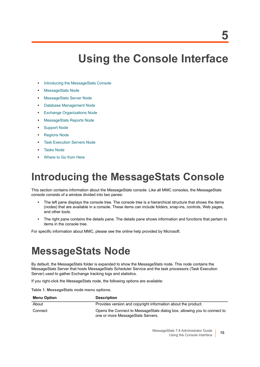# <span id="page-15-3"></span>**Using the Console Interface**

- <span id="page-15-0"></span>**•** [Introducing the MessageStats Console](#page-15-1)
- **•** [MessageStats Node](#page-15-2)
- **•** [MessageStats Server Node](#page-16-0)
- **•** [Database Management Node](#page-17-0)
- **•** [Exchange Organizations Node](#page-17-1)
- **•** [MessageStats Reports Node](#page-18-0)
- **•** [Support Node](#page-18-1)
- **•** [Regions Node](#page-18-2)
- **[Task Execution Servers Node](#page-19-2)**
- **•** [Tasks Node](#page-20-0)
- **•** [Where to Go from Here](#page-23-0)

# <span id="page-15-1"></span>**Introducing the MessageStats Console**

This section contains information about the MessageStats console. Like all MMC consoles, the MessageStats console consists of a window divided into two panes:

- **•** The left pane displays the console tree. The console tree is a hierarchical structure that shows the items (nodes) that are available in a console. These items can include folders, snap-ins, controls, Web pages, and other tools.
- **•** The right pane contains the details pane. The details pane shows information and functions that pertain to items in the console tree.

For specific information about MMC, please see the online help provided by Microsoft.

# <span id="page-15-2"></span>**MessageStats Node**

By default, the MessageStats folder is expanded to show the MessageStats node. This node contains the MessageStats Server that hosts MessageStats Scheduler Service and the task processors (Task Execution Server) used to gather Exchange tracking logs and statistics.

If you right-click the MessageStats node, the following options are available:

**Table 1. MessageStats node menu options.**

| <b>Menu Option</b> | <b>Description</b>                                                                                            |
|--------------------|---------------------------------------------------------------------------------------------------------------|
| About              | Provides version and copyright information about the product.                                                 |
| Connect            | Opens the Connect to MessageStats dialog box, allowing you to connect to<br>one or more MessageStats Servers. |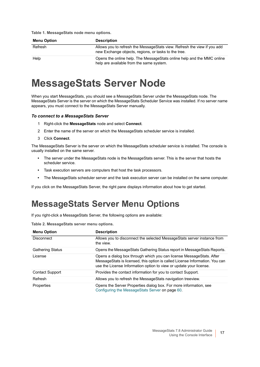**Table 1. MessageStats node menu options.**

| <b>Menu Option</b> | <b>Description</b>                                                                                                               |
|--------------------|----------------------------------------------------------------------------------------------------------------------------------|
| Refresh            | Allows you to refresh the MessageStats view. Refresh the view if you add<br>new Exchange objects, regions, or tasks to the tree. |
| Help               | Opens the online help. The MessageStats online help and the MMC online<br>help are available from the same system.               |

## <span id="page-16-0"></span>**MessageStats Server Node**

When you start MessageStats, you should see a MessageStats Server under the MessageStats node. The MessageStats Server is the server on which the MessageStats Scheduler Service was installed. If no server name appears, you must connect to the MessageStats Server manually.

#### *To connect to a MessageStats Server*

- 1 Right-click the **MessageStats** node and select **Connect**.
- 2 Enter the name of the server on which the MessageStats scheduler service is installed.
- 3 Click **Connect**.

The MessageStats Server is the server on which the MessageStats scheduler service is installed. The console is usually installed on the same server.

- **•** The server under the MessageStats node is the MessageStats server. This is the server that hosts the scheduler service.
- **•** Task execution servers are computers that host the task processors.
- **•** The MessageStats scheduler server and the task execution server can be installed on the same computer.

If you click on the MessageStats Server, the right pane displays information about how to get started.

### <span id="page-16-1"></span>**MessageStats Server Menu Options**

If you right-click a MessageStats Server, the following options are available:

|  | Table 2. MessageStats server menu options. |  |  |  |
|--|--------------------------------------------|--|--|--|
|--|--------------------------------------------|--|--|--|

| <b>Menu Option</b>      | <b>Description</b>                                                                                                                                                                                                         |
|-------------------------|----------------------------------------------------------------------------------------------------------------------------------------------------------------------------------------------------------------------------|
| <b>Disconnect</b>       | Allows you to disconnect the selected Message Stats server instance from<br>the view.                                                                                                                                      |
| <b>Gathering Status</b> | Opens the MessageStats Gathering Status report in MessageStats Reports.                                                                                                                                                    |
| License                 | Opens a dialog box through which you can license MessageStats. After<br>MessageStats is licensed, this option is called License Information. You can<br>use the License Information option to view or update your license. |
| <b>Contact Support</b>  | Provides the contact information for you to contact Support.                                                                                                                                                               |
| Refresh                 | Allows you to refresh the MessageStats navigation treeview.                                                                                                                                                                |
| Properties              | Opens the Server Properties dialog box. For more information, see<br>Configuring the Message Stats Server on page 60.                                                                                                      |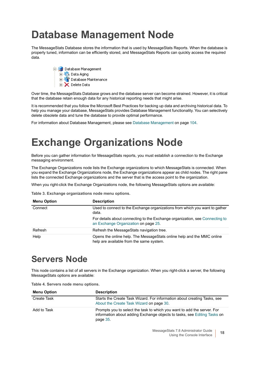# <span id="page-17-0"></span>**Database Management Node**

The MessageStats Database stores the information that is used by MessageStats Reports. When the database is properly tuned, information can be efficiently stored, and MessageStats Reports can quickly access the required data.



Over time, the MessageStats Database grows and the database server can become strained. However, it is critical that the database retain enough data for any historical reporting needs that might arise.

It is recommended that you follow the Microsoft Best Practices for backing up data and archiving historical data. To help you manage your database, MessageStats provides Database Management functionality. You can selectively delete obsolete data and tune the database to provide optimal performance.

For information about Database Management, please see [Database Management on page 104](#page-103-3).

# <span id="page-17-1"></span>**Exchange Organizations Node**

Before you can gather information for MessageStats reports, you must establish a connection to the Exchange messaging environment.

The Exchange Organizations node lists the Exchange organizations to which MessageStats is connected. When you expand the Exchange Organizations node, the Exchange organizations appear as child nodes. The right pane lists the connected Exchange organizations and the server that is the access point to the organization.

When you right-click the Exchange Organizations node, the following MessageStats options are available:

**Table 3. Exchange organizations node menu options.**

| <b>Menu Option</b> | <b>Description</b>                                                                                                   |
|--------------------|----------------------------------------------------------------------------------------------------------------------|
| Connect            | Used to connect to the Exchange organizations from which you want to gather<br>data.                                 |
|                    | For details about connecting to the Exchange organization, see Connecting to<br>an Exchange Organization on page 25. |
| Refresh            | Refresh the MessageStats navigation tree.                                                                            |
| Help               | Opens the online help. The Message Stats online help and the MMC online<br>help are available from the same system.  |

## <span id="page-17-2"></span>**Servers Node**

This node contains a list of all servers in the Exchange organization. When you right-click a server, the following MessageStats options are available:

**Table 4. Servers node menu options.**

| <b>Menu Option</b> | <b>Description</b>                                                                                                                                              |
|--------------------|-----------------------------------------------------------------------------------------------------------------------------------------------------------------|
| Create Task        | Starts the Create Task Wizard. For information about creating Tasks, see<br>About the Create Task Wizard on page 30.                                            |
| Add to Task        | Prompts you to select the task to which you want to add the server. For<br>information about adding Exchange objects to tasks, see Editing Tasks on<br>page 35. |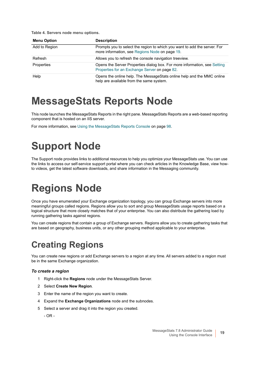**Table 4. Servers node menu options.**

| <b>Menu Option</b> | <b>Description</b>                                                                                                          |
|--------------------|-----------------------------------------------------------------------------------------------------------------------------|
| Add to Region      | Prompts you to select the region to which you want to add the server. For<br>more information, see Regions Node on page 19. |
| Refresh            | Allows you to refresh the console navigation treeview.                                                                      |
| Properties         | Opens the Server Properties dialog box. For more information, see Setting<br>Properties for an Exchange Server on page 82.  |
| Help               | Opens the online help. The Message Stats online help and the MMC online<br>help are available from the same system.         |

## <span id="page-18-0"></span>**MessageStats Reports Node**

This node launches the MessageStats Reports in the right pane. MessageStats Reports are a web-based reporting component that is hosted on an IIS server.

For more information, see [Using the MessageStats Reports Console on page 98.](#page-97-3)

# <span id="page-18-1"></span>**Support Node**

The Support node provides links to additional resources to help you optimize your MessageStats use. You can use the links to access our self-service support portal where you can check articles in the Knowledge Base, view howto videos, get the latest software downloads, and share information in the Messaging community.

# <span id="page-18-2"></span>**Regions Node**

Once you have enumerated your Exchange organization topology, you can group Exchange servers into more meaningful groups called regions. Regions allow you to sort and group MessageStats usage reports based on a logical structure that more closely matches that of your enterprise. You can also distribute the gathering load by running gathering tasks against regions.

You can create regions that contain a group of Exchange servers. Regions allow you to create gathering tasks that are based on geography, business units, or any other grouping method applicable to your enterprise.

## <span id="page-18-3"></span>**Creating Regions**

You can create new regions or add Exchange servers to a region at any time. All servers added to a region must be in the same Exchange organization.

#### *To create a region*

- 1 Right-click the **Regions** node under the MessageStats Server.
- 2 Select **Create New Region**.
- 3 Enter the name of the region you want to create.
- 4 Expand the **Exchange Organizations** node and the subnodes.
- 5 Select a server and drag it into the region you created.

- OR -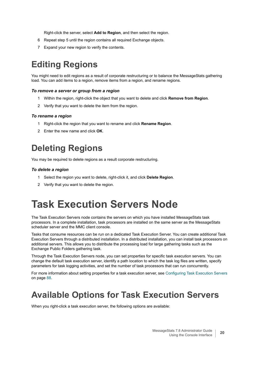Right-click the server, select **Add to Region**, and then select the region.

- 6 Repeat step 5 until the region contains all required Exchange objects.
- 7 Expand your new region to verify the contents.

## <span id="page-19-0"></span>**Editing Regions**

You might need to edit regions as a result of corporate restructuring or to balance the MessageStats gathering load. You can add items to a region, remove items from a region, and rename regions.

#### *To remove a server or group from a region*

- 1 Within the region, right-click the object that you want to delete and click **Remove from Region**.
- 2 Verify that you want to delete the item from the region.

#### *To rename a region*

- 1 Right-click the region that you want to rename and click **Rename Region**.
- 2 Enter the new name and click **OK**.

### <span id="page-19-1"></span>**Deleting Regions**

You may be required to delete regions as a result corporate restructuring.

#### *To delete a region*

- 1 Select the region you want to delete, right-click it, and click **Delete Region**.
- 2 Verify that you want to delete the region.

## <span id="page-19-2"></span>**Task Execution Servers Node**

The Task Execution Servers node contains the servers on which you have installed MessageStats task processors. In a complete installation, task processors are installed on the same server as the MessageStats scheduler server and the MMC client console.

Tasks that consume resources can be run on a dedicated Task Execution Server. You can create additional Task Execution Servers through a distributed installation. In a distributed installation, you can install task processors on additional servers. This allows you to distribute the processing load for large gathering tasks such as the Exchange Public Folders gathering task.

Through the Task Execution Servers node, you can set properties for specific task execution servers. You can change the default task execution server, identify a path location to which the task log files are written, specify parameters for task logging activities, and set the number of task processors that can run concurrently.

For more information about setting properties for a task execution server, see [Configuring Task Execution Servers](#page-87-2) [on page 88.](#page-87-2)

### <span id="page-19-3"></span>**Available Options for Task Execution Servers**

When you right-click a task execution server, the following options are available: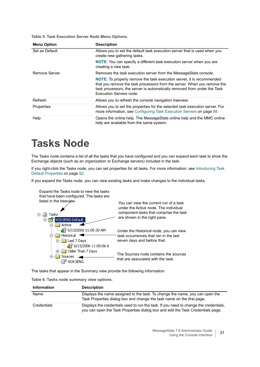**Table 5. Task Execution Server Node Menu Options.**

| <b>Menu Option</b> | <b>Description</b>                                                                                                                                                                                                                                              |
|--------------------|-----------------------------------------------------------------------------------------------------------------------------------------------------------------------------------------------------------------------------------------------------------------|
| Set as Default     | Allows you to set the default task execution server that is used when you<br>create new gathering tasks.                                                                                                                                                        |
|                    | <b>NOTE:</b> You can specify a different task execution server when you are<br>creating a new task.                                                                                                                                                             |
| Remove Server      | Removes the task execution server from the Message Stats console.                                                                                                                                                                                               |
|                    | <b>NOTE:</b> To properly remove the task execution server, it is recommended<br>that you remove the task processors from the server. When you remove the<br>task processors, the server is automatically removed from under the Task<br>Execution Servers node. |
| Refresh            | Allows you to refresh the console navigation treeview.                                                                                                                                                                                                          |
| Properties         | Allows you to set the properties for the selected task execution server. For<br>more information, see Configuring Task Execution Servers on page 88.                                                                                                            |
| Help               | Opens the online help. The Message Stats online help and the MMC online<br>help are available from the same system.                                                                                                                                             |

# <span id="page-20-0"></span>**Tasks Node**

The Tasks node contains a list of all the tasks that you have configured and you can expand each task to show the Exchange objects (such as an organization or Exchange servers) included in the task.

If you right-click the Tasks node, you can set properties for all tasks. For more information, see [Introducing Task](#page-91-3)  [Default Properties on page 92](#page-91-3).

If you expand the Tasks node, you can view existing tasks and make changes to the individual tasks.

| Expand the Tasks hode to view the tasks<br>that have been configured. The tasks are |                                                                                 |
|-------------------------------------------------------------------------------------|---------------------------------------------------------------------------------|
| listed in the treeview.                                                             | You can view the current run of a task                                          |
|                                                                                     | under the Active node. The individual<br>component tasks that comprise the task |
| Fasks<br>W2k3ENG-Default                                                            | are shown in the right pane.                                                    |
| Active                                                                              |                                                                                 |
| $\frac{1}{2}$ 6/13/2006 11:05:30 AM                                                 | Under the Historical node, you can view                                         |
| Historical                                                                          | task occurrences that ran in the last                                           |
| Last 7 Days                                                                         | seven days and before that.                                                     |
| ි <mark>ය</mark> ුදි 6/13/2006 11:00:06 A                                           |                                                                                 |
| <b>J</b> Older Than 7 Days                                                          | The Sources node contains the sources                                           |
| Sources                                                                             | that are associated with the task.                                              |
|                                                                                     |                                                                                 |

The tasks that appear in the Summary view provide the following information:

**Table 6. Tasks node summary view options.**

Expand the Tasks node to view the tasks

| <b>Information</b> | <b>Description</b>                                                                                                                                                       |
|--------------------|--------------------------------------------------------------------------------------------------------------------------------------------------------------------------|
| Name               | Displays the name assigned to the task. To change the name, you can open the<br>Task Properties dialog box and change the task name on the first page.                   |
| Credentials        | Displays the credentials used to run the task. If you need to change the credentials,<br>you can open the Task Properties dialog box and edit the Task Credentials page. |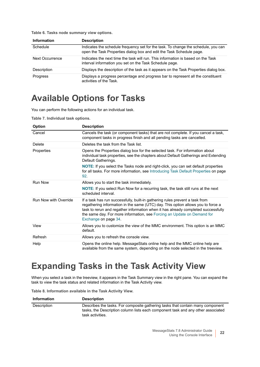| Table 6. Tasks node summary view options. |  |
|-------------------------------------------|--|
|-------------------------------------------|--|

| <b>Information</b>     | <b>Description</b>                                                                                                                                         |
|------------------------|------------------------------------------------------------------------------------------------------------------------------------------------------------|
| Schedule               | Indicates the schedule frequency set for the task. To change the schedule, you can<br>open the Task Properties dialog box and edit the Task Schedule page. |
| <b>Next Occurrence</b> | Indicates the next time the task will run. This information is based on the Task<br>interval information you set on the Task Schedule page.                |
| Description            | Displays the description of the task as it appears on the Task Properties dialog box.                                                                      |
| <b>Progress</b>        | Displays a progress percentage and progress bar to represent all the constituent<br>activities of the Task.                                                |

### <span id="page-21-0"></span>**Available Options for Tasks**

You can perform the following actions for an individual task.

**Table 7. Individual task options.**

| <b>Option</b>         | <b>Description</b>                                                                                                                                                                                                                                                                                                                                       |
|-----------------------|----------------------------------------------------------------------------------------------------------------------------------------------------------------------------------------------------------------------------------------------------------------------------------------------------------------------------------------------------------|
| Cancel                | Cancels the task (or component tasks) that are not complete. If you cancel a task,<br>component tasks in progress finish and all pending tasks are cancelled.                                                                                                                                                                                            |
| Delete                | Deletes the task from the Task list.                                                                                                                                                                                                                                                                                                                     |
| Properties            | Opens the Properties dialog box for the selected task. For information about<br>individual task properties, see the chapters about Default Gatherings and Extending<br>Default Gatherings.                                                                                                                                                               |
|                       | <b>NOTE:</b> If you select the Tasks node and right-click, you can set default properties<br>for all tasks. For more information, see Introducing Task Default Properties on page<br>92.                                                                                                                                                                 |
| <b>Run Now</b>        | Allows you to start the task immediately.                                                                                                                                                                                                                                                                                                                |
|                       | NOTE: If you select Run Now for a recurring task, the task still runs at the next<br>scheduled interval.                                                                                                                                                                                                                                                 |
| Run Now with Override | If a task has run successfully, built-in gathering rules prevent a task from<br>regathering information in the same (UTC) day. This option allows you to force a<br>task to rerun and regather information when it has already completed successfully<br>the same day. For more information, see Forcing an Update on Demand for<br>Exchange on page 34. |
| View                  | Allows you to customize the view of the MMC environment. This option is an MMC<br>default.                                                                                                                                                                                                                                                               |
| Refresh               | Allows you to refresh the console view.                                                                                                                                                                                                                                                                                                                  |
| Help                  | Opens the online help. MessageStats online help and the MMC online help are<br>available from the same system, depending on the node selected in the treeview.                                                                                                                                                                                           |

## <span id="page-21-1"></span>**Expanding Tasks in the Task Activity View**

When you select a task in the treeview, it appears in the Task Summary view in the right pane. You can expand the task to view the task status and related information in the Task Activity view.

**Table 8. Information available in the Task Activity View.**

| <b>Information</b> | <b>Description</b>                                                                                                                                                                     |
|--------------------|----------------------------------------------------------------------------------------------------------------------------------------------------------------------------------------|
| Description        | Describes the tasks. For composite gathering tasks that contain many component<br>tasks, the Description column lists each component task and any other associated<br>task activities. |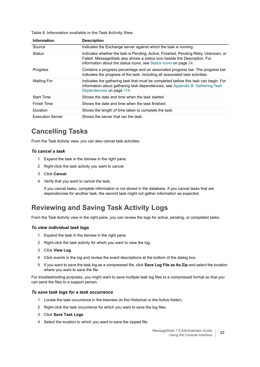**Table 8. Information available in the Task Activity View.**

| <b>Information</b>      | <b>Description</b>                                                                                                                                                                                                                   |
|-------------------------|--------------------------------------------------------------------------------------------------------------------------------------------------------------------------------------------------------------------------------------|
| Source                  | Indicates the Exchange server against which the task is running.                                                                                                                                                                     |
| <b>Status</b>           | Indicates whether the task is Pending, Active, Finished, Pending Retry, Unknown, or<br>Failed. MessageStats also shows a status icon beside the Description. For<br>information about the status icons, see Status Icons on page 24. |
| <b>Progress</b>         | Contains a progress percentage and an associated progress bar. The progress bar<br>indicates the progress of the task, including all associated task activities.                                                                     |
| <b>Waiting For</b>      | Indicates the gathering task that must be completed before this task can begin. For<br>information about gathering task dependencies, see Appendix B: Gathering Task<br>Dependencies on page 114.                                    |
| <b>Start Time</b>       | Shows the date and time when the task started.                                                                                                                                                                                       |
| Finish Time             | Shows the date and time when the task finished.                                                                                                                                                                                      |
| Duration                | Shows the length of time taken to complete the task.                                                                                                                                                                                 |
| <b>Execution Server</b> | Shows the server that ran the task.                                                                                                                                                                                                  |

#### **Cancelling Tasks**

From the Task Activity view, you can also cancel task activities.

#### *To cancel a task*

- 1 Expand the task in the listview in the right pane.
- 2 Right-click the task activity you want to cancel.
- 3 Click **Cancel**.
- 4 Verify that you want to cancel the task.

If you cancel tasks, complete information is not stored in the database. If you cancel tasks that are dependencies for another task, the second task might not gather information as expected.

### **Reviewing and Saving Task Activity Logs**

From the Task Activity view in the right pane, you can review the logs for active, pending, or completed tasks.

#### *To view individual task logs*

- 1 Expand the task in the listview in the right pane.
- 2 Right-click the task activity for which you want to view the log.
- 3 Click **View Log**.
- 4 Click events in the log and review the event descriptions at the bottom of the dialog box.
- 5 If you want to save the task log as a compressed file, click **Save Log File as As Zip** and select the location where you want to save the file.

For troubleshooting purposes, you might want to save multiple task log files to a compressed format so that you can send the files to a support person.

#### *To save task logs for a task occurrence*

- 1 Locate the task occurrence in the treeview (in the Historical or the Active folder).
- 2 Right-click the task occurrence for which you want to save the log files.
- 3 Click **Save Task Logs**.
- 4 Select the location to which you want to save the zipped file.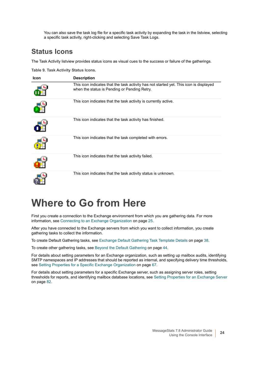You can also save the task log file for a specific task activity by expanding the task in the listview, selecting a specific task activity, right-clicking and selecting Save Task Logs.

#### <span id="page-23-1"></span>**Status Icons**

The Task Activity listview provides status icons as visual cues to the success or failure of the gatherings.

**Table 9. Task Activity Status Icons.**

| <b>Icon</b> | <b>Description</b>                                                                                                                     |
|-------------|----------------------------------------------------------------------------------------------------------------------------------------|
|             | This icon indicates that the task activity has not started yet. This icon is displayed<br>when the status is Pending or Pending Retry. |
|             | This icon indicates that the task activity is currently active.                                                                        |
|             | This icon indicates that the task activity has finished.                                                                               |
|             | This icon indicates that the task completed with errors.                                                                               |
|             | This icon indicates that the task activity failed.                                                                                     |
|             | This icon indicates that the task activity status is unknown.                                                                          |

## <span id="page-23-0"></span>**Where to Go from Here**

First you create a connection to the Exchange environment from which you are gathering data. For more information, see [Connecting to an Exchange Organization on page 25.](#page-24-4)

After you have connected to the Exchange servers from which you want to collect information, you create gathering tasks to collect the information.

To create Default Gathering tasks, see [Exchange Default Gathering Task Template Details on page 38](#page-37-3).

To create other gathering tasks, see [Beyond the Default Gathering on page 44](#page-43-4).

For details about setting parameters for an Exchange organization, such as setting up mailbox audits, identifying SMTP namespaces and IP addresses that should be reported as internal, and specifying delivery time thresholds, see [Setting Properties for a Specific Exchange Organization on page 67](#page-66-4).

For details about setting parameters for a specific Exchange server, such as assigning server roles, setting thresholds for reports, and identifying mailbox database locations, see [Setting Properties for an Exchange Server](#page-81-3) [on page 82.](#page-81-3)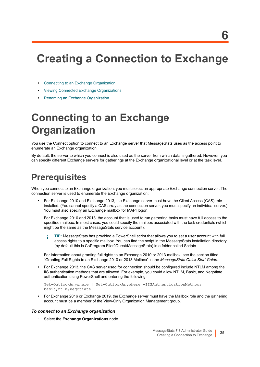# <span id="page-24-3"></span><span id="page-24-0"></span>**Creating a Connection to Exchange**

- **•** [Connecting to an Exchange Organization](#page-24-1)
- **•** [Viewing Connected Exchange Organizations](#page-26-0)
- **•** [Renaming an Exchange Organization](#page-26-1)

# <span id="page-24-4"></span><span id="page-24-1"></span>**Connecting to an Exchange Organization**

You use the Connect option to connect to an Exchange server that MessageStats uses as the access point to enumerate an Exchange organization.

By default, the server to which you connect is also used as the server from which data is gathered. However, you can specify different Exchange servers for gatherings at the Exchange organizational level or at the task level.

## <span id="page-24-2"></span>**Prerequisites**

When you connect to an Exchange organization, you must select an appropriate Exchange connection server. The connection server is used to enumerate the Exchange organization:

**•** For Exchange 2010 and Exchange 2013, the Exchange server must have the Client Access (CAS) role installed. (You cannot specify a CAS array as the connection server, you must specify an individual server.) You must also specify an Exchange mailbox for MAPI logon.

For Exchange 2010 and 2013, the account that is used to run gathering tasks must have full access to the specified mailbox. In most cases, you could specify the mailbox associated with the task credentials (which might be the same as the MessageStats service account).

**TIP:** MessageStats has provided a PowerShell script that allows you to set a user account with full î access rights to a specific mailbox. You can find the script in the MessageStats installation directory (by default this is C:\Program Files\Quest\MessageStats) in a folder called Scripts.

For information about granting full rights to an Exchange 2010 or 2013 mailbox, see the section titled "Granting Full Rights to an Exchange 2010 or 2013 Mailbox" in the *MessageStats Quick Start Guide*.

**•** For Exchange 2013, the CAS server used for connection should be configured include NTLM among the IIS authentication methods that are allowed. For example, you could allow NTLM, Basic, and Negotiate authentication using PowerShell and entering the following:

```
Get-OutlookAnywhere | Set-OutlookAnywhere -IISAuthenticationMethods 
basic,ntlm,negotiate
```
**•** For Exchange 2016 or Exchange 2019, the Exchange server must have the Mailbox role and the gathering account must be a member of the View-Only Organization Management group.

#### *To connect to an Exchange organization*

1 Select the **Exchange Organizations** node.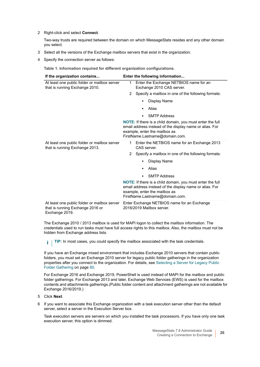2 Right-click and select **Connect**.

Two-way trusts are required between the domain on which MessageStats resides and any other domain you select.

- 3 Select all the versions of the Exchange mailbox servers that exist in the organization.
- 4 Specify the connection server as follows:

**Table 1. Information required for different organization configurations.**

| If the organization contains                                                                       | Enter the following information                                                                                                                                                                |  |
|----------------------------------------------------------------------------------------------------|------------------------------------------------------------------------------------------------------------------------------------------------------------------------------------------------|--|
| At least one public folder or mailbox server<br>that is running Exchange 2010.                     | Enter the Exchange NETBIOS name for an<br>1<br>Exchange 2010 CAS server.                                                                                                                       |  |
|                                                                                                    | Specify a mailbox in one of the following formats:<br>2                                                                                                                                        |  |
|                                                                                                    | Display Name<br>٠                                                                                                                                                                              |  |
|                                                                                                    | Alias                                                                                                                                                                                          |  |
|                                                                                                    | <b>SMTP Address</b><br>٠                                                                                                                                                                       |  |
|                                                                                                    | <b>NOTE:</b> If there is a child domain, you must enter the full<br>email address instead of the display name or alias. For<br>example, enter the mailbox as<br>FirstName.Lastname@domain.com. |  |
| At least one public folder or mailbox server<br>that is running Exchange 2013.                     | Enter the NETBIOS name for an Exchange 2013<br>$\mathbf 1$<br>CAS server                                                                                                                       |  |
|                                                                                                    | Specify a mailbox in one of the following formats:<br>2                                                                                                                                        |  |
|                                                                                                    | Display Name                                                                                                                                                                                   |  |
|                                                                                                    | Alias                                                                                                                                                                                          |  |
|                                                                                                    | <b>SMTP Address</b><br>٠                                                                                                                                                                       |  |
|                                                                                                    | <b>NOTE:</b> If there is a child domain, you must enter the full<br>email address instead of the display name or alias. For<br>example, enter the mailbox as<br>FirstName.Lastname@domain.com. |  |
| At least one public folder or mailbox server<br>that is running Exchange 2016 or<br>Exchange 2019. | Enter Exchange NETBIOS name for an Exchange<br>2016/2019 Mailbox server.                                                                                                                       |  |

The Exchange 2010 / 2013 mailbox is used for MAPI logon to collect the mailbox information. The credentials used to run tasks must have full access rights to this mailbox. Also, the mailbox must not be hidden from Exchange address lists.

**TIP:** In most cases, you could specify the mailbox associated with the task credentials. $\mathbf{i}$ 

If you have an Exchange mixed environment that includes Exchange 2010 servers that contain public folders, you must set an Exchange 2010 server for legacy public folder gatherings in the organization properties after you connect to the organization. For details, see [Selecting a Server for Legacy Public](#page-79-3)  [Folder Gathering on page 80.](#page-79-3)

For Exchange 2016 and Exchange 2019, PowerShell is used instead of MAPI for the mailbox and public folder gatherings. For Exchange 2013 and later, Exchange Web Services (EWS) is used for the mailbox contents and attachments gatherings.(Public folder content and attachment gatherings are not available for Exchange 2016/2019.)

- 5 Click **Next**.
- 6 If you want to associate this Exchange organization with a task execution server other than the default server, select a server in the Execution Server box.

Task execution servers are servers on which you installed the task processors. If you have only one task execution server, this option is dimmed.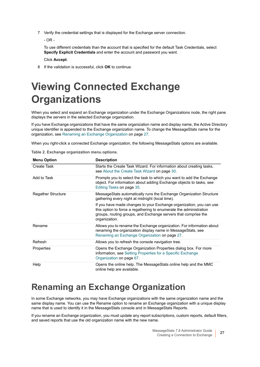7 Verify the credential settings that is displayed for the Exchange server connection.

- OR -

To use different credentials than the account that is specified for the default Task Credentials, select **Specify Explicit Credentials** and enter the account and password you want.

Click **Accept**.

8 If the validation is successful, click **OK** to continue.

# <span id="page-26-0"></span>**Viewing Connected Exchange Organizations**

When you select and expand an Exchange organization under the Exchange Organizations node, the right pane displays the servers in the selected Exchange organization.

If you have Exchange organizations that have the same organization name and display name, the Active Directory unique identifier is appended to the Exchange organization name. To change the MessageStats name for the organization, see [Renaming an Exchange Organization on page 27.](#page-26-1)

When you right-click a connected Exchange organization, the following MessageStats options are available.

| <b>Menu Option</b>        | <b>Description</b>                                                                                                                                                                                                           |
|---------------------------|------------------------------------------------------------------------------------------------------------------------------------------------------------------------------------------------------------------------------|
| Create Task               | Starts the Create Task Wizard. For information about creating tasks,<br>see About the Create Task Wizard on page 30.                                                                                                         |
| Add to Task               | Prompts you to select the task to which you want to add the Exchange<br>object. For information about adding Exchange objects to tasks, see<br>Editing Tasks on page 35.                                                     |
| <b>Regather Structure</b> | MessageStats automatically runs the Exchange Organization Structure<br>gathering every night at midnight (local time).                                                                                                       |
|                           | If you have made changes to your Exchange organization, you can use<br>this option to force a regathering to enumerate the administration<br>groups, routing groups, and Exchange servers that comprise the<br>organization. |
| Rename                    | Allows you to rename the Exchange organization. For information about<br>renaming the organization display name in MessageStats, see<br>Renaming an Exchange Organization on page 27.                                        |
| Refresh                   | Allows you to refresh the console navigation tree.                                                                                                                                                                           |
| Properties                | Opens the Exchange Organization Properties dialog box. For more<br>information, see Setting Properties for a Specific Exchange<br>Organization on page 67.                                                                   |
| Help                      | Opens the online help. The MessageStats online help and the MMC<br>online help are available.                                                                                                                                |

## <span id="page-26-1"></span>**Renaming an Exchange Organization**

In some Exchange networks, you may have Exchange organizations with the same organization name and the same display name. You can use the Rename option to rename an Exchange organization with a unique display name that is used to identify it in the MessageStats console and in MessageStats Reports.

If you rename an Exchange organization, you must update any report subscriptions, custom reports, default filters, and saved reports that use the old organization name with the new name.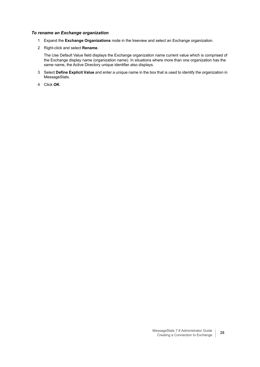#### *To rename an Exchange organization*

- 1 Expand the **Exchange Organizations** node in the treeview and select an Exchange organization.
- 2 Right-click and select **Rename**.

The Use Default Value field displays the Exchange organization name current value which is comprised of the Exchange display name (organization name). In situations where more than one organization has the same name, the Active Directory unique identifier also displays.

- 3 Select **Define Explicit Value** and enter a unique name in the box that is used to identify the organization in MessageStats.
- 4 Click **OK**.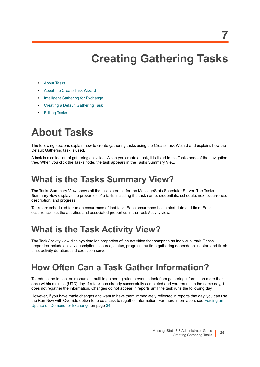# **Creating Gathering Tasks**

- <span id="page-28-0"></span>**•** [About Tasks](#page-28-1)
- **•** [About the Create Task Wizard](#page-29-0)
- **•** [Intelligent Gathering for Exchange](#page-31-0)
- **•** [Creating a Default Gathering Task](#page-32-0)
- **•** [Editing Tasks](#page-34-0)

# <span id="page-28-1"></span>**About Tasks**

The following sections explain how to create gathering tasks using the Create Task Wizard and explains how the Default Gathering task is used.

A task is a collection of gathering activities. When you create a task, it is listed in the Tasks node of the navigation tree. When you click the Tasks node, the task appears in the Tasks Summary View.

### <span id="page-28-2"></span>**What is the Tasks Summary View?**

The Tasks Summary View shows all the tasks created for the MessageStats Scheduler Server. The Tasks Summary view displays the properties of a task, including the task name, credentials, schedule, next occurrence, description, and progress.

Tasks are scheduled to run an occurrence of that task. Each occurrence has a start date and time. Each occurrence lists the activities and associated properties in the Task Activity view.

## <span id="page-28-3"></span>**What is the Task Activity View?**

The Task Activity view displays detailed properties of the activities that comprise an individual task. These properties include activity descriptions, source, status, progress, runtime gathering dependencies, start and finish time, activity duration, and execution server.

## <span id="page-28-4"></span>**How Often Can a Task Gather Information?**

To reduce the impact on resources, built-in gathering rules prevent a task from gathering information more than once within a single (UTC) day. If a task has already successfully completed and you rerun it in the same day, it does not regather the information. Changes do not appear in reports until the task runs the following day.

However, if you have made changes and want to have them immediately reflected in reports that day, you can use the Run Now with Override option to force a task to regather information. For more information, see [Forcing an](#page-33-1)  [Update on Demand for Exchange on page 34.](#page-33-1)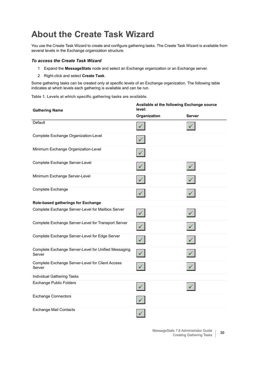## <span id="page-29-1"></span><span id="page-29-0"></span>**About the Create Task Wizard**

You use the Create Task Wizard to create and configure gathering tasks. The Create Task Wizard is available from several levels in the Exchange organization structure.

#### *To access the Create Task Wizard*

- 1 Expand the **MessageStats** node and select an Exchange organization or an Exchange server.
- 2 Right-click and select **Create Task**.

Some gathering tasks can be created only at specific levels of an Exchange organization. The following table indicates at which levels each gathering is available and can be run.

**Table 1. Levels at which specific gathering tasks are available.**

| <b>Gathering Name</b>                                          | Available at the following Exchange source<br>level: |               |
|----------------------------------------------------------------|------------------------------------------------------|---------------|
|                                                                | Organization                                         | <b>Server</b> |
| Default                                                        |                                                      |               |
| Complete Exchange Organization-Level                           |                                                      |               |
| Minimum Exchange Organization-Level                            |                                                      |               |
| Complete Exchange Server-Level                                 |                                                      |               |
| Minimum Exchange Server-Level                                  |                                                      |               |
| Complete Exchange                                              |                                                      |               |
| Role-based gatherings for Exchange                             |                                                      |               |
| Complete Exchange Server-Level for Mailbox Server              |                                                      |               |
| Complete Exchange Server-Level for Transport Server            |                                                      |               |
| Complete Exchange Server-Level for Edge Server                 |                                                      |               |
| Complete Exchange Server-Level for Unified Messaging<br>Server | ✓                                                    |               |
| Complete Exchange Server-Level for Client Access<br>Server     |                                                      |               |
| Individual Gathering Tasks                                     |                                                      |               |
| <b>Exchange Public Folders</b>                                 |                                                      |               |
| <b>Exchange Connectors</b>                                     |                                                      |               |
| <b>Exchange Mail Contacts</b>                                  |                                                      |               |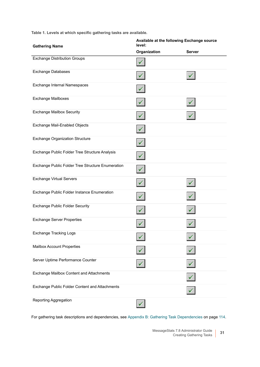**Table 1. Levels at which specific gathering tasks are available.**

| <b>Gathering Name</b>                             | Available at the following Exchange source<br>level: |               |
|---------------------------------------------------|------------------------------------------------------|---------------|
|                                                   | Organization                                         | <b>Server</b> |
| <b>Exchange Distribution Groups</b>               |                                                      |               |
| <b>Exchange Databases</b>                         |                                                      |               |
| Exchange Internal Namespaces                      |                                                      |               |
| <b>Exchange Mailboxes</b>                         |                                                      |               |
| <b>Exchange Mailbox Security</b>                  |                                                      |               |
| Exchange Mail-Enabled Objects                     |                                                      |               |
| <b>Exchange Organization Structure</b>            |                                                      |               |
| Exchange Public Folder Tree Structure Analysis    |                                                      |               |
| Exchange Public Folder Tree Structure Enumeration |                                                      |               |
| <b>Exchange Virtual Servers</b>                   |                                                      |               |
| Exchange Public Folder Instance Enumeration       |                                                      |               |
| Exchange Public Folder Security                   |                                                      |               |
| <b>Exchange Server Properties</b>                 |                                                      |               |
| <b>Exchange Tracking Logs</b>                     |                                                      |               |
| Mailbox Account Properties                        |                                                      |               |
| Server Uptime Performance Counter                 |                                                      |               |
| Exchange Mailbox Content and Attachments          |                                                      |               |
| Exchange Public Folder Content and Attachments    |                                                      |               |
| Reporting Aggregation                             |                                                      |               |

For gathering task descriptions and dependencies, see [Appendix B: Gathering Task Dependencies on page 114.](#page-113-2)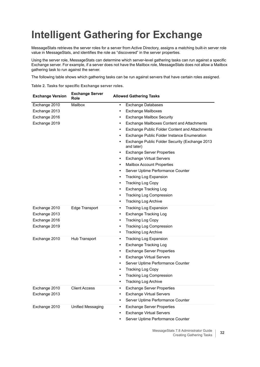# <span id="page-31-0"></span>**Intelligent Gathering for Exchange**

MessageStats retrieves the server roles for a server from Active Directory, assigns a matching built-in server role value in MessageStats, and identifies the role as "discovered" in the server properties.

Using the server role, MessageStats can determine which server-level gathering tasks can run against a specific Exchange server. For example, if a server does not have the Mailbox role, MessageStats does not allow a Mailbox gathering task to run against the server.

The following table shows which gathering tasks can be run against servers that have certain roles assigned.

**Table 2. Tasks for specific Exchange server roles.**

| <b>Exchange Version</b> | <b>Exchange Server</b><br>Role | <b>Allowed Gathering Tasks</b>                                            |
|-------------------------|--------------------------------|---------------------------------------------------------------------------|
| Exchange 2010           | Mailbox                        | Exchange Databases<br>$\bullet$                                           |
| Exchange 2013           |                                | Exchange Mailboxes<br>٠                                                   |
| Exchange 2016           |                                | <b>Exchange Mailbox Security</b><br>٠                                     |
| Exchange 2019           |                                | Exchange Mailboxes Content and Attachments<br>٠                           |
|                         |                                | <b>Exchange Public Folder Content and Attachments</b><br>٠                |
|                         |                                | Exchange Public Folder Instance Enumeration<br>$\bullet$                  |
|                         |                                | Exchange Public Folder Security (Exchange 2013<br>$\bullet$<br>and later) |
|                         |                                | <b>Exchange Server Properties</b><br>$\bullet$                            |
|                         |                                | <b>Exchange Virtual Servers</b><br>$\bullet$                              |
|                         |                                | <b>Mailbox Account Properties</b><br>$\bullet$                            |
|                         |                                | Server Uptime Performance Counter<br>$\bullet$                            |
|                         |                                | <b>Tracking Log Expansion</b><br>$\bullet$                                |
|                         |                                | <b>Tracking Log Copy</b><br>٠                                             |
|                         |                                | <b>Exchange Tracking Log</b><br>٠                                         |
|                         |                                | <b>Tracking Log Compression</b><br>$\bullet$                              |
|                         |                                | <b>Tracking Log Archive</b><br>$\bullet$                                  |
| Exchange 2010           | Edge Transport                 | <b>Tracking Log Expansion</b><br>$\bullet$                                |
| Exchange 2013           |                                | <b>Exchange Tracking Log</b><br>$\bullet$                                 |
| Exchange 2016           |                                | <b>Tracking Log Copy</b><br>$\bullet$                                     |
| Exchange 2019           |                                | Tracking Log Compression<br>$\bullet$                                     |
|                         |                                | <b>Tracking Log Archive</b><br>$\bullet$                                  |
| Exchange 2010           | Hub Transport                  | <b>Tracking Log Expansion</b><br>$\bullet$                                |
|                         |                                | <b>Exchange Tracking Log</b><br>$\bullet$                                 |
|                         |                                | <b>Exchange Server Properties</b><br>$\bullet$                            |
|                         |                                | <b>Exchange Virtual Servers</b><br>$\bullet$                              |
|                         |                                | Server Uptime Performance Counter<br>$\bullet$                            |
|                         |                                | <b>Tracking Log Copy</b><br>٠                                             |
|                         |                                | <b>Tracking Log Compression</b><br>٠                                      |
|                         |                                | <b>Tracking Log Archive</b><br>٠                                          |
| Exchange 2010           | <b>Client Access</b>           | <b>Exchange Server Properties</b><br>$\bullet$                            |
| Exchange 2013           |                                | <b>Exchange Virtual Servers</b><br>٠                                      |
|                         |                                |                                                                           |
|                         |                                | Server Uptime Performance Counter<br>$\bullet$                            |
| Exchange 2010           | Unified Messaging              | <b>Exchange Server Properties</b><br>٠                                    |

**•** Server Uptime Performance Counter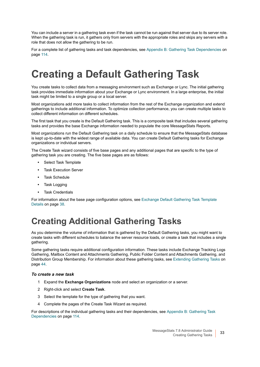You can include a server in a gathering task even if the task cannot be run against that server due to its server role. When the gathering task is run, it gathers only from servers with the appropriate roles and skips any servers with a role that does not allow the gathering to be run.

For a complete list of gathering tasks and task dependencies, see [Appendix B: Gathering Task Dependencies on](#page-113-2)  [page 114.](#page-113-2)

# <span id="page-32-0"></span>**Creating a Default Gathering Task**

You create tasks to collect data from a messaging environment such as Exchange or Lync. The initial gathering task provides immediate information about your Exchange or Lync environment. In a large enterprise, the initial task might be limited to a single group or a local server.

Most organizations add more tasks to collect information from the rest of the Exchange organization and extend gatherings to include additional information. To optimize collection performance, you can create multiple tasks to collect different information on different schedules.

The first task that you create is the Default Gathering task. This is a composite task that includes several gathering tasks and provides the base Exchange information needed to populate the core MessageStats Reports.

Most organizations run the Default Gathering task on a daily schedule to ensure that the MessageStats database is kept up-to-date with the widest range of available data. You can create Default Gathering tasks for Exchange organizations or individual servers.

The Create Task wizard consists of five base pages and any additional pages that are specific to the type of gathering task you are creating. The five base pages are as follows:

- **•** Select Task Template
- **•** Task Execution Server
- **•** Task Schedule
- **•** Task Logging
- **•** Task Credentials

For information about the base page configuration options, see [Exchange Default Gathering Task Template](#page-37-3)  [Details on page 38.](#page-37-3)

## <span id="page-32-1"></span>**Creating Additional Gathering Tasks**

As you determine the volume of information that is gathered by the Default Gathering tasks, you might want to create tasks with different schedules to balance the server resource loads, or create a task that includes a single gathering.

Some gathering tasks require additional configuration information. These tasks include Exchange Tracking Logs Gathering, Mailbox Content and Attachments Gathering, Public Folder Content and Attachments Gathering, and Distribution Group Membership. For information about these gathering tasks, see [Extending Gathering Tasks on](#page-43-3)  [page 44](#page-43-3).

#### *To create a new task*

- 1 Expand the **Exchange Organizations** node and select an organization or a server.
- 2 Right-click and select **Create Task**.
- 3 Select the template for the type of gathering that you want.
- 4 Complete the pages of the Create Task Wizard as required.

For descriptions of the individual gathering tasks and their dependencies, see [Appendix B: Gathering Task](#page-113-2)  [Dependencies on page 114](#page-113-2).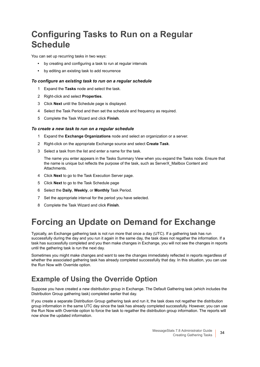## <span id="page-33-0"></span>**Configuring Tasks to Run on a Regular Schedule**

You can set up recurring tasks in two ways:

- **•** by creating and configuring a task to run at regular intervals
- **•** by editing an existing task to add recurrence

#### *To configure an existing task to run on a regular schedule*

- 1 Expand the **Tasks** node and select the task.
- 2 Right-click and select **Properties**.
- 3 Click **Next** until the Schedule page is displayed.
- 4 Select the Task Period and then set the schedule and frequency as required.
- 5 Complete the Task Wizard and click **Finish**.

#### *To create a new task to run on a regular schedule*

- 1 Expand the **Exchange Organizations** node and select an organization or a server.
- 2 Right-click on the appropriate Exchange source and select **Create Task**.
- 3 Select a task from the list and enter a name for the task.

The name you enter appears in the Tasks Summary View when you expand the Tasks node. Ensure that the name is unique but reflects the purpose of the task, such as ServerX\_Mailbox Content and Attachments.

- 4 Click **Next** to go to the Task Execution Server page.
- 5 Click **Next** to go to the Task Schedule page
- 6 Select the **Daily**, **Weekly**, or **Monthly** Task Period.
- 7 Set the appropriate interval for the period you have selected.
- 8 Complete the Task Wizard and click **Finish**.

## <span id="page-33-2"></span><span id="page-33-1"></span>**Forcing an Update on Demand for Exchange**

Typically, an Exchange gathering task is not run more that once a day (UTC). If a gathering task has run successfully during the day and you run it again in the same day, the task does not regather the information. If a task has successfully completed and you then make changes in Exchange, you will not see the changes in reports until the gathering task is run the next day.

Sometimes you might make changes and want to see the changes immediately reflected in reports regardless of whether the associated gathering task has already completed successfully that day. In this situation, you can use the Run Now with Override option.

### **Example of Using the Override Option**

Suppose you have created a new distribution group in Exchange. The Default Gathering task (which includes the Distribution Group gathering task) completed earlier that day.

If you create a separate Distribution Group gathering task and run it, the task does not regather the distribution group information in the same UTC day since the task has already completed successfully. However, you can use the Run Now with Override option to force the task to regather the distribution group information. The reports will now show the updated information.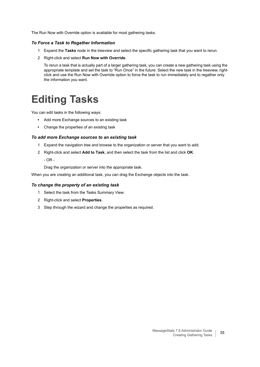The Run Now with Override option is available for most gathering tasks.

#### *To Force a Task to Regather Information*

- 1 Expand the **Tasks** node in the treeview and select the specific gathering task that you want to rerun.
- 2 Right-click and select **Run Now with Override**.

To rerun a task that is actually part of a larger gathering task, you can create a new gathering task using the appropriate template and set the task to "Run Once" in the future. Select the new task in the treeview, rightclick and use the Run Now with Override option to force the task to run immediately and to regather only the information you want.

# <span id="page-34-1"></span><span id="page-34-0"></span>**Editing Tasks**

You can edit tasks in the following ways:

- **•** Add more Exchange sources to an existing task
- **•** Change the properties of an existing task

#### *To add more Exchange sources to an existing task*

- 1 Expand the navigation tree and browse to the organization or server that you want to add.
- 2 Right-click and select **Add to Task**, and then select the task from the list and click **OK**.

- OR -

Drag the organization or server into the appropriate task.

When you are creating an additional task, you can drag the Exchange objects into the task.

#### *To change the property of an existing task*

- 1 Select the task from the Tasks Summary View.
- 2 Right-click and select **Properties**.
- 3 Step through the wizard and change the properties as required.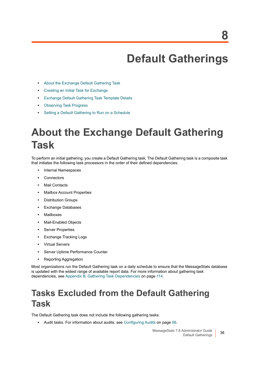# <span id="page-35-4"></span>**Default Gatherings**

- <span id="page-35-0"></span>**•** [About the Exchange Default Gathering Task](#page-35-1)
- **•** [Creating an Initial Task for Exchange](#page-36-0)
- **•** [Exchange Default Gathering Task Template Details](#page-37-1)
- **•** [Observing Task Progress](#page-41-1)
- **•** [Setting a Default Gathering to Run on a Schedule](#page-37-0)

# <span id="page-35-3"></span><span id="page-35-1"></span>**About the Exchange Default Gathering Task**

To perform an initial gathering, you create a Default Gathering task. The Default Gathering task is a composite task that initiates the following task processors in the order of their defined dependencies.

- **•** Internal Namespaces
- **•** Connectors
- **•** Mail Contacts
- **•** Mailbox Account Properties
- **•** Distribution Groups
- **•** Exchange Databases
- **•** Mailboxes
- **•** Mail-Enabled Objects
- **•** Server Properties
- **•** Exchange Tracking Logs
- **•** Virtual Servers
- **•** Server Uptime Performance Counter
- **•** Reporting Aggregation

Most organizations run the Default Gathering task on a daily schedule to ensure that the MessageStats database is updated with the widest range of available report data. For more information about gathering task dependencies, see [Appendix B: Gathering Task Dependencies on page 114.](#page-113-2)

## <span id="page-35-2"></span>**Tasks Excluded from the Default Gathering Task**

The Default Gathering task does not include the following gathering tasks:

**•** Audit tasks. For information about audits, see [Configuring Audits on page 56.](#page-55-3)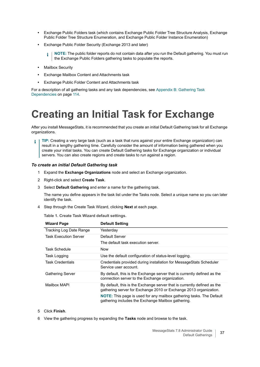- **•** Exchange Public Folders task (which contains Exchange Public Folder Tree Structure Analysis, Exchange Public Folder Tree Structure Enumeration, and Exchange Public Folder Instance Enumeration)
- **•** Exchange Public Folder Security (Exchange 2013 and later)

**NOTE:** The public folder reports do not contain data after you run the Default gathering. You must run f. the Exchange Public Folders gathering tasks to populate the reports.

- **•** Mailbox Security
- **•** Exchange Mailbox Content and Attachments task
- **•** Exchange Public Folder Content and Attachments task

For a description of all gathering tasks and any task dependencies, see [Appendix B: Gathering Task](#page-113-0)  [Dependencies on page 114](#page-113-0).

# **Creating an Initial Task for Exchange**

After you install MessageStats, it is recommended that you create an initial Default Gathering task for all Exchange organizations.

**TIP:** Creating a very large task (such as a task that runs against your entire Exchange organization) can result in a lengthy gathering time. Carefully consider the amount of information being gathered when you create your initial tasks. You can create Default Gathering tasks for Exchange organization or individual servers. You can also create regions and create tasks to run against a region.

#### *To create an initial Default Gathering task*

- 1 Expand the **Exchange Organizations** node and select an Exchange organization.
- 2 Right-click and select **Create Task**.
- 3 Select **Default Gathering** and enter a name for the gathering task.

The name you define appears in the task list under the Tasks node. Select a unique name so you can later identify the task.

4 Step through the Create Task Wizard, clicking **Next** at each page.

**Table 1. Create Task Wizard default settings.**

| <b>Wizard Page</b>      | <b>Default Setting</b>                                                                                                                                                                                                                                                             |
|-------------------------|------------------------------------------------------------------------------------------------------------------------------------------------------------------------------------------------------------------------------------------------------------------------------------|
| Tracking Log Date Range | Yesterday                                                                                                                                                                                                                                                                          |
| Task Execution Server   | Default Server                                                                                                                                                                                                                                                                     |
|                         | The default task execution server.                                                                                                                                                                                                                                                 |
| Task Schedule           | <b>Now</b>                                                                                                                                                                                                                                                                         |
| Task Logging            | Use the default configuration of status-level logging.                                                                                                                                                                                                                             |
| <b>Task Credentials</b> | Credentials provided during installation for MessageStats Scheduler<br>Service user account.                                                                                                                                                                                       |
| <b>Gathering Server</b> | By default, this is the Exchange server that is currently defined as the<br>connection server to the Exchange organization.                                                                                                                                                        |
| Mailbox MAPI            | By default, this is the Exchange server that is currently defined as the<br>gathering server for Exchange 2010 or Exchange 2013 organization.<br><b>NOTE:</b> This page is used for any mailbox gathering tasks. The Default<br>gathering includes the Exchange Mailbox gathering. |

- 5 Click **Finish**.
- 6 View the gathering progress by expanding the **Tasks** node and browse to the task.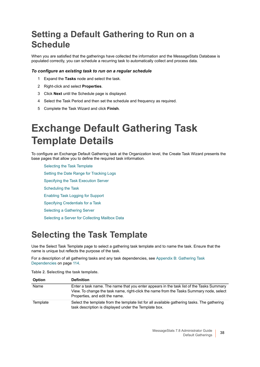# **Setting a Default Gathering to Run on a Schedule**

When you are satisfied that the gatherings have collected the information and the MessageStats Database is populated correctly, you can schedule a recurring task to automatically collect and process data.

#### *To configure an existing task to run on a regular schedule*

- 1 Expand the **Tasks** node and select the task.
- 2 Right-click and select **Properties**.
- 3 Click **Next** until the Schedule page is displayed.
- 4 Select the Task Period and then set the schedule and frequency as required.
- 5 Complete the Task Wizard and click **Finish**.

# **Exchange Default Gathering Task Template Details**

To configure an Exchange Default Gathering task at the Organization level, the Create Task Wizard presents the base pages that allow you to define the required task information.

[Selecting the Task Template](#page-37-0) [Setting the Date Range for Tracking Logs](#page-38-0) [Specifying the Task Execution Server](#page-38-1) [Scheduling the Task](#page-38-2) [Enabling Task Logging for Support](#page-39-0) [Specifying Credentials for a Task](#page-40-0) [Selecting a Gathering Server](#page-40-1) [Selecting a Server for Collecting Mailbox Data](#page-41-0)

# <span id="page-37-0"></span>**Selecting the Task Template**

Use the Select Task Template page to select a gathering task template and to name the task. Ensure that the name is unique but reflects the purpose of the task.

For a description of all gathering tasks and any task dependencies, see [Appendix B: Gathering Task](#page-113-0)  [Dependencies on page 114](#page-113-0).

**Table 2. Selecting the task template.**

| <b>Option</b> | <b>Definition</b>                                                                                                                                                                                                     |
|---------------|-----------------------------------------------------------------------------------------------------------------------------------------------------------------------------------------------------------------------|
| Name          | Enter a task name. The name that you enter appears in the task list of the Tasks Summary<br>View. To change the task name, right-click the name from the Tasks Summary node, select<br>Properties, and edit the name. |
| Template      | Select the template from the template list for all available gathering tasks. The gathering<br>task description is displayed under the Template box.                                                                  |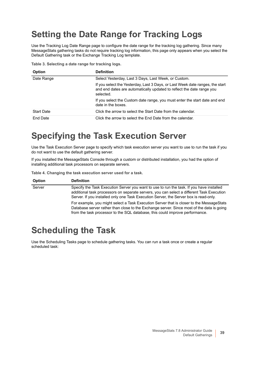# <span id="page-38-0"></span>**Setting the Date Range for Tracking Logs**

Use the Tracking Log Date Range page to configure the date range for the tracking log gathering. Since many MessageStats gathering tasks do not require tracking log information, this page only appears when you select the Default Gathering task or the Exchange Tracking Log template.

**Table 3. Selecting a date range for tracking logs.**

| <b>Option</b>     | <b>Definition</b>                                                                                                                                                   |
|-------------------|---------------------------------------------------------------------------------------------------------------------------------------------------------------------|
| Date Range        | Select Yesterday, Last 3 Days, Last Week, or Custom.                                                                                                                |
|                   | If you select the Yesterday, Last 3 Days, or Last Week date ranges, the start<br>and end dates are automatically updated to reflect the date range you<br>selected. |
|                   | If you select the Custom date range, you must enter the start date and end<br>date in the boxes.                                                                    |
| <b>Start Date</b> | Click the arrow to select the Start Date from the calendar.                                                                                                         |
| End Date          | Click the arrow to select the End Date from the calendar.                                                                                                           |

### <span id="page-38-1"></span>**Specifying the Task Execution Server**

Use the Task Execution Server page to specify which task execution server you want to use to run the task if you do not want to use the default gathering server.

If you installed the MessageStats Console through a custom or distributed installation, you had the option of installing additional task processors on separate servers.

**Table 4. Changing the task execution server used for a task.**

| <b>Option</b> | <b>Definition</b>                                                                                                                                                                                                                                                              |
|---------------|--------------------------------------------------------------------------------------------------------------------------------------------------------------------------------------------------------------------------------------------------------------------------------|
| Server        | Specify the Task Execution Server you want to use to run the task. If you have installed<br>additional task processors on separate servers, you can select a different Task Execution<br>Server. If you installed only one Task Execution Server, the Server box is read-only. |
|               | For example, you might select a Task Execution Server that is closer to the MessageStats<br>Database server rather than close to the Exchange server. Since most of the data is going<br>from the task processor to the SQL database, this could improve performance.          |

## <span id="page-38-2"></span>**Scheduling the Task**

Use the Scheduling Tasks page to schedule gathering tasks. You can run a task once or create a regular scheduled task: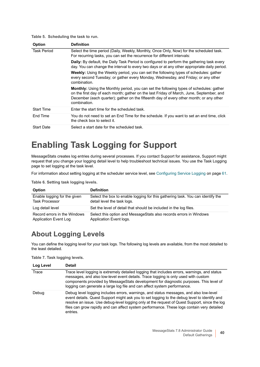#### **Table 5. Scheduling the task to run.**

| <b>Option</b>      | <b>Definition</b>                                                                                                                                                                                                                                                                                     |
|--------------------|-------------------------------------------------------------------------------------------------------------------------------------------------------------------------------------------------------------------------------------------------------------------------------------------------------|
| <b>Task Period</b> | Select the time period (Daily, Weekly, Monthly, Once Only, Now) for the scheduled task.<br>For recurring tasks, you can set the recurrence for different intervals:                                                                                                                                   |
|                    | <b>Daily:</b> By default, the Daily Task Period is configured to perform the gathering task every<br>day. You can change the interval to every two days or at any other appropriate daily period.                                                                                                     |
|                    | <b>Weekly:</b> Using the Weekly period, you can set the following types of schedules: gather<br>every second Tuesday; or gather every Monday, Wednesday, and Friday; or any other<br>combination.                                                                                                     |
|                    | <b>Monthly:</b> Using the Monthly period, you can set the following types of schedules: gather<br>on the first day of each month; gather on the last Friday of March, June, September, and<br>December (each quarter); gather on the fifteenth day of every other month; or any other<br>combination. |
| <b>Start Time</b>  | Fnter the start time for the scheduled task.                                                                                                                                                                                                                                                          |
| End Time           | You do not need to set an End Time for the schedule. If you want to set an end time, click<br>the check box to select it.                                                                                                                                                                             |
| <b>Start Date</b>  | Select a start date for the scheduled task.                                                                                                                                                                                                                                                           |

## <span id="page-39-0"></span>**Enabling Task Logging for Support**

MessageStats creates log entries during several processes. If you contact Support for assistance, Support might request that you change your logging detail level to help troubleshoot technical issues. You use the Task Logging page to set logging at the task level.

For information about setting logging at the scheduler service level, see [Configuring Service Logging on page 61.](#page-60-0)

**Table 6. Setting task logging levels.**

| <b>Option</b>                | <b>Definition</b>                                                              |
|------------------------------|--------------------------------------------------------------------------------|
| Enable logging for the given | Select the box to enable logging for this gathering task. You can identify the |
| <b>Task Processor</b>        | detail level the task logs.                                                    |
| Log detail level             | Set the level of detail that should be included in the log files.              |
| Record errors in the Windows | Select this option and MessageStats also records errors in Windows             |
| Application Event Log        | Application Event logs.                                                        |

#### **About Logging Levels**

You can define the logging level for your task logs. The following log levels are available, from the most detailed to the least detailed.

**Table 7. Task logging levels.**

| Log Level | Detail                                                                                                                                                                                                                                                                                                                                                                                            |
|-----------|---------------------------------------------------------------------------------------------------------------------------------------------------------------------------------------------------------------------------------------------------------------------------------------------------------------------------------------------------------------------------------------------------|
| Trace     | Trace level logging is extremely detailed logging that includes errors, warnings, and status<br>messages, and also low-level event details. Trace logging is only used with custom<br>components provided by MessageStats development for diagnostic purposes. This level of<br>logging can generate a large log file and can affect system performance.                                          |
| Debug     | Debug level logging includes errors, warnings, and status messages, and also low-level<br>event details. Quest Support might ask you to set logging to the debug level to identify and<br>resolve an issue. Use debug-level logging only at the request of Quest Support, since the log<br>files can grow rapidly and can affect system performance. These logs contain very detailed<br>entries. |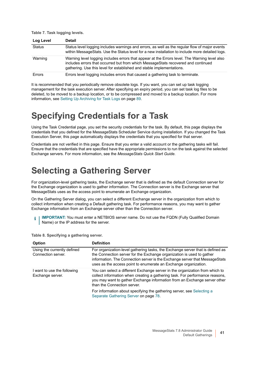**Table 7. Task logging levels.**

| Log Level     | <b>Detail</b>                                                                                                                                                                                                                                               |
|---------------|-------------------------------------------------------------------------------------------------------------------------------------------------------------------------------------------------------------------------------------------------------------|
| <b>Status</b> | Status level logging includes warnings and errors, as well as the regular flow of major events<br>within MessageStats. Use the Status level for a new installation to include more detailed logs.                                                           |
| Warning       | Warning level logging includes errors that appear at the Errors level. The Warning level also<br>includes errors that occurred but from which MessageStats recovered and continued<br>gathering. Use this level for established and stable implementations. |
| Errors        | Errors level logging includes errors that caused a gathering task to terminate.                                                                                                                                                                             |

It is recommended that you periodically remove obsolete logs. If you want, you can set up task logging management for the task execution server. After specifying an expiry period, you can set task log files to be deleted, to be moved to a backup location, or to be compressed and moved to a backup location. For more information, see [Setting Up Archiving for Task Logs on page 89.](#page-88-0)

### <span id="page-40-0"></span>**Specifying Credentials for a Task**

Using the Task Credential page, you set the security credentials for the task. By default, this page displays the credentials that you defined for the MessageStats Scheduler Service during installation. If you changed the Task Execution Server, this page automatically displays the credentials that you specified for that server.

Credentials are not verified in this page. Ensure that you enter a valid account or the gathering tasks will fail. Ensure that the credentials that are specified have the appropriate permissions to run the task against the selected Exchange servers. For more information, see the *MessageStats Quick Start Guide.*

## <span id="page-40-1"></span>**Selecting a Gathering Server**

For organization-level gathering tasks, the Exchange server that is defined as the default Connection server for the Exchange organization is used to gather information. The Connection server is the Exchange server that MessageStats uses as the access point to enumerate an Exchange organization.

On the Gathering Server dialog, you can select a different Exchange server in the organization from which to collect information when creating a Default gathering task. For performance reasons, you may want to gather Exchange information from an Exchange server other than the Connection server.

**IMPORTANT:** You must enter a NETBIOS server name. Do not use the FQDN (Fully Qualified Domain f Name) or the IP address for the server.

| <b>Option</b>                                     | <b>Definition</b>                                                                                                                                                                                                                                                                                         |
|---------------------------------------------------|-----------------------------------------------------------------------------------------------------------------------------------------------------------------------------------------------------------------------------------------------------------------------------------------------------------|
| Using the currently defined<br>Connection server. | For organization-level gathering tasks, the Exchange server that is defined as<br>the Connection server for the Exchange organization is used to gather<br>information. The Connection server is the Exchange server that MessageStats<br>uses as the access point to enumerate an Exchange organization. |
| I want to use the following<br>Exchange server.   | You can select a different Exchange server in the organization from which to<br>collect information when creating a gathering task. For performance reasons,<br>you may want to gather Exchange information from an Exchange server other<br>than the Connection server.                                  |
|                                                   | For information about specifying the gathering server, see Selecting a<br>Separate Gathering Server on page 78.                                                                                                                                                                                           |

**Table 8. Specifying a gathering server.**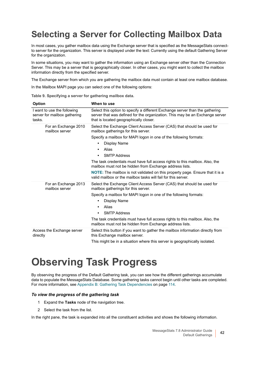## <span id="page-41-0"></span>**Selecting a Server for Collecting Mailbox Data**

In most cases, you gather mailbox data using the Exchange server that is specified as the MessageStats connectto server for the organization. This server is displayed under the text: Currently using the default Gathering Server for the organization.

In some situations, you may want to gather the information using an Exchange server other than the Connection Server. This may be a server that is geographically closer. In other cases, you might want to collect the mailbox information directly from the specified server.

The Exchange server from which you are gathering the mailbox data must contain at least one mailbox database.

In the Mailbox MAPI page you can select one of the following options:

**Table 9. Specifying a server for gathering mailbox data.**

| <b>Option</b>                                                         | When to use                                                                                                                                                                                            |
|-----------------------------------------------------------------------|--------------------------------------------------------------------------------------------------------------------------------------------------------------------------------------------------------|
| I want to use the following<br>server for mailbox gathering<br>tasks. | Select this option to specify a different Exchange server than the gathering<br>server that was defined for the organization. This may be an Exchange server<br>that is located geographically closer. |
| For an Exchange 2010<br>mailbox server                                | Select the Exchange Client Access Server (CAS) that should be used for<br>mailbox gatherings for this server.                                                                                          |
|                                                                       | Specify a mailbox for MAPI logon in one of the following formats:                                                                                                                                      |
|                                                                       | Display Name<br>$\bullet$                                                                                                                                                                              |
|                                                                       | Alias<br>$\bullet$                                                                                                                                                                                     |
|                                                                       | <b>SMTP Address</b><br>$\bullet$                                                                                                                                                                       |
|                                                                       | The task credentials must have full access rights to this mailbox. Also, the<br>mailbox must not be hidden from Exchange address lists.                                                                |
|                                                                       | <b>NOTE:</b> The mailbox is not validated on this property page. Ensure that it is a<br>valid mailbox or the mailbox tasks will fail for this server.                                                  |
| For an Exchange 2013<br>mailbox server                                | Select the Exchange Client Access Server (CAS) that should be used for<br>mailbox gatherings for this server.                                                                                          |
|                                                                       | Specify a mailbox for MAPI logon in one of the following formats:                                                                                                                                      |
|                                                                       | Display Name<br>$\bullet$                                                                                                                                                                              |
|                                                                       | Alias<br>$\bullet$                                                                                                                                                                                     |
|                                                                       | <b>SMTP Address</b><br>$\bullet$                                                                                                                                                                       |
|                                                                       | The task credentials must have full access rights to this mailbox. Also, the<br>mailbox must not be hidden from Exchange address lists.                                                                |
| Access the Exchange server<br>directly                                | Select this button if you want to gather the mailbox information directly from<br>this Exchange mailbox server.                                                                                        |
|                                                                       | This might be in a situation where this server is geographically isolated.                                                                                                                             |

# **Observing Task Progress**

By observing the progress of the Default Gathering task, you can see how the different gatherings accumulate data to populate the MessageStats Database. Some gathering tasks cannot begin until other tasks are completed. For more information, see [Appendix B: Gathering Task Dependencies on page 114](#page-113-0).

#### *To view the progress of the gathering task*

- 1 Expand the **Tasks** node of the navigation tree.
- 2 Select the task from the list.

In the right pane, the task is expanded into all the constituent activities and shows the following information.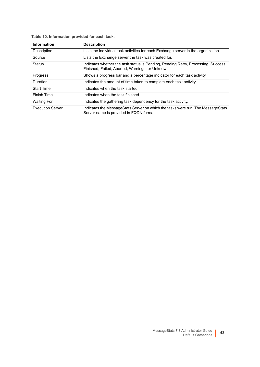**Table 10. Information provided for each task.**

| <b>Information</b>      | <b>Description</b>                                                                                                                    |
|-------------------------|---------------------------------------------------------------------------------------------------------------------------------------|
| Description             | Lists the individual task activities for each Exchange server in the organization.                                                    |
| Source                  | Lists the Exchange server the task was created for.                                                                                   |
| <b>Status</b>           | Indicates whether the task status is Pending, Pending Retry, Processing, Success,<br>Finished, Failed, Aborted, Warnings, or Unknown. |
| <b>Progress</b>         | Shows a progress bar and a percentage indicator for each task activity.                                                               |
| <b>Duration</b>         | Indicates the amount of time taken to complete each task activity.                                                                    |
| <b>Start Time</b>       | Indicates when the task started.                                                                                                      |
| Finish Time             | Indicates when the task finished.                                                                                                     |
| Waiting For             | Indicates the gathering task dependency for the task activity.                                                                        |
| <b>Execution Server</b> | Indicates the MessageStats Server on which the tasks were run. The MessageStats<br>Server name is provided in FQDN format.            |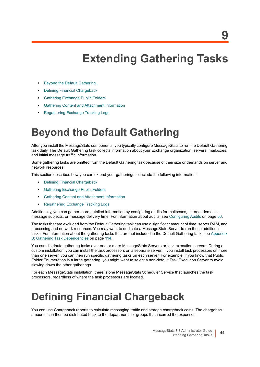# **Extending Gathering Tasks**

- **•** [Beyond the Default Gathering](#page-43-0)
- **•** [Defining Financial Chargeback](#page-43-1)
- **•** [Gathering Exchange Public Folders](#page-44-0)
- **•** [Gathering Content and Attachment Information](#page-46-0)
- **•** [Regathering Exchange Tracking Logs](#page-52-0)

# <span id="page-43-0"></span>**Beyond the Default Gathering**

After you install the MessageStats components, you typically configure MessageStats to run the Default Gathering task daily. The Default Gathering task collects information about your Exchange organization, servers, mailboxes, and initial message traffic information.

Some gathering tasks are omitted from the Default Gathering task because of their size or demands on server and network resources.

This section describes how you can extend your gatherings to include the following information:

- **•** [Defining Financial Chargeback](#page-43-1)
- **•** [Gathering Exchange Public Folders](#page-44-0)
- **•** [Gathering Content and Attachment Information](#page-46-0)
- **•** [Regathering Exchange Tracking Logs](#page-52-0)

Additionally, you can gather more detailed information by configuring audits for mailboxes, Internet domains, message subjects, or message delivery time. For information about audits, see [Configuring Audits on page 56](#page-55-0).

The tasks that are excluded from the Default Gathering task can use a significant amount of time, server RAM, and processing and network resources. You may want to dedicate a MessageStats Server to run these additional tasks. For information about the gathering tasks that are not included in the Default Gathering task, see [Appendix](#page-113-0)  [B: Gathering Task Dependencies on page 114.](#page-113-0)

You can distribute gathering tasks over one or more MessageStats Servers or task execution servers. During a custom installation, you can install the task processors on a separate server. If you install task processors on more than one server, you can then run specific gathering tasks on each server. For example, if you know that Public Folder Enumeration is a large gathering, you might want to select a non-default Task Execution Server to avoid slowing down the other gatherings.

For each MessageStats installation, there is one MessageStats Scheduler Service that launches the task processors, regardless of where the task processors are located.

# <span id="page-43-1"></span>**Defining Financial Chargeback**

You can use Chargeback reports to calculate messaging traffic and storage chargeback costs. The chargeback amounts can then be distributed back to the departments or groups that incurred the expenses.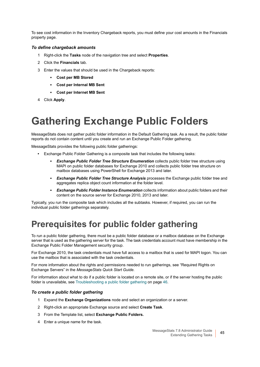To see cost information in the Inventory Chargeback reports, you must define your cost amounts in the Financials property page.

#### *To define chargeback amounts*

- 1 Right-click the **Tasks** node of the navigation tree and select **Properties**.
- 2 Click the **Financials** tab.
- 3 Enter the values that should be used in the Chargeback reports:
	- **▪ Cost per MB Stored**
	- **▪ Cost per Internal MB Sent**
	- **▪ Cost per Internet MB Sent**
- 4 Click **Apply**.

# <span id="page-44-0"></span>**Gathering Exchange Public Folders**

MessageStats does not gather public folder information in the Default Gathering task. As a result, the public folder reports do not contain content until you create and run an Exchange Public Folder gathering.

MessageStats provides the following public folder gatherings:

- **•** Exchange Public Folder Gathering is a composite task that includes the following tasks:
	- **Exchange Public Folder Tree Structure Enumeration collects public folder tree structure using** MAPI on public folder databases for Exchange 2010 and collects public folder tree structure on mailbox databases using PowerShell for Exchange 2013 and later.
	- **<b>■ Exchange Public Folder Tree Structure Analysis** processes the Exchange public folder tree and aggregates replica object count information at the folder level.
	- **Exchange Public Folder Instance Enumeration** collects information about public folders and their content on the source server for Exchange 2010, 2013 and later.

Typically, you run the composite task which includes all the subtasks. However, if required, you can run the individual public folder gatherings separately.

## **Prerequisites for public folder gathering**

To run a public folder gathering, there must be a public folder database or a mailbox database on the Exchange server that is used as the gathering server for the task. The task credentials account must have membership in the Exchange Public Folder Management security group.

For Exchange 2010, the task credentials must have full access to a mailbox that is used for MAPI logon. You can use the mailbox that is associated with the task credentials.

For more information about the rights and permissions needed to run gatherings, see "Required Rights on Exchange Servers" in the *MessageStats Quick Start Guide.* 

For information about what to do if a public folder is located on a remote site, or if the server hosting the public folder is unavailable, see [Troubleshooting a public folder gathering on page 46](#page-45-0).

#### *To create a public folder gathering*

- 1 Expand the **Exchange Organizations** node and select an organization or a server.
- 2 Right-click an appropriate Exchange source and select **Create Task**.
- 3 From the Template list, select **Exchange Public Folders.**
- 4 Enter a unique name for the task.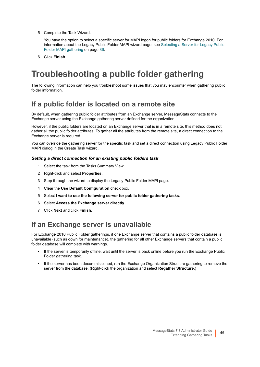5 Complete the Task Wizard.

You have the option to select a specific server for MAPI logon for public folders for Exchange 2010. For information about the Legacy Public Folder MAPI wizard page, see [Selecting a Server for Legacy Public](#page-85-0)  [Folder MAPI gathering on page 86](#page-85-0).

6 Click **Finish**.

# <span id="page-45-0"></span>**Troubleshooting a public folder gathering**

The following information can help you troubleshoot some issues that you may encounter when gathering public folder information.

### **If a public folder is located on a remote site**

By default, when gathering public folder attributes from an Exchange server, MessageStats connects to the Exchange server using the Exchange gathering server defined for the organization.

However, if the public folders are located on an Exchange server that is in a remote site, this method does not gather all the public folder attributes. To gather all the attributes from the remote site, a direct connection to the Exchange server is required.

You can override the gathering server for the specific task and set a direct connection using Legacy Public Folder MAPI dialog in the Create Task wizard.

#### *Setting a direct connection for an existing public folders task*

- 1 Select the task from the Tasks Summary View.
- 2 Right-click and select **Properties**.
- 3 Step through the wizard to display the Legacy Public Folder MAPI page.
- 4 Clear the **Use Default Configuration** check box.
- 5 Select **I want to use the following server for public folder gathering tasks**.
- 6 Select **Access the Exchange server directly**.
- 7 Click **Next** and click **Finish**.

#### **If an Exchange server is unavailable**

For Exchange 2010 Public Folder gatherings, if one Exchange server that contains a public folder database is unavailable (such as down for maintenance), the gathering for all other Exchange servers that contain a public folder database will complete with warnings.

- **•** If the server is temporarily offline, wait until the server is back online before you run the Exchange Public Folder gathering task.
- **•** If the server has been decommissioned, run the Exchange Organization Structure gathering to remove the server from the database. (Right-click the organization and select **Regather Structure**.)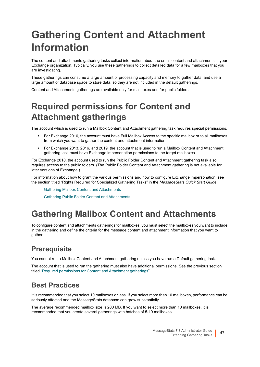# <span id="page-46-3"></span><span id="page-46-0"></span>**Gathering Content and Attachment Information**

The content and attachments gathering tasks collect information about the email content and attachments in your Exchange organization. Typically, you use these gatherings to collect detailed data for a few mailboxes that you are investigating.

These gatherings can consume a large amount of processing capacity and memory to gather data, and use a large amount of database space to store data, so they are not included in the default gatherings.

Content and Attachments gatherings are available only for mailboxes and for public folders.

# <span id="page-46-1"></span>**Required permissions for Content and Attachment gatherings**

The account which is used to run a Mailbox Content and Attachment gathering task requires special permissions.

- **•** For Exchange 2010, the account must have Full Mailbox Access to the specific mailbox or to all mailboxes from which you want to gather the content and attachment information.
- **•** For Exchange 2013, 2016, and 2019, the account that is used to run a Mailbox Content and Attachment gathering task must have Exchange impersonation permissions to the target mailboxes.

For Exchange 2010, the account used to run the Public Folder Content and Attachment gathering task also requires access to the public folders. (The Public Folder Content and Attachment gathering is not available for later versions of Exchange.)

For information about how to grant the various permissions and how to configure Exchange impersonation, see the section titled "Rights Required for Specialized Gathering Tasks" in the *MessageStats Quick Start Guide*.

[Gathering Mailbox Content and Attachments](#page-46-2)

[Gathering Public Folder Content and Attachments](#page-49-0)

## <span id="page-46-4"></span><span id="page-46-2"></span>**Gathering Mailbox Content and Attachments**

To configure content and attachments gatherings for mailboxes, you must select the mailboxes you want to include in the gathering and define the criteria for the message content and attachment information that you want to gather.

### **Prerequisite**

You cannot run a Mailbox Content and Attachment gathering unless you have run a Default gathering task.

The account that is used to run the gathering must also have additional permissions. See the previous section titled ["Required permissions for Content and Attachment gatherings"](#page-46-1).

### **Best Practices**

It is recommended that you select 10 mailboxes or less. If you select more than 10 mailboxes, performance can be seriously affected and the MessageStats database can grow substantially.

The average recommended mailbox size is 200 MB. If you want to select more than 10 mailboxes, it is recommended that you create several gatherings with batches of 5-10 mailboxes.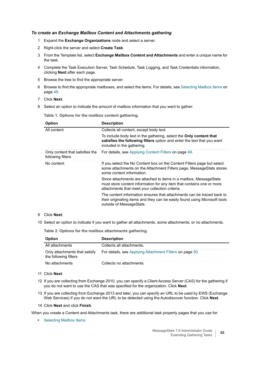#### *To create an Exchange Mailbox Content and Attachments gathering*

- 1 Expand the **Exchange Organizations** node and select a server.
- 2 Right-click the server and select **Create Task**.
- 3 From the Template list, select **Exchange Mailbox Content and Attachments** and enter a unique name for the task.
- 4 Complete the Task Execution Server, Task Schedule, Task Logging, and Task Credentials information, clicking **Next** after each page.
- 5 Browse the tree to find the appropriate server.
- 6 Browse to find the appropriate mailboxes, and select the items. For details, see [Selecting Mailbox Items on](#page-48-0)  [page 49](#page-48-0).
- 7 Click **Next**.
- 8 Select an option to indicate the amount of mailbox information that you want to gather:

**Table 1. Options for the mailbox content gathering.**

| <b>Option</b>                                        | <b>Description</b>                                                                                                                                                                             |
|------------------------------------------------------|------------------------------------------------------------------------------------------------------------------------------------------------------------------------------------------------|
| All content                                          | Collects all content, except body text.                                                                                                                                                        |
|                                                      | To include body text in the gathering, select the <b>Only content that</b><br>satisfies the following filters option and enter the text that you want<br>included in the gathering.            |
| Only content that satisfies the<br>following filters | For details, see Applying Content Filters on page 49.                                                                                                                                          |
| No content                                           | If you select the No Content box on the Content Filters page but select<br>some attachments on the Attachment Filters page, MessageStats stores<br>some content information.                   |
|                                                      | Since attachments are attached to items in a mailbox, MessageStats<br>must store content information for any item that contains one or more<br>attachments that meet your collection criteria. |
|                                                      | The content information ensures that attachments can be traced back to<br>their originating items and they can be easily found using Microsoft tools<br>outside of MessageStats.               |

#### 9 Click **Next**.

10 Select an option to indicate if you want to gather all attachments, some attachments, or no attachments.

**Table 2. Options for the mailbox attachments gathering.**

| <b>Option</b>                                          | <b>Description</b>                                       |
|--------------------------------------------------------|----------------------------------------------------------|
| All attachments                                        | Collects all attachments.                                |
| Only attachments that satisfy<br>the following filters | For details, see Applying Attachment Filters on page 50. |
| No attachments                                         | Collects no attachments.                                 |

#### 11 Click **Next**.

- 12 If you are collecting from Exchange 2010, you can specify a Client Access Server (CAS) for the gathering if you do not want to use the CAS that was specified for the organization. Click **Next**.
- 13 If you are collecting from Exchange 2013 and later, you can specify an URL to be used by EWS (Exchange Web Services) if you do not want the URL to be detected using the Autodiscover function. Click **Next**.
- 14 Click **Next** and click **Finish**.

When you create a Content and Attachments task, there are additional task property pages that you use for:

**•** [Selecting Mailbox Items](#page-48-0)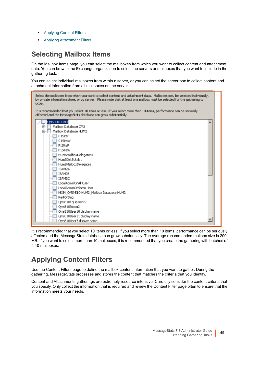- **•** [Applying Content Filters](#page-48-1)
- **•** [Applying Attachment Filters](#page-49-1)

### <span id="page-48-0"></span>**Selecting Mailbox Items**

On the Mailbox Items page, you can select the mailboxes from which you want to collect content and attachment data. You can browse the Exchange organization to select the servers or mailboxes that you want to include in the gathering task.

You can select individual mailboxes from within a server, or you can select the server box to collect content and attachment information from all mailboxes on the server.



It is recommended that you select 10 items or less. If you select more than 10 items, performance can be seriously affected and the MessageStats database can grow substantially. The average recommended mailbox size is 200 MB. If you want to select more than 10 mailboxes, it is recommended that you create the gathering with batches of 5-10 mailboxes.

### <span id="page-48-1"></span>**Applying Content Filters**

.

Use the Content Filters page to define the mailbox content information that you want to gather. During the gathering, MessageStats processes and stores the content that matches the criteria that you identify.

Content and Attachments gatherings are extremely resource intensive. Carefully consider the content criteria that you specify. Only collect the information that is required and review the Content Filter page often to ensure that the information meets your needs.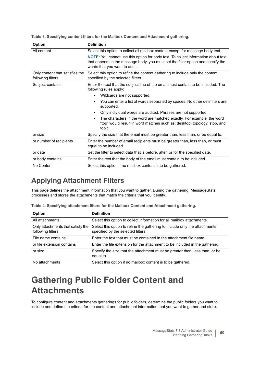| <b>Option</b>                                        | <b>Definition</b>                                                                                                                                                                                             |
|------------------------------------------------------|---------------------------------------------------------------------------------------------------------------------------------------------------------------------------------------------------------------|
| All content                                          | Select this option to collect all mailbox content except for message body text.                                                                                                                               |
|                                                      | <b>NOTE:</b> You cannot use this option for body text. To collect information about text<br>that appears in the message body, you must set the filter option and specify the<br>words that you want to audit. |
| Only content that satisfies the<br>following filters | Select this option to refine the content gathering to include only the content<br>specified by the selected filters.                                                                                          |
| Subject contains                                     | Enter the text that the subject line of the email must contain to be included. The<br>following rules apply:                                                                                                  |
|                                                      | Wildcards are not supported.<br>$\bullet$                                                                                                                                                                     |
|                                                      | You can enter a list of words separated by spaces. No other delimiters are<br>$\bullet$<br>supported.                                                                                                         |
|                                                      | Only individual words are audited. Phrases are not supported.<br>$\bullet$                                                                                                                                    |
|                                                      | The characters in the word are matched exactly. For example, the word<br>$\bullet$<br>"top" would result in word matches such as: desktop, topology, stop, and<br>topic.                                      |
| or size                                              | Specify the size that the email must be greater than, less than, or be equal to.                                                                                                                              |
| or number of recipients                              | Enter the number of email recipients must be greater than, less than, or must<br>equal to be included.                                                                                                        |
| or date                                              | Set the filter to select data that is before, after, or for the specified date.                                                                                                                               |
| or body contains                                     | Enter the text that the body of the email must contain to be included.                                                                                                                                        |
| No Content                                           | Select this option if no mailbox content is to be gathered.                                                                                                                                                   |

**Table 3. Specifying content filters for the Mailbox Content and Attachment gathering.**

### <span id="page-49-1"></span>**Applying Attachment Filters**

This page defines the attachment information that you want to gather. During the gathering, MessageStats processes and stores the attachments that match the criteria that you identify.

| Table 4. Specifying attachment filters for the Mailbox Content and Attachment gathering. |  |  |  |
|------------------------------------------------------------------------------------------|--|--|--|
|------------------------------------------------------------------------------------------|--|--|--|

| <b>Option</b>                                          | <b>Definition</b>                                                                                                |
|--------------------------------------------------------|------------------------------------------------------------------------------------------------------------------|
| All attachments                                        | Select this option to collect information for all mailbox attachments.                                           |
| Only attachments that satisfy the<br>following filters | Select this option to refine the gathering to include only the attachments<br>specified by the selected filters. |
| File name contains                                     | Enter the text that must be contained in the attachment file name.                                               |
| or file extension contains                             | Enter the file extension for the attachment to be included in the gathering.                                     |
| or size                                                | Specify the size that the attachment must be greater than, less than, or be<br>equal to.                         |
| No attachments                                         | Select this option if no mailbox content is to be gathered.                                                      |

## <span id="page-49-2"></span><span id="page-49-0"></span>**Gathering Public Folder Content and Attachments**

To configure content and attachments gatherings for public folders, determine the public folders you want to include and define the criteria for the content and attachment information that you want to gather and store.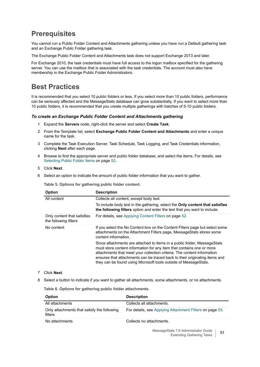### **Prerequisites**

You cannot run a Public Folder Content and Attachments gathering unless you have run a Default gathering task and an Exchange Public Folder gathering task.

The Exchange Public Folder Content and Attachments task does not support Exchange 2013 and later.

For Exchange 2010, the task credentials must have full access to the logon mailbox specified for the gathering server. You can use the mailbox that is associated with the task credentials. The account must also have membership in the Exchange Public Folder Administrators.

### **Best Practices**

It is recommended that you select 10 public folders or less. If you select more than 10 public folders, performance can be seriously affected and the MessageStats database can grow substantially. If you want to select more than 10 public folders, it is recommended that you create multiple gatherings with batches of 5-10 public folders.

#### *To create an Exchange Public Folder Content and Attachments gathering*

- 1 Expand the **Servers** node, right-click the server and select **Create Task**.
- 2 From the Template list, select **Exchange Public Folder Content and Attachments** and enter a unique name for the task.
- 3 Complete the Task Execution Server, Task Schedule, Task Logging, and Task Credentials information, clicking **Next** after each page.
- 4 Browse to find the appropriate server and public folder database, and select the items. For details, see [Selecting Public Folder Items on page 52.](#page-51-1)
- 5 Click **Next**.
- 6 Select an option to indicate the amount of public folder information that you want to gather.

**Table 5. Options for gathering public folder content.**

| <b>Option</b>                                        | <b>Description</b>                                                                                                                                                                                                                                                                                                                                                             |
|------------------------------------------------------|--------------------------------------------------------------------------------------------------------------------------------------------------------------------------------------------------------------------------------------------------------------------------------------------------------------------------------------------------------------------------------|
| All content                                          | Collects all content, except body text.                                                                                                                                                                                                                                                                                                                                        |
|                                                      | To include body text in the gathering, select the <b>Only content that satisfies</b><br>the following filters option and enter the text that you want to include.                                                                                                                                                                                                              |
| Only content that satisfies<br>the following filters | For details, see Applying Content Filters on page 52.                                                                                                                                                                                                                                                                                                                          |
| No content                                           | If you select the No Content box on the Content Filters page but select some<br>attachments on the Attachment Filters page, MessageStats stores some<br>content information.                                                                                                                                                                                                   |
|                                                      | Since attachments are attached to items in a public folder, MessageStats<br>must store content information for any item that contains one or more<br>attachments that meet your collection criteria. The content information<br>ensures that attachments can be traced back to their originating items and<br>they can be found using Microsoft tools outside of MessageStats. |

#### 7 Click **Next**.

8 Select a button to indicate if you want to gather all attachments, some attachments, or no attachments.

**Table 6. Options for gathering public folder attachments.**

| <b>Option</b>                                          | <b>Description</b>                                       |
|--------------------------------------------------------|----------------------------------------------------------|
| All attachments                                        | Collects all attachments.                                |
| Only attachments that satisfy the following<br>filters | For details, see Applying Attachment Filters on page 53. |
| No attachments                                         | Collects no attachments.                                 |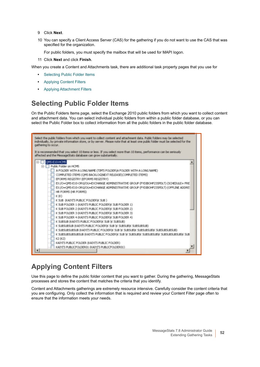- 9 Click **Next**.
- 10 You can specify a Client Access Server (CAS) for the gathering if you do not want to use the CAS that was specified for the organization.

For public folders, you must specify the mailbox that will be used for MAPI logon.

11 Click **Next** and click **Finish**.

When you create a Content and Attachments task, there are additional task property pages that you use for

- **•** [Selecting Public Folder Items](#page-51-1)
- **•** [Applying Content Filters](#page-51-0)
- **•** [Applying Attachment Filters](#page-52-1)

### <span id="page-51-1"></span>**Selecting Public Folder Items**

On the Public Folders Items page, select the Exchange 2010 public folders from which you want to collect content and attachment data. You can select individual public folders from within a public folder database, or you can select the Public Folder box to collect information from all the public folders in the public folder database.

| Select the public folders from which you want to collect content and attachment data. Public folders may be selected<br>individually, by private information store, or by server. Please note that at least one public folder must be selected for the<br>gathering to occur.                                                                                                                                                                                                                                                                                                                                                                                                                                                                                                                                                                                                                                                                                                                                                                                                       |
|-------------------------------------------------------------------------------------------------------------------------------------------------------------------------------------------------------------------------------------------------------------------------------------------------------------------------------------------------------------------------------------------------------------------------------------------------------------------------------------------------------------------------------------------------------------------------------------------------------------------------------------------------------------------------------------------------------------------------------------------------------------------------------------------------------------------------------------------------------------------------------------------------------------------------------------------------------------------------------------------------------------------------------------------------------------------------------------|
| It is recommended that you select 10 items or less. If you select more than 10 items, performance can be seriously<br>affected and the MessageStats database can grow substantially.                                                                                                                                                                                                                                                                                                                                                                                                                                                                                                                                                                                                                                                                                                                                                                                                                                                                                                |
| OMS-E10-HCMS<br>Public Folder on HCMS<br>A FOLDER WITH A LONG NAME (TIM'S FOLDER) A FOLDER WITH A LONG NAME)<br>COMPLETED ITEMS (OMS BACKLOGINEXT RELEASE)COMPLETED ITEMS)<br>EFORMS REGISTRY (EFORMS REGISTRY)<br>EX:/O=OMS-E10-ORG/OU=EXCHANGE ADMINISTRATIVE GROUP (FYDIBOHF23SPDLT) (SCHEDULE+ FRE)<br>EX:/O=OMS-E10-ORG/OU=EXCHANGE ADMINISTRATIVE GROUP (FYDIBOHF23SPDLT) (OFFLINE ADDRE)<br>HR FORMS (HR FORMS)<br>K(K)<br>K SUB (KAIYI'S PUBLIC FOLDER)K SUB )<br>K SUB FOLDER 1 (KAIYI'S PUBLIC FOLDER) K SUB FOLDER 1)<br>K SUB FOLDER 2 (KAIYI'S PUBLIC FOLDER) K SUB FOLDER 2)<br>K SUB FOLDER 3 (KAIYI'S PUBLIC FOLDER) K SUB FOLDER 3)<br>K SUB FOLDER 4 (KAIYI'S PUBLIC FOLDER) K SUB FOLDER 4)<br>K SUBSUB (KAIYI'S PUBLIC FOLDER)K SUB \K SUBSUB)<br>K SUBSUBSUB (KAIYI'S PUBLIC FOLDER)K SUB \K SUBSUB\K SUBSUBSUB)<br>K SUBSUBSUBSUB (KAIYI'S PUBLIC FOLDER)K SUB \K SUBSUB\K SUBSUBSUB\K SUBSUBSUBSUB)<br>K SUBSUBSUBSUBSUB (KATYI'S PUBLIC FOLDER)K SUB \K SUBSUB\K SUBSUBSUB\K SUBSUBSUBSUB\K SUB<br>K2 (K2)<br>KAIYI'S PUBLIC FOLDER (KAIYI'S PUBLIC FOLDER) |
| KAIYI'S PUBLICFOLDER01 (KAIYI'S PUBLICFOLDER01)<br>٠                                                                                                                                                                                                                                                                                                                                                                                                                                                                                                                                                                                                                                                                                                                                                                                                                                                                                                                                                                                                                                |

### <span id="page-51-0"></span>**Applying Content Filters**

Use this page to define the public folder content that you want to gather. During the gathering, MessageStats processes and stores the content that matches the criteria that you identify.

Content and Attachments gatherings are extremely resource intensive. Carefully consider the content criteria that you are configuring. Only collect the information that is required and review your Content Filter page often to ensure that the information meets your needs.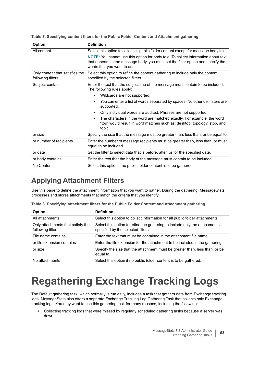| <b>Option</b>                                        | <b>Definition</b>                                                                                                                                                                                      |
|------------------------------------------------------|--------------------------------------------------------------------------------------------------------------------------------------------------------------------------------------------------------|
| All content                                          | Select this option to collect all public folder content except for message body text.                                                                                                                  |
|                                                      | NOTE: You cannot use this option for body text. To collect information about text<br>that appears in the message body, you must set the filter option and specify the<br>words that you want to audit. |
| Only content that satisfies the<br>following filters | Select this option to refine the content gathering to include only the content<br>specified by the selected filters.                                                                                   |
| Subject contains                                     | Enter the text that the subject line of the message must contain to be included.<br>The following rules apply:                                                                                         |
|                                                      | Wildcards are not supported.<br>٠                                                                                                                                                                      |
|                                                      | You can enter a list of words separated by spaces. No other delimiters are<br>supported.                                                                                                               |
|                                                      | Only individual words are audited. Phrases are not supported.                                                                                                                                          |
|                                                      | The characters in the word are matched exactly. For example, the word<br>"top" would result in word matches such as: desktop, topology, stop, and<br>topic.                                            |
| or size                                              | Specify the size that the message must be greater than, less than, or be equal to.                                                                                                                     |
| or number of recipients                              | Enter the number of message recipients must be greater than, less than, or must<br>equal to be included.                                                                                               |
| or date                                              | Set the filter to select data that is before, after, or for the specified date.                                                                                                                        |
| or body contains                                     | Enter the text that the body of the message must contain to be included.                                                                                                                               |
| No Content                                           | Select this option if no public folder content is to be gathered.                                                                                                                                      |

**Table 7. Specifying content filters for the Public Folder Content and Attachment gathering.**

### <span id="page-52-1"></span>**Applying Attachment Filters**

Use this page to define the attachment information that you want to gather. During the gathering, MessageStats processes and stores attachments that match the criteria that you identify.

|  | Table 8. Specifying attachment filters for the Public Folder Content and Attachment gathering. |  |  |  |
|--|------------------------------------------------------------------------------------------------|--|--|--|
|  |                                                                                                |  |  |  |

| <b>Option</b>                                          | <b>Definition</b>                                                                                                |
|--------------------------------------------------------|------------------------------------------------------------------------------------------------------------------|
| All attachments                                        | Select this option to collect information for all public folder attachments.                                     |
| Only attachments that satisfy the<br>following filters | Select this option to refine the gathering to include only the attachments<br>specified by the selected filters. |
| File name contains                                     | Enter the text that must be contained in the attachment file name.                                               |
| or file extension contains                             | Enter the file extension for the attachment to be included in the gathering.                                     |
| or size                                                | Specify the size that the attachment must be greater than, less than, or be<br>equal to.                         |
| No attachments                                         | Select this option if no public folder content is to be gathered.                                                |

# <span id="page-52-0"></span>**Regathering Exchange Tracking Logs**

The Default gathering task, which normally is run daily, includes a task that gathers data from Exchange tracking logs. MessageStats also offers a separate Exchange Tracking Log Gathering Task that collects only Exchange tracking logs. You may want to use this gathering task for many reasons, including the following:

**•** Collecting tracking logs that were missed by regularly scheduled gathering tasks because a server was down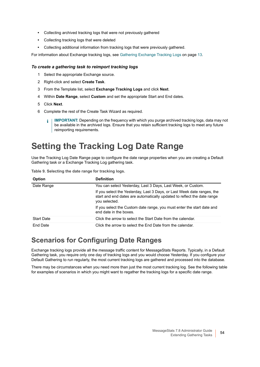- **•** Collecting archived tracking logs that were not previously gathered
- **•** Collecting tracking logs that were deleted
- **•** Collecting additional information from tracking logs that were previously gathered.

For information about Exchange tracking logs, see [Gathering Exchange Tracking Logs on page 13.](#page-12-0)

#### *To create a gathering task to reimport tracking logs*

- 1 Select the appropriate Exchange source.
- 2 Right-click and select **Create Task**.
- 3 From the Template list, select **Exchange Tracking Logs** and click **Next**.
- 4 Within **Date Range**, select **Custom** and set the appropriate Start and End dates.
- 5 Click **Next**.
- 6 Complete the rest of the Create Task Wizard as required.
	- **IMPORTANT:** Depending on the frequency with which you purge archived tracking logs, data may not  $\ddot{\bullet}$ be available in the archived logs. Ensure that you retain sufficient tracking logs to meet any future reimporting requirements.

# **Setting the Tracking Log Date Range**

Use the Tracking Log Date Range page to configure the date range properties when you are creating a Default Gathering task or a Exchange Tracking Log gathering task.

| Table 9. Selecting the date range for tracking logs. |  |  |  |
|------------------------------------------------------|--|--|--|
|                                                      |  |  |  |
|                                                      |  |  |  |

| <b>Option</b>     | <b>Definition</b>                                                                                                                                                   |
|-------------------|---------------------------------------------------------------------------------------------------------------------------------------------------------------------|
| Date Range        | You can select Yesterday, Last 3 Days, Last Week, or Custom.                                                                                                        |
|                   | If you select the Yesterday, Last 3 Days, or Last Week date ranges, the<br>start and end dates are automatically updated to reflect the date range<br>you selected. |
|                   | If you select the Custom date range, you must enter the start date and<br>end date in the boxes.                                                                    |
| <b>Start Date</b> | Click the arrow to select the Start Date from the calendar.                                                                                                         |
| End Date          | Click the arrow to select the End Date from the calendar.                                                                                                           |

#### <span id="page-53-0"></span>**Scenarios for Configuring Date Ranges**

Exchange tracking logs provide all the message traffic content for MessageStats Reports. Typically, in a Default Gathering task, you require only one day of tracking logs and you would choose Yesterday. If you configure your Default Gathering to run regularly, the most current tracking logs are gathered and processed into the database.

There may be circumstances when you need more than just the most current tracking log. See the following table for examples of scenarios in which you might want to regather the tracking logs for a specific date range.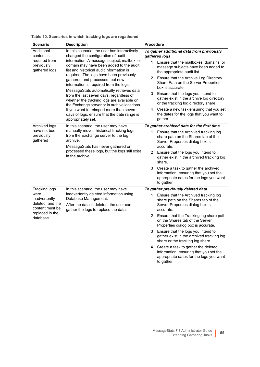| <b>Scenario</b>                                                          | <b>Description</b>                                                                                                                                                                                                                                                                                                                                                                                                                                                                                                                                                                                                                                     | <b>Procedure</b>                                                                                                                                                                                                                                                                                                                                                                                                                                                                                                                |
|--------------------------------------------------------------------------|--------------------------------------------------------------------------------------------------------------------------------------------------------------------------------------------------------------------------------------------------------------------------------------------------------------------------------------------------------------------------------------------------------------------------------------------------------------------------------------------------------------------------------------------------------------------------------------------------------------------------------------------------------|---------------------------------------------------------------------------------------------------------------------------------------------------------------------------------------------------------------------------------------------------------------------------------------------------------------------------------------------------------------------------------------------------------------------------------------------------------------------------------------------------------------------------------|
| Additional<br>content is<br>required from<br>previously<br>gathered logs | In this scenario, the user has interactively<br>changed the configuration of audit<br>information. A message subject, mailbox, or<br>domain may have been added to the audit<br>list and historical audit information is<br>required. The logs have been previously<br>gathered and processed, but new<br>information is required from the logs.<br>MessageStats automatically retrieves data<br>from the last seven days, regardless of<br>whether the tracking logs are available on<br>the Exchange server or in archive locations.<br>If you want to reimport more than seven<br>days of logs, ensure that the date range is<br>appropriately set. | To gather additional data from previously<br>gathered logs<br>Ensure that the mailboxes, domains, or<br>1.<br>message subjects have been added to<br>the appropriate audit list.<br>Ensure that the Archive Log Directory<br>2<br>Share Path on the Server Properties<br>box is accurate.<br>3<br>Ensure that the logs you intend to<br>gather exist in the archive log directory<br>or the tracking log directory share.<br>Create a new task ensuring that you set<br>4<br>the dates for the logs that you want to<br>gather. |
| Archived logs                                                            | In this scenario, the user may have<br>manually moved historical tracking logs<br>from the Exchange server to the log<br>archive.<br>MessageStats has never gathered or<br>processed these logs, but the logs still exist<br>in the archive.                                                                                                                                                                                                                                                                                                                                                                                                           | To gather archived data for the first time                                                                                                                                                                                                                                                                                                                                                                                                                                                                                      |
| have not been<br>previously<br>gathered                                  |                                                                                                                                                                                                                                                                                                                                                                                                                                                                                                                                                                                                                                                        | Ensure that the Archived tracking log<br>1<br>share path on the Shares tab of the<br>Server Properties dialog box is<br>accurate.                                                                                                                                                                                                                                                                                                                                                                                               |
|                                                                          |                                                                                                                                                                                                                                                                                                                                                                                                                                                                                                                                                                                                                                                        | $\overline{2}$<br>Ensure that the logs you intend to<br>gather exist in the archived tracking log<br>share.                                                                                                                                                                                                                                                                                                                                                                                                                     |
|                                                                          |                                                                                                                                                                                                                                                                                                                                                                                                                                                                                                                                                                                                                                                        | 3<br>Create a task to gather the archived<br>information, ensuring that you set the<br>appropriate dates for the logs you want<br>to gather.                                                                                                                                                                                                                                                                                                                                                                                    |
| Tracking logs                                                            | In this scenario, the user may have<br>inadvertently deleted information using<br>Database Management.<br>After the data is deleted, the user can<br>gather the logs to replace the data.                                                                                                                                                                                                                                                                                                                                                                                                                                                              | To gather previously deleted data                                                                                                                                                                                                                                                                                                                                                                                                                                                                                               |
| were<br>inadvertently<br>deleted, and the<br>content must be             |                                                                                                                                                                                                                                                                                                                                                                                                                                                                                                                                                                                                                                                        | Ensure that the Archived tracking log<br>1.<br>share path on the Shares tab of the<br>Server Properties dialog box is<br>accurate.                                                                                                                                                                                                                                                                                                                                                                                              |
| replaced in the<br>database.                                             |                                                                                                                                                                                                                                                                                                                                                                                                                                                                                                                                                                                                                                                        | 2<br>Ensure that the Tracking log share path<br>on the Shares tab of the Server<br>Properties dialog box is accurate.                                                                                                                                                                                                                                                                                                                                                                                                           |
|                                                                          |                                                                                                                                                                                                                                                                                                                                                                                                                                                                                                                                                                                                                                                        | 3<br>Ensure that the logs you intend to<br>gather exist in the archived tracking log<br>share or the tracking log share.                                                                                                                                                                                                                                                                                                                                                                                                        |
|                                                                          |                                                                                                                                                                                                                                                                                                                                                                                                                                                                                                                                                                                                                                                        | Create a task to gather the deleted<br>4<br>information, ensuring that you set the<br>appropriate dates for the logs you want<br>to gather.                                                                                                                                                                                                                                                                                                                                                                                     |

**Table 10. Scenarios in which tracking logs are regathered**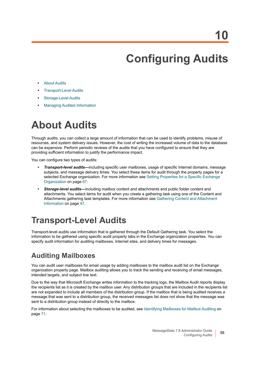# <span id="page-55-0"></span>**Configuring Audits**

- **•** [About Audits](#page-55-1)
- **•** [Transport-Level Audits](#page-55-2)
- **•** [Storage-Level Audits](#page-56-0)
- **•** [Managing Audited Information](#page-57-0)

# <span id="page-55-1"></span>**About Audits**

Through audits, you can collect a large amount of information that can be used to identify problems, misuse of resources, and system delivery issues. However, the cost of writing the increased volume of data to the database can be expensive. Perform periodic reviews of the audits that you have configured to ensure that they are providing sufficient information to justify the performance impact.

You can configure two types of audits:

- **•** *Transport-level audits—*including specific user mailboxes, usage of specific Internet domains, message subjects, and message delivery times. You select these items for audit through the property pages for a selected Exchange organization. For more information see Setting Properties for a Specific Exchange [Organization on page 67](#page-66-0).
- **•** *Storage-level audits—*including mailbox content and attachments and public folder content and attachments. You select items for audit when you create a gathering task using one of the Content and Attachments gathering task templates. For more information see [Gathering Content and Attachment](#page-46-3)  [Information on page 47](#page-46-3).

## <span id="page-55-2"></span>**Transport-Level Audits**

Transport-level audits use information that is gathered through the Default Gathering task. You select the information to be gathered using specific audit property tabs in the Exchange organization properties. You can specify audit information for auditing mailboxes, Internet sites, and delivery times for messages.

### **Auditing Mailboxes**

You can audit user mailboxes for email usage by adding mailboxes to the mailbox audit list on the Exchange organization property page. Mailbox auditing allows you to track the sending and receiving of email messages, intended targets, and subject line text.

Due to the way that Microsoft Exchange writes information to the tracking logs, the Mailbox Audit reports display the recipients list as it is created by the mailbox user. Any distribution groups that are included in the recipients list are not expanded to include all members of the distribution group. If the mailbox that is being audited receives a message that was sent to a distribution group, the received messages list does not show that the message was sent to a distribution group instead of directly to the mailbox.

For information about selecting the mailboxes to be audited, see [Identifying Mailboxes for Mailbox Auditing on](#page-70-0)  [page 71](#page-70-0).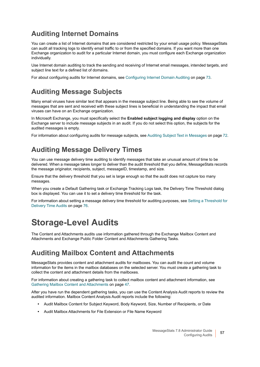### **Auditing Internet Domains**

You can create a list of Internet domains that are considered restricted by your email usage policy. MessageStats can audit all tracking logs to identify email traffic to or from the specified domains. If you want more than one Exchange organization to audit for a particular Internet domain, you must configure each Exchange organization individually.

Use Internet domain auditing to track the sending and receiving of Internet email messages, intended targets, and subject line text for a defined list of domains.

For about configuring audits for Internet domains, see [Configuring Internet Domain Auditing on page 73](#page-72-0).

### **Auditing Message Subjects**

Many email viruses have similar text that appears in the message subject line. Being able to see the volume of messages that are sent and received with these subject lines is beneficial in understanding the impact that email viruses can have on an Exchange organization.

In Microsoft Exchange, you must specifically select the **Enabled subject logging and display** option on the Exchange server to include message subjects in an audit. If you do not select this option, the subjects for the audited messages is empty.

For information about configuring audits for message subjects, see [Auditing Subject Text in Messages on page 72.](#page-71-0)

### **Auditing Message Delivery Times**

You can use message delivery time auditing to identify messages that take an unusual amount of time to be delivered. When a message takes longer to deliver than the audit threshold that you define, MessageStats records the message originator, recipients, subject, messageID, timestamp, and size.

Ensure that the delivery threshold that you set is large enough so that the audit does not capture too many messages.

When you create a Default Gathering task or Exchange Tracking Logs task, the Delivery Time Threshold dialog box is displayed. You can use it to set a delivery time threshold for the task.

For information about setting a message delivery time threshold for auditing purposes, see [Setting a Threshold for](#page-75-0)  [Delivery Time Audits on page 76.](#page-75-0)

## <span id="page-56-0"></span>**Storage-Level Audits**

The Content and Attachments audits use information gathered through the Exchange Mailbox Content and Attachments and Exchange Public Folder Content and Attachments Gathering Tasks.

#### **Auditing Mailbox Content and Attachments**

MessageStats provides content and attachment audits for mailboxes. You can audit the count and volume information for the items in the mailbox databases on the selected server. You must create a gathering task to collect the content and attachment details from the mailboxes.

For information about creating a gathering task to collect mailbox content and attachment information, see [Gathering Mailbox Content and Attachments on page 47.](#page-46-4)

After you have run the dependent gathering tasks, you can use the Content Analysis Audit reports to review the audited information. Mailbox Content Analysis Audit reports include the following:

- **•** Audit Mailbox Content for Subject Keyword, Body Keyword, Size, Number of Recipients, or Date
- **•** Audit Mailbox Attachments for File Extension or File Name Keyword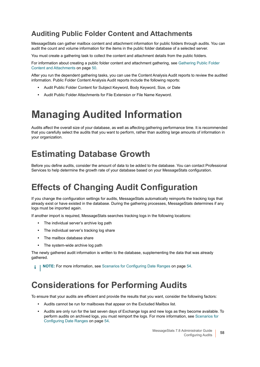### **Auditing Public Folder Content and Attachments**

MessageStats can gather mailbox content and attachment information for public folders through audits. You can audit the count and volume information for the items in the public folder database of a selected server.

You must create a gathering task to collect the content and attachment details from the public folders.

For information about creating a public folder content and attachment gathering, see [Gathering Public Folder](#page-49-2)  [Content and Attachments on page 50](#page-49-2).

After you run the dependent gathering tasks, you can use the Content Analysis Audit reports to review the audited information. Public Folder Content Analysis Audit reports include the following reports:

- **•** Audit Public Folder Content for Subject Keyword, Body Keyword, Size, or Date
- **•** Audit Public Folder Attachments for File Extension or File Name Keyword.

# <span id="page-57-1"></span><span id="page-57-0"></span>**Managing Audited Information**

Audits affect the overall size of your database, as well as affecting gathering performance time. It is recommended that you carefully select the audits that you want to perform, rather than auditing large amounts of information in your organization.

## **Estimating Database Growth**

Before you define audits, consider the amount of data to be added to the database. You can contact Professional Services to help determine the growth rate of your database based on your MessageStats configuration.

### **Effects of Changing Audit Configuration**

If you change the configuration settings for audits, MessageStats automatically reimports the tracking logs that already exist or have existed in the database. During the gathering processes, MessageStats determines if any logs must be imported again.

If another import is required, MessageStats searches tracking logs in the following locations:

- **•** The individual server's archive log path
- **•** The individual server's tracking log share
- **•** The mailbox database share
- **•** The system-wide archive log path

The newly gathered audit information is written to the database, supplementing the data that was already gathered.

**NOTE: For more information, see [Scenarios for Configuring Date Ranges on page 54.](#page-53-0)** f.

### **Considerations for Performing Audits**

To ensure that your audits are efficient and provide the results that you want, consider the following factors:

- **•** Audits cannot be run for mailboxes that appear on the Excluded Mailbox list.
- **•** Audits are only run for the last seven days of Exchange logs and new logs as they become available. To perform audits on archived logs, you must reimport the logs. For more information, see [Scenarios for](#page-53-0)  [Configuring Date Ranges on page 54](#page-53-0).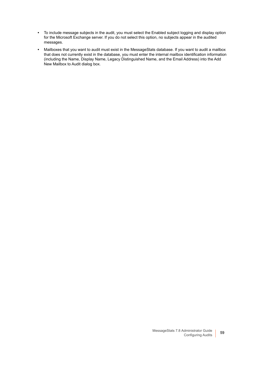- **•** To include message subjects in the audit, you must select the Enabled subject logging and display option for the Microsoft Exchange server. If you do not select this option, no subjects appear in the audited messages.
- **•** Mailboxes that you want to audit must exist in the MessageStats database. If you want to audit a mailbox that does not currently exist in the database, you must enter the internal mailbox identification information (including the Name, Display Name, Legacy Distinguished Name, and the Email Address) into the Add New Mailbox to Audit dialog box.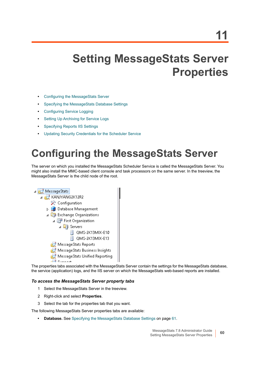# **Setting MessageStats Server Properties**

- **•** [Configuring the MessageStats Server](#page-59-0)
- **•** [Specifying the MessageStats Database Settings](#page-60-1)
- **•** [Configuring Service Logging](#page-60-2)
- **•** [Setting Up Archiving for Service Logs](#page-61-0)
- **•** [Specifying Reports IIS Settings](#page-62-0)
- **•** [Updating Security Credentials for the Scheduler Service](#page-62-1)

# <span id="page-59-0"></span>**Configuring the MessageStats Server**

The server on which you installed the MessageStats Scheduler Service is called the MessageStats Server. You might also install the MMC-based client console and task processors on the same server. In the treeview, the MessageStats Server is the child node of the root.



The properties tabs associated with the MessageStats Server contain the settings for the MessageStats database, the service (application) logs, and the IIS server on which the MessageStats web-based reports are installed.

#### *To access the MessageStats Server property tabs*

- 1 Select the MessageStats Server in the treeview.
- 2 Right-click and select **Properties**.
- 3 Select the tab for the properties tab that you want.

The following MessageStats Server properties tabs are available:

**• Database.** See [Specifying the MessageStats Database Settings on page 61.](#page-60-1)

**60**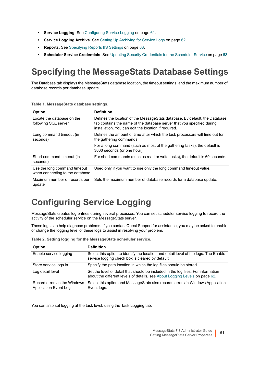- **Service Logging**. See [Configuring Service Logging on page 61.](#page-60-2)
- **Service Logging Archive**. See [Setting Up Archiving for Service Logs on page 62](#page-61-0).
- **Reports**. See [Specifying Reports IIS Settings on page 63.](#page-62-0)
- **Scheduler Service Credentials**. See [Updating Security Credentials for the Scheduler Service on page 63.](#page-62-1)

## <span id="page-60-1"></span>**Specifying the MessageStats Database Settings**

The Database tab displays the MessageStats database location, the timeout settings, and the maximum number of database records per database update.

| <b>Option</b>                                                   | <b>Definition</b>                                                                                                                                                                                             |
|-----------------------------------------------------------------|---------------------------------------------------------------------------------------------------------------------------------------------------------------------------------------------------------------|
| Locate the database on the<br>following SQL server              | Defines the location of the MessageStats database. By default, the Database<br>tab contains the name of the database server that you specified during<br>installation. You can edit the location if required. |
| Long command timeout (in<br>seconds)                            | Defines the amount of time after which the task processors will time out for<br>the gathering commands.                                                                                                       |
|                                                                 | For a long command (such as most of the gathering tasks), the default is<br>3600 seconds (or one hour).                                                                                                       |
| Short command timeout (in<br>seconds)                           | For short commands (such as read or write tasks), the default is 60 seconds.                                                                                                                                  |
| Use the long command timeout<br>when connecting to the database | Used only if you want to use only the long command timeout value.                                                                                                                                             |
| Maximum number of records per<br>update                         | Sets the maximum number of database records for a database update.                                                                                                                                            |

**Table 1. MessageStats database settings.**

# <span id="page-60-2"></span><span id="page-60-0"></span>**Configuring Service Logging**

MessageStats creates log entries during several processes. You can set scheduler service logging to record the activity of the scheduler service on the MessageStats server.

These logs can help diagnose problems. If you contact Quest Support for assistance, you may be asked to enable or change the logging level of these logs to assist in resolving your problem.

| <b>Option</b>                                         | <b>Definition</b>                                                                                                                                                |
|-------------------------------------------------------|------------------------------------------------------------------------------------------------------------------------------------------------------------------|
| Enable service logging                                | Select this option to identify the location and detail level of the logs. The Enable<br>service logging check box is cleared by default.                         |
| Store service logs in                                 | Specify the path location in which the log files should be stored.                                                                                               |
| Log detail level                                      | Set the level of detail that should be included in the log files. For information<br>about the different levels of details, see About Logging Levels on page 62. |
| Record errors in the Windows<br>Application Event Log | Select this option and MessageStats also records errors in Windows Application<br>Event logs.                                                                    |

**Table 2. Setting logging for the MessageStats scheduler service.**

You can also set logging at the task level, using the Task Logging tab.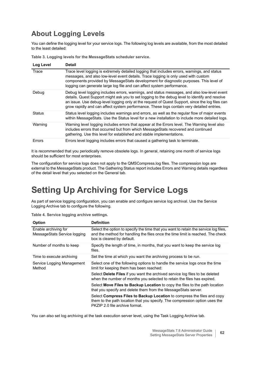### <span id="page-61-1"></span>**About Logging Levels**

You can define the logging level for your service logs. The following log levels are available, from the most detailed to the least detailed:

| Log Level     | <b>Detail</b>                                                                                                                                                                                                                                                                                                                                                                                  |
|---------------|------------------------------------------------------------------------------------------------------------------------------------------------------------------------------------------------------------------------------------------------------------------------------------------------------------------------------------------------------------------------------------------------|
| Trace         | Trace level logging is extremely detailed logging that includes errors, warnings, and status<br>messages, and also low-level event details. Trace logging is only used with custom<br>components provided by MessageStats development for diagnostic purposes. This level of<br>logging can generate large log file and can affect system performance.                                         |
| Debug         | Debug level logging includes errors, warnings, and status messages, and also low-level event<br>details. Quest Support might ask you to set logging to the debug level to identify and resolve<br>an issue. Use debug-level logging only at the request of Quest Support, since the log files can<br>grow rapidly and can affect system performance. These logs contain very detailed entries. |
| <b>Status</b> | Status level logging includes warnings and errors, as well as the regular flow of major events<br>within MessageStats. Use the Status level for a new installation to include more detailed logs.                                                                                                                                                                                              |
| Warning       | Warning level logging includes errors that appear at the Errors level. The Warning level also<br>includes errors that occurred but from which MessageStats recovered and continued<br>gathering. Use this level for established and stable implementations.                                                                                                                                    |
| Errors        | Errors level logging includes errors that caused a gathering task to terminate.                                                                                                                                                                                                                                                                                                                |

**Table 3. Logging levels for the MessageStats scheduler service.**

It is recommended that you periodically remove obsolete logs. In general, retaining one month of service logs should be sufficient for most enterprises.

The configuration for service logs does not apply to the QMSCompress.log files. The compression logs are external to the MessageStats product. The Gathering Status report includes Errors and Warning details regardless of the detail level that you selected on the General tab.

# <span id="page-61-0"></span>**Setting Up Archiving for Service Logs**

As part of service logging configuration, you can enable and configure service log archival. Use the Service Logging Archive tab to configure the following.

| <b>Option</b>                                        | <b>Definition</b>                                                                                                                                                                                     |
|------------------------------------------------------|-------------------------------------------------------------------------------------------------------------------------------------------------------------------------------------------------------|
| Enable archiving for<br>MessageStats Service logging | Select the option to specify the time that you want to retain the service log files,<br>and the method for handling the files once the time limit is reached. The check<br>box is cleared by default. |
| Number of months to keep                             | Specify the length of time, in months, that you want to keep the service log<br>files.                                                                                                                |
| Time to execute archiving                            | Set the time at which you want the archiving process to be run.                                                                                                                                       |
| Service Logging Management<br>Method                 | Select one of the following options to handle the service logs once the time<br>limit for keeping them has been reached:                                                                              |
|                                                      | Select Delete Files if you want the archived service log files to be deleted<br>when the number of months you selected to retain the files has expired.                                               |
|                                                      | Select Move Files to Backup Location to copy the files to the path location<br>that you specify and delete them from the Message Stats server.                                                        |
|                                                      | Select Compress Files to Backup Location to compress the files and copy<br>them to the path location that you specify. The compression option uses the<br>PKZIP 2.0 file archive format.              |

You can also set log archiving at the task execution server level, using the Task Logging Archive tab.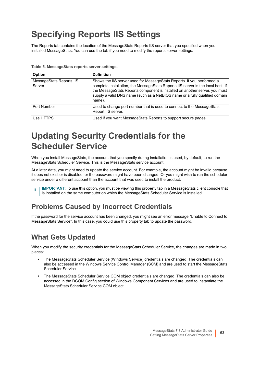# <span id="page-62-0"></span>**Specifying Reports IIS Settings**

The Reports tab contains the location of the MessageStats Reports IIS server that you specified when you installed MessageStats. You can use the tab if you need to modify the reports server settings.

**Table 5. MessageStats reports server settings.**

| <b>Option</b>                      | <b>Definition</b>                                                                                                                                                                                                                                                                                                                  |
|------------------------------------|------------------------------------------------------------------------------------------------------------------------------------------------------------------------------------------------------------------------------------------------------------------------------------------------------------------------------------|
| MessageStats Reports IIS<br>Server | Shows the IIS server used for MessageStats Reports. If you performed a<br>complete installation, the MessageStats Reports IIS server is the local host. If<br>the MessageStats Reports component is installed on another server, you must<br>supply a valid DNS name (such as a NetBIOS name or a fully qualified domain<br>name). |
| Port Number                        | Used to change port number that is used to connect to the Message Stats<br>Report IIS server.                                                                                                                                                                                                                                      |
| Use HTTPS                          | Used if you want Message Stats Reports to support secure pages.                                                                                                                                                                                                                                                                    |

## <span id="page-62-1"></span>**Updating Security Credentials for the Scheduler Service**

When you install MessageStats, the account that you specify during installation is used, by default, to run the MessageStats Scheduler Service. This is the MessageStats service account.

At a later date, you might need to update the service account. For example, the account might be invalid because it does not exist or is disabled, or the password might have been changed. Or you might wish to run the scheduler service under a different account than the account that was used to install the product.

**IMPORTANT:** To use this option, you must be viewing this property tab in a MessageStats client console that f is installed on the same computer on which the MessageStats Scheduler Service is installed.

### **Problems Caused by Incorrect Credentials**

If the password for the service account has been changed, you might see an error message "Unable to Connect to MessageStats Service". In this case, you could use this property tab to update the password.

### **What Gets Updated**

When you modify the security credentials for the MessageStats Scheduler Service, the changes are made in two places:

- **•** The MessageStats Scheduler Service (Windows Service) credentials are changed. The credentials can also be accessed in the Windows Service Control Manager (SCM) and are used to start the MessageStats Scheduler Service.
- **•** The MessageStats Scheduler Service COM object credentials are changed. The credentials can also be accessed in the DCOM Config section of Windows Component Services and are used to instantiate the MessageStats Scheduler Service COM object.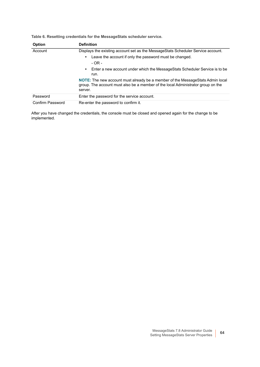**Table 6. Resetting credentials for the MessageStats scheduler service.**

| <b>Option</b>    | <b>Definition</b>                                                                                                                                                                    |
|------------------|--------------------------------------------------------------------------------------------------------------------------------------------------------------------------------------|
| Account          | Displays the existing account set as the MessageStats Scheduler Service account.                                                                                                     |
|                  | Leave the account if only the password must be changed.<br>$\bullet$                                                                                                                 |
|                  | $-OR -$                                                                                                                                                                              |
|                  | Enter a new account under which the Message Stats Scheduler Service is to be<br>$\bullet$<br>run.                                                                                    |
|                  | <b>NOTE:</b> The new account must already be a member of the MessageStats Admin local<br>group. The account must also be a member of the local Administrator group on the<br>server. |
| Password         | Enter the password for the service account.                                                                                                                                          |
| Confirm Password | Re-enter the password to confirm it.                                                                                                                                                 |

After you have changed the credentials, the console must be closed and opened again for the change to be implemented.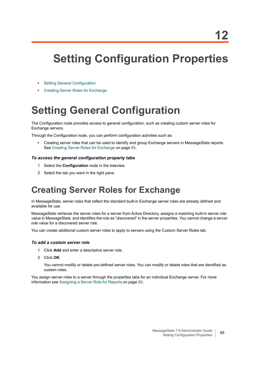# **Setting Configuration Properties**

- **•** [Setting General Configuration](#page-64-0)
- **•** [Creating Server Roles for Exchange](#page-64-1)

# <span id="page-64-0"></span>**Setting General Configuration**

The Configuration node provides access to general configuration, such as creating custom server roles for Exchange servers.

Through the Configuration node, you can perform configuration activities such as:

**•** Creating server roles that can be used to identify and group Exchange servers in MessageStats reports. See [Creating Server Roles for Exchange on page 65.](#page-64-1)

#### *To access the general configuration property tabs*

- 1 Select the **Configuration** node in the treeview.
- 2 Select the tab you want in the right pane.

## <span id="page-64-1"></span>**Creating Server Roles for Exchange**

In MessageStats, server roles that reflect the standard built-in Exchange server roles are already defined and available for use.

MessageStats retrieves the server roles for a server from Active Directory, assigns a matching built-in server role value in MessageStats, and identifies the role as "discovered" in the server properties. You cannot change a server role value for a discovered server role.

You can create additional custom server roles to apply to servers using the Custom Server Roles tab.

#### *To add a custom server role*

- 1 Click **Add** and enter a descriptive server role.
- 2 Click **OK**.

You cannot modify or delete pre-defined server roles. You can modify or delete roles that are identified as custom roles.

You assign server roles to a server through the properties tabs for an individual Exchange server. For more information see [Assigning a Server Role for Reports on page 82.](#page-81-0)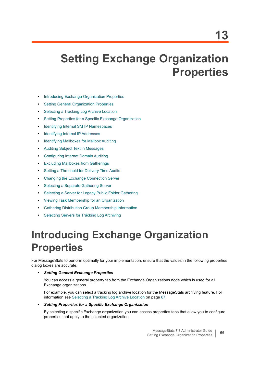# **Setting Exchange Organization Properties**

- **•** [Introducing Exchange Organization Properties](#page-65-0)
- **•** [Setting General Organization Properties](#page-66-3)
- **•** [Selecting a Tracking Log Archive Location](#page-66-2)
- **•** [Setting Properties for a Specific Exchange Organization](#page-66-1)
- **•** [Identifying Internal SMTP Namespaces](#page-67-0)
- **•** [Identifying Internal IP Addresses](#page-69-0)
- **•** [Identifying Mailboxes for Mailbox Auditing](#page-70-1)
- **•** [Auditing Subject Text in Messages](#page-71-1)
- **•** [Configuring Internet Domain Auditing](#page-72-1)
- **•** [Excluding Mailboxes from Gatherings](#page-73-0)
- **•** [Setting a Threshold for Delivery Time Audits](#page-75-1)
- **•** [Changing the Exchange Connection Server](#page-75-2)
- **•** [Selecting a Separate Gathering Server](#page-77-1)
- **•** [Selecting a Server for Legacy Public Folder Gathering](#page-79-2)
- **•** [Viewing Task Membership for an Organization](#page-79-0)
- **•** [Gathering Distribution Group Membership Information](#page-79-1)
- **•** [Selecting Servers for Tracking Log Archiving](#page-80-0)

# <span id="page-65-0"></span>**Introducing Exchange Organization Properties**

For MessageStats to perform optimally for your implementation, ensure that the values in the following properties dialog boxes are accurate:

#### **•** *Setting General Exchange Properties*

You can access a general property tab from the Exchange Organizations node which is used for all Exchange organizations.

For example, you can select a tracking log archive location for the MessageStats archiving feature. For information see [Selecting a Tracking Log Archive Location on page 67](#page-66-2).

#### **•** *Setting Properties for a Specific Exchange Organization*

By selecting a specific Exchange organization you can access properties tabs that allow you to configure properties that apply to the selected organization.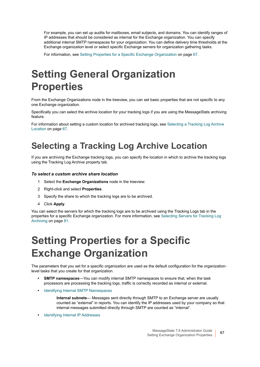For example, you can set up audits for mailboxes, email subjects, and domains. You can identify ranges of IP addresses that should be considered as internal for the Exchange organization. You can specify additional internal SMTP namespaces for your organization. You can define delivery time thresholds at the Exchange organization level or select specific Exchange servers for organization gathering tasks.

For information, see [Setting Properties for a Specific Exchange Organization on page 67](#page-66-1).

# <span id="page-66-3"></span>**Setting General Organization Properties**

From the Exchange Organizations node in the treeview, you can set basic properties that are not specific to any one Exchange organization.

Specifically you can select the archive location for your tracking logs if you are using the MessageStats archiving feature.

For information about setting a custom location for archived tracking logs, see [Selecting a Tracking Log Archive](#page-66-2)  [Location on page 67](#page-66-2).

## <span id="page-66-2"></span>**Selecting a Tracking Log Archive Location**

If you are archiving the Exchange tracking logs, you can specify the location in which to archive the tracking logs using the Tracking Log Archive property tab.

#### *To select a custom archive share location*

- 1 Select the **Exchange Organizations** node in the treeview.
- 2 Right-click and select **Properties**.
- 3 Specify the share to which the tracking logs are to be archived.
- 4 Click **Apply**.

You can select the servers for which the tracking logs are to be archived using the Tracking Logs tab in the properties for a specific Exchange organization. For more information, see [Selecting Servers for Tracking Log](#page-80-0)  [Archiving on page 81](#page-80-0).

# <span id="page-66-1"></span><span id="page-66-0"></span>**Setting Properties for a Specific Exchange Organization**

The parameters that you set for a specific organization are used as the default configuration for the organizationlevel tasks that you create for that organization.

- **SMTP namespaces**—You can modify internal SMTP namespaces to ensure that, when the task processors are processing the tracking logs, traffic is correctly recorded as internal or external.
- **•** [Identifying Internal SMTP Namespaces](#page-67-0)

**Internal subnets**— Messages sent directly through SMTP to an Exchange server are usually counted as "external" in reports. You can identify the IP addresses used by your company so that internal messages submitted directly through SMTP are counted as "internal".

**•** [Identifying Internal IP Addresses](#page-69-0)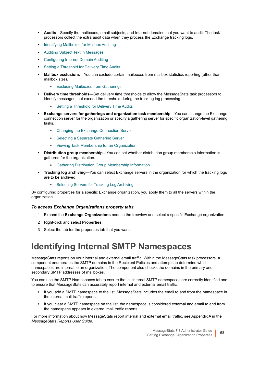- **Audits**—Specify the mailboxes, email subjects, and Internet domains that you want to audit. The task processors collect the extra audit data when they process the Exchange tracking logs.
- **•** [Identifying Mailboxes for Mailbox Auditing](#page-70-1)
- **•** [Auditing Subject Text in Messages](#page-71-1)
- **•** [Configuring Internet Domain Auditing](#page-72-1)
- **•** [Setting a Threshold for Delivery Time Audits](#page-75-1)
- **Mailbox exclusions**—You can exclude certain mailboxes from mailbox statistics reporting (other than mailbox size).
	- **▪** [Excluding Mailboxes from Gatherings](#page-73-0)
- **Delivery time thresholds**—Set delivery time thresholds to allow the MessageStats task processors to identify messages that exceed the threshold during the tracking log processing.
	- **[Setting a Threshold for Delivery Time Audits](#page-75-1)**
- **Exchange servers for gatherings and organization task membership—You can change the Exchange** connection server for the organization or specify a gathering server for specific organization-level gathering tasks.
	- **▪** [Changing the Exchange Connection Server](#page-75-2)
	- **▪** [Selecting a Separate Gathering Server](#page-77-1)
	- **▪** [Viewing Task Membership for an Organization](#page-79-0)
- **Distribution group membership**—You can set whether distribution group membership information is gathered for the organization.
	- **[Gathering Distribution Group Membership Information](#page-79-1)**
- **Tracking log archiving**—You can select Exchange servers in the organization for which the tracking logs are to be archived.
	- **[Selecting Servers for Tracking Log Archiving](#page-80-0)**

By configuring properties for a specific Exchange organization, you apply them to all the servers within the organization.

#### *To access Exchange Organizations property tabs*

- 1 Expand the **Exchange Organizations** node in the treeview and select a specific Exchange organization.
- 2 Right-click and select **Properties**.
- 3 Select the tab for the properties tab that you want.

### <span id="page-67-0"></span>**Identifying Internal SMTP Namespaces**

MessageStats reports on your internal and external email traffic. Within the MessageStats task processors, a component enumerates the SMTP domains in the Recipient Policies and attempts to determine which namespaces are internal to an organization. The component also checks the domains in the primary and secondary SMTP addresses of mailboxes.

You can use the SMTP Namespaces tab to ensure that all internal SMTP namespaces are correctly identified and to ensure that MessageStats can accurately report internal and external email traffic.

- **•** If you add a SMTP namespace to the list, MessageStats includes the email to and from the namespace in the internal mail traffic reports.
- **•** If you clear a SMTP namespace on the list, the namespace is considered external and email to and from the namespace appears in external mail traffic reports.

For more information about how MessageStats report internal and external email traffic, see Appendix A in the *MessageStats Reports User Guide*.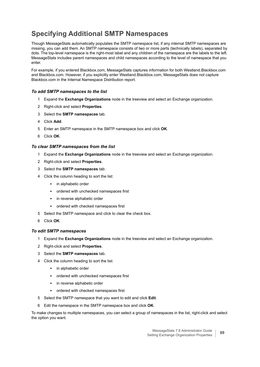### **Specifying Additional SMTP Namespaces**

Though MessageStats automatically populates the SMTP namespace list, if any internal SMTP namespaces are missing, you can add them. An SMTP namespace consists of two or more parts (technically labels), separated by dots. The top-level namespace is the right-most label and any children of the namespace are the labels to the left. MessageStats includes parent namespaces and child namespaces according to the level of namespace that you enter.

For example, if you entered Blackbox.com, MessageStats captures information for both Westland.Blackbox.com and Blackbox.com. However, if you explicitly enter Westland.Blackbox.com, MessageStats does not capture Blackbox.com in the Internal Namespace Distribution report.

#### *To add SMTP namespaces to the list*

- 1 Expand the **Exchange Organizations** node in the treeview and select an Exchange organization.
- 2 Right-click and select **Properties**.
- 3 Select the **SMTP namespaces** tab.
- 4 Click **Add**.
- 5 Enter an SMTP namespace in the SMTP namespace box and click **OK**.
- 6 Click **OK**.

#### *To clear SMTP namespaces from the list*

- 1 Expand the **Exchange Organizations** node in the treeview and select an Exchange organization.
- 2 Right-click and select **Properties**.
- 3 Select the **SMTP namespaces** tab.
- 4 Click the column heading to sort the list:
	- **▪** in alphabetic order
	- **▪** ordered with unchecked namespaces first
	- **▪** in reverse alphabetic order
	- **▪** ordered with checked namespaces first
- 5 Select the SMTP namespace and click to clear the check box.
- 6 Click **OK**.

#### *To edit SMTP namespaces*

- 1 Expand the **Exchange Organizations** node in the treeview and select an Exchange organization.
- 2 Right-click and select **Properties**.
- 3 Select the **SMTP namespaces** tab.
- 4 Click the column heading to sort the list:
	- **▪** in alphabetic order
	- **▪** ordered with unchecked namespaces first
	- **▪** in reverse alphabetic order
	- **▪** ordered with checked namespaces first
- 5 Select the SMTP namespace that you want to edit and click **Edit**.
- 6 Edit the namespace in the SMTP namespace box and click **OK**.

To make changes to multiple namespaces, you can select a group of namespaces in the list, right-click and select the option you want.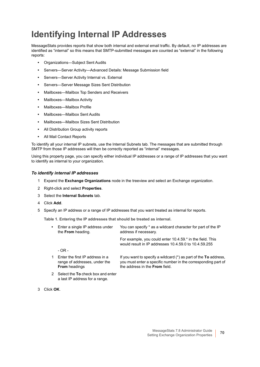# <span id="page-69-0"></span>**Identifying Internal IP Addresses**

MessageStats provides reports that show both internal and external email traffic. By default, no IP addresses are identified as "internal" so this means that SMTP-submitted messages are counted as "external" in the following reports:

- **•** Organizations—Subject Sent Audits
- **•** Servers—Server Activity—Advanced Details: Message Submission field
- **•** Servers—Server Activity Internal vs. External
- **•** Servers—Server Message Sizes Sent Distribution
- **•** Mailboxes—Mailbox Top Senders and Receivers
- **•** Mailboxes—Mailbox Activity
- **•** Mailboxes—Mailbox Profile
- **•** Mailboxes—Mailbox Sent Audits
- **•** Mailboxes—Mailbox Sizes Sent Distribution
- **•** All Distribution Group activity reports
- **•** All Mail Contact Reports

To identify all your internal IP subnets, use the Internal Subnets tab. The messages that are submitted through SMTP from those IP addresses will then be correctly reported as "internal" messages.

Using this property page, you can specify either individual IP addresses or a range of IP addresses that you want to identify as internal to your organization.

#### *To identify internal IP addresses*

- 1 Expand the **Exchange Organizations** node in the treeview and select an Exchange organization.
- 2 Right-click and select **Properties**.
- 3 Select the **Internal Subnets** tab.
- 4 Click **Add**.
- 5 Specify an IP address or a range of IP addresses that you want treated as internal for reports.

**Table 1. Entering the IP addresses that should be treated as internal.**

| $\bullet$ | Enter a single IP address under<br>the From heading.             | You can specify * as a wildcard character for part of the IP<br>address if necessary.                                               |
|-----------|------------------------------------------------------------------|-------------------------------------------------------------------------------------------------------------------------------------|
|           |                                                                  | For example, you could enter 10.4.59.* in the field. This<br>would result in IP addresses 10.4.59.0 to 10.4.59.255                  |
|           | - OR -                                                           |                                                                                                                                     |
| 1         | Enter the first IP address in a<br>range of addresses, under the | If you want to specify a wildcard $(*)$ as part of the To address,<br>you must enter a specific number in the corresponding part of |

the address in the **From** field.

2 Select the **To** check box and enter a last IP address for a range.

**From** headings

3 Click **OK**.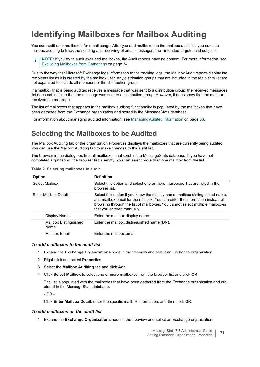# <span id="page-70-1"></span><span id="page-70-0"></span>**Identifying Mailboxes for Mailbox Auditing**

You can audit user mailboxes for email usage. After you add mailboxes to the mailbox audit list, you can use mailbox auditing to track the sending and receiving of email messages, their intended targets, and subjects.

**NOTE:** If you try to audit excluded mailboxes, the Audit reports have no content. For more information, see ÷ [Excluding Mailboxes from Gatherings on page 74](#page-73-0).

Due to the way that Microsoft Exchange logs information to the tracking logs, the Mailbox Audit reports display the recipients list as it is created by the mailbox user. Any distribution groups that are included in the recipients list are not expanded to include all members of the distribution group.

If a mailbox that is being audited receives a message that was sent to a distribution group, the received messages list does not indicate that the message was sent to a distribution group. However, it does show that the mailbox received the message.

The list of mailboxes that appears in the mailbox auditing functionality is populated by the mailboxes that have been gathered from the Exchange organization and stored in the MessageStats database.

For information about managing audited information, see [Managing Audited Information on page 58](#page-57-1).

### **Selecting the Mailboxes to be Audited**

The Mailbox Auditing tab of the organization Properties displays the mailboxes that are currently being audited. You can use the Mailbox Auditing tab to make changes to the audit list.

The browser in the dialog box lists all mailboxes that exist in the MessageStats database. If you have not completed a gathering, the browser list is empty. You can select more than one mailbox from the list.

| <b>Option</b>                 | <b>Definition</b>                                                                                                                                                                                                                                                         |
|-------------------------------|---------------------------------------------------------------------------------------------------------------------------------------------------------------------------------------------------------------------------------------------------------------------------|
| Select Mailbox                | Select this option and select one or more mailboxes that are listed in the<br>browser list                                                                                                                                                                                |
| Enter Mailbox Detail          | Select this option if you know the display name, mailbox distinguished name,<br>and mailbox email for the mailbox. You can enter the information instead of<br>browsing through the list of mailboxes. You cannot select multiple mailboxes<br>that you entered manually. |
| Display Name                  | Enter the mailbox display name.                                                                                                                                                                                                                                           |
| Mailbox Distinguished<br>Name | Enter the mailbox distinguished name (DN).                                                                                                                                                                                                                                |
| Mailbox Email                 | Enter the mailbox email.                                                                                                                                                                                                                                                  |

**Table 2. Selecting mailboxes to audit.**

#### *To add mailboxes to the audit list*

- 1 Expand the **Exchange Organizations** node in the treeview and select an Exchange organization.
- 2 Right-click and select **Properties**.
- 3 Select the **Mailbox Auditing** tab and click **Add**.
- 4 Click **Select Mailbox** to select one or more mailboxes from the browser list and click **OK**.

The list is populated with the mailboxes that have been gathered from the Exchange organization and are stored in the MessageStats database.

- OR -

Click **Enter Mailbox Detail**, enter the specific mailbox information, and then click **OK**.

#### *To edit mailboxes on the audit list*

1 Expand the **Exchange Organizations** node in the treeview and select an Exchange organization.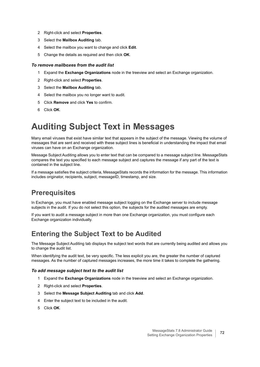- 2 Right-click and select **Properties**.
- 3 Select the **Mailbox Auditing** tab.
- 4 Select the mailbox you want to change and click **Edit**.
- 5 Change the details as required and then click **OK**.

#### *To remove mailboxes from the audit list*

- 1 Expand the **Exchange Organizations** node in the treeview and select an Exchange organization.
- 2 Right-click and select **Properties**.
- 3 Select the **Mailbox Auditing** tab.
- 4 Select the mailbox you no longer want to audit.
- 5 Click **Remove** and click **Yes** to confirm.
- 6 Click **OK**.

## <span id="page-71-1"></span><span id="page-71-0"></span>**Auditing Subject Text in Messages**

Many email viruses that exist have similar text that appears in the subject of the message. Viewing the volume of messages that are sent and received with these subject lines is beneficial in understanding the impact that email viruses can have on an Exchange organization.

Message Subject Auditing allows you to enter text that can be compared to a message subject line. MessageStats compares the text you specified to each message subject and captures the message if any part of the text is contained in the subject line.

If a message satisfies the subject criteria, MessageStats records the information for the message. This information includes originator, recipients, subject, messageID, timestamp, and size.

### **Prerequisites**

In Exchange, you must have enabled message subject logging on the Exchange server to include message subjects in the audit. If you do not select this option, the subjects for the audited messages are empty.

If you want to audit a message subject in more than one Exchange organization, you must configure each Exchange organization individually.

### **Entering the Subject Text to be Audited**

The Message Subject Auditing tab displays the subject text words that are currently being audited and allows you to change the audit list.

When identifying the audit text, be very specific. The less explicit you are, the greater the number of captured messages. As the number of captured messages increases, the more time it takes to complete the gathering.

#### *To add message subject text to the audit list*

- 1 Expand the **Exchange Organizations** node in the treeview and select an Exchange organization.
- 2 Right-click and select **Properties**.
- 3 Select the **Message Subject Auditing** tab and click **Add**.
- 4 Enter the subject text to be included in the audit.
- 5 Click **OK**.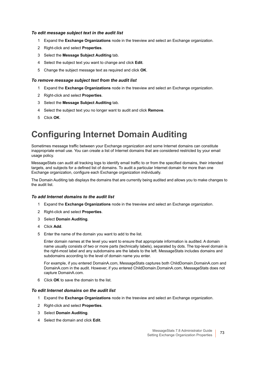#### *To edit message subject text in the audit list*

- 1 Expand the **Exchange Organizations** node in the treeview and select an Exchange organization.
- 2 Right-click and select **Properties**.
- 3 Select the **Message Subject Auditing** tab.
- 4 Select the subject text you want to change and click **Edit**.
- 5 Change the subject message text as required and click **OK**.

#### *To remove message subject text from the audit list*

- 1 Expand the **Exchange Organizations** node in the treeview and select an Exchange organization.
- 2 Right-click and select **Properties**.
- 3 Select the **Message Subject Auditing** tab.
- 4 Select the subject text you no longer want to audit and click **Remove**.
- 5 Click **OK**.

## **Configuring Internet Domain Auditing**

Sometimes message traffic between your Exchange organization and some Internet domains can constitute inappropriate email use. You can create a list of Internet domains that are considered restricted by your email usage policy.

MessageStats can audit all tracking logs to identify email traffic to or from the specified domains, their intended targets, and subjects for a defined list of domains. To audit a particular Internet domain for more than one Exchange organization, configure each Exchange organization individually.

The Domain Auditing tab displays the domains that are currently being audited and allows you to make changes to the audit list.

#### *To add Internet domains to the audit list*

- 1 Expand the **Exchange Organizations** node in the treeview and select an Exchange organization.
- 2 Right-click and select **Properties**.
- 3 Select **Domain Auditing**.
- 4 Click **Add**.
- 5 Enter the name of the domain you want to add to the list.

Enter domain names at the level you want to ensure that appropriate information is audited. A domain name usually consists of two or more parts (technically labels), separated by dots. The top-level domain is the right-most label and any subdomains are the labels to the left. MessageStats includes domains and subdomains according to the level of domain name you enter.

For example, if you entered DomainA.com, MessageStats captures both ChildDomain.DomainA.com and DomainA.com in the audit. However, if you entered ChildDomain.DomainA.com, MessageStats does not capture DomainA.com.

6 Click **OK** to save the domain to the list.

#### *To edit Internet domains on the audit list*

- 1 Expand the **Exchange Organizations** node in the treeview and select an Exchange organization.
- 2 Right-click and select **Properties**.
- 3 Select **Domain Auditing**.
- 4 Select the domain and click **Edit**.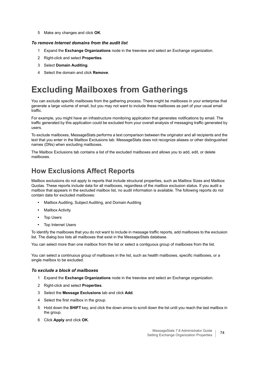5 Make any changes and click **OK**.

#### *To remove Internet domains from the audit list*

- 1 Expand the **Exchange Organizations** node in the treeview and select an Exchange organization.
- 2 Right-click and select **Properties**.
- 3 Select **Domain Auditing**.
- 4 Select the domain and click **Remove**.

## **Excluding Mailboxes from Gatherings**

You can exclude specific mailboxes from the gathering process. There might be mailboxes in your enterprise that generate a large volume of email, but you may not want to include these mailboxes as part of your usual email traffic.

For example, you might have an infrastructure monitoring application that generates notifications by email. The traffic generated by this application could be excluded from your overall analysis of messaging traffic generated by users.

To exclude mailboxes, MessageStats performs a text comparison between the originator and all recipients and the text that you enter in the Mailbox Exclusions tab. MessageStats does not recognize aliases or other distinguished names (DNs) when excluding mailboxes.

The Mailbox Exclusions tab contains a list of the excluded mailboxes and allows you to add, edit, or delete mailboxes.

### **How Exclusions Affect Reports**

Mailbox exclusions do not apply to reports that include structural properties, such as Mailbox Sizes and Mailbox Quotas. These reports include data for all mailboxes, regardless of the mailbox exclusion status. If you audit a mailbox that appears in the excluded mailbox list, no audit information is available. The following reports do not contain data for excluded mailboxes:

- **•** Mailbox Auditing, Subject Auditing, and Domain Auditing
- **•** Mailbox Activity
- **•** Top Users
- **•** Top Internet Users

To identify the mailboxes that you do not want to include in message traffic reports, add mailboxes to the exclusion list. The dialog box lists all mailboxes that exist in the MessageStats database.

You can select more than one mailbox from the list or select a contiguous group of mailboxes from the list.

You can select a continuous group of mailboxes in the list, such as health mailboxes, specific mailboxes, or a single mailbox to be excluded.

#### *To exclude a block of mailboxes*

- 1 Expand the **Exchange Organizations** node in the treeview and select an Exchange organization.
- 2 Right-click and select **Properties**.
- 3 Select the **Message Exclusions** tab and click **Add**.
- 4 Select the first mailbox in the group.
- 5 Hold down the **SHIFT** key, and click the down arrow to scroll down the list until you reach the last mailbox in the group.
- 6 Click **Apply** and click **OK**.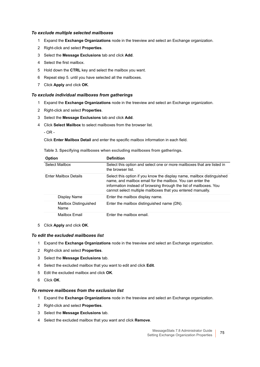#### *To exclude multiple selected mailboxes*

- 1 Expand the **Exchange Organizations** node in the treeview and select an Exchange organization.
- 2 Right-click and select **Properties**.
- 3 Select the **Message Exclusions** tab and click **Add**.
- 4 Select the first mailbox.
- 5 Hold down the **CTRL** key and select the mailbox you want.
- 6 Repeat step 5. until you have selected all the mailboxes.
- 7 Click **Apply** and click **OK**.

#### *To exclude individual mailboxes from gatherings*

- 1 Expand the **Exchange Organizations** node in the treeview and select an Exchange organization.
- 2 Right-click and select **Properties**.
- 3 Select the **Message Exclusions** tab and click **Add**.
- 4 Click **Select Mailbox** to select mailboxes from the browser list.
	- $-$  OR  $-$

Click **Enter Mailbox Detail** and enter the specific mailbox information in each field.

**Table 3. Specifying mailboxes when excluding mailboxes from gatherings.**

| <b>Option</b>                 | <b>Definition</b>                                                                                                                                                                                                                                                         |
|-------------------------------|---------------------------------------------------------------------------------------------------------------------------------------------------------------------------------------------------------------------------------------------------------------------------|
| Select Mailbox                | Select this option and select one or more mailboxes that are listed in<br>the browser list.                                                                                                                                                                               |
| <b>Enter Mailbox Details</b>  | Select this option if you know the display name, mailbox distinguished<br>name, and mailbox email for the mailbox. You can enter the<br>information instead of browsing through the list of mailboxes. You<br>cannot select multiple mailboxes that you entered manually. |
| Display Name                  | Enter the mailbox display name.                                                                                                                                                                                                                                           |
| Mailbox Distinguished<br>Name | Enter the mailbox distinguished name (DN).                                                                                                                                                                                                                                |
| Mailbox Email                 | Enter the mailbox email.                                                                                                                                                                                                                                                  |

5 Click **Apply** and click **OK**.

#### *To edit the excluded mailboxes list*

- 1 Expand the **Exchange Organizations** node in the treeview and select an Exchange organization.
- 2 Right-click and select **Properties**.
- 3 Select the **Message Exclusions** tab.
- 4 Select the excluded mailbox that you want to edit and click **Edit**.
- 5 Edit the excluded mailbox and click **OK**.
- 6 Click **OK**.

#### *To remove mailboxes from the exclusion list*

- 1 Expand the **Exchange Organizations** node in the treeview and select an Exchange organization.
- 2 Right-click and select **Properties**.
- 3 Select the **Message Exclusions** tab.
- 4 Select the excluded mailbox that you want and click **Remove**.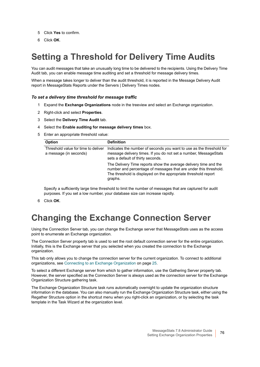- 5 Click **Yes** to confirm.
- 6 Click **OK**.

## **Setting a Threshold for Delivery Time Audits**

You can audit messages that take an unusually long time to be delivered to the recipients. Using the Delivery Time Audit tab, you can enable message time auditing and set a threshold for message delivery times.

When a message takes longer to deliver than the audit threshold, it is reported in the Message Delivery Audit report in MessageStats Reports under the Servers | Delivery Times nodes.

#### *To set a delivery time threshold for message traffic*

- 1 Expand the **Exchange Organizations** node in the treeview and select an Exchange organization.
- 2 Right-click and select **Properties**.
- 3 Select the **Delivery Time Audit** tab.
- 4 Select the **Enable auditing for message delivery times** box.
- 5 Enter an appropriate threshold value:

| <b>Option</b>                                                 | <b>Definition</b>                                                                                                                                                                                                 |
|---------------------------------------------------------------|-------------------------------------------------------------------------------------------------------------------------------------------------------------------------------------------------------------------|
| Threshold value for time to deliver<br>a message (in seconds) | Indicates the number of seconds you want to use as the threshold for<br>message delivery times. If you do not set a number, MessageStats<br>sets a default of thirty seconds.                                     |
|                                                               | The Delivery Time reports show the average delivery time and the<br>number and percentage of messages that are under this threshold.<br>The threshold is displayed on the appropriate threshold report<br>graphs. |

Specify a sufficiently large time threshold to limit the number of messages that are captured for audit purposes. If you set a low number, your database size can increase rapidly.

6 Click **OK**.

### **Changing the Exchange Connection Server**

Using the Connection Server tab, you can change the Exchange server that MessageStats uses as the access point to enumerate an Exchange organization.

The Connection Server property tab is used to set the root default connection server for the entire organization. Initially, this is the Exchange server that you selected when you created the connection to the Exchange organization.

This tab only allows you to change the connection server for the current organization. To connect to additional organizations, see [Connecting to an Exchange Organization on page 25.](#page-24-0)

To select a different Exchange server from which to gather information, use the Gathering Server property tab. However, the server specified as the Connection Server is always used as the connection server for the Exchange Organization Structure gathering task.

The Exchange Organization Structure task runs automatically overnight to update the organization structure information in the database. You can also manually run the Exchange Organization Structure task, either using the Regather Structure option in the shortcut menu when you right-click an organization, or by selecting the task template in the Task Wizard at the organization level.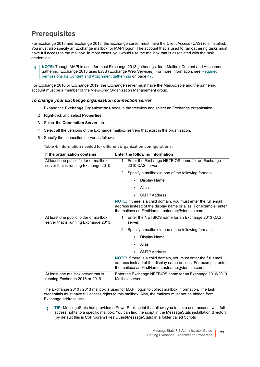### **Prerequisites**

For Exchange 2010 and Exchange 2013, the Exchange server must have the Client Access (CAS) role installed. You must also specify an Exchange mailbox for MAPI logon. The account that is used to run gathering tasks must have full access to the mailbox. In most cases, you would use the mailbox that is associated with the task credentials.

**NOTE:** Though MAPI is used for most Exchange 2013 gatherings, for a Mailbox Content and Attachment ÷ gathering, Exchange 2013 uses EWS (Exchange Web Services). For more information, see [Required](#page-46-0)  [permissions for Content and Attachment gatherings on page 47.](#page-46-0)

For Exchange 2016 or Exchange 2019, the Exchange server must have the Mailbox role and the gathering account must be a member of the View-Only Organization Management group.

#### *To change your Exchange organization connection server*

- 1 Expand the **Exchange Organizations** node in the treeview and select an Exchange organization.
- 2 Right-click and select **Properties**.
- 3 Select the **Connection Server** tab.
- 4 Select all the versions of the Exchange mailbox servers that exist in the organization.
- 5 Specify the connection server as follows:

**Table 4. Information needed for different organization configurations.**

| If the organization contains                                                   | Enter the following information                                                                                                                                                             |
|--------------------------------------------------------------------------------|---------------------------------------------------------------------------------------------------------------------------------------------------------------------------------------------|
| At least one public folder or mailbox<br>server that is running Exchange 2010. | Enter the Exchange NETBIOS name for an Exchange<br>1<br>2010 CAS server.                                                                                                                    |
|                                                                                | Specify a mailbox in one of the following formats:<br>2                                                                                                                                     |
|                                                                                | Display Name<br>$\blacksquare$                                                                                                                                                              |
|                                                                                | Alias<br>$\blacksquare$                                                                                                                                                                     |
|                                                                                | <b>SMTP Address</b><br>٠                                                                                                                                                                    |
|                                                                                | NOTE: If there is a child domain, you must enter the full email<br>address instead of the display name or alias. For example, enter<br>the mailbox as FirstName.Lastname@domain.com.        |
| At least one public folder or mailbox<br>server that is running Exchange 2013. | Enter the NETBIOS name for an Exchange 2013 CAS<br>1<br>server.                                                                                                                             |
|                                                                                | 2<br>Specify a mailbox in one of the following formats:                                                                                                                                     |
|                                                                                | Display Name<br>٠                                                                                                                                                                           |
|                                                                                | Alias<br>٠                                                                                                                                                                                  |
|                                                                                | <b>SMTP Address</b><br>$\blacksquare$                                                                                                                                                       |
|                                                                                | <b>NOTE:</b> If there is a child domain, you must enter the full email<br>address instead of the display name or alias. For example, enter<br>the mailbox as FirstName.Lastname@domain.com. |
| At least one mailbox server that is<br>running Exchange 2016 or 2019.          | Enter the Exchange NETBIOS name for an Exchange 2016/2019<br>Mailbox server.                                                                                                                |

The Exchange 2010 / 2013 mailbox is used for MAPI logon to collect mailbox information. The task credentials must have full access rights to this mailbox. Also, the mailbox must not be hidden from Exchange address lists.

**TIP:** MessageStats has provided a PowerShell script that allows you to set a user account with full ÷ access rights to a specific mailbox. You can find the script in the MessageStats installation directory (by default this is C:\Program Files\Quest\MessageStats) in a folder called Scripts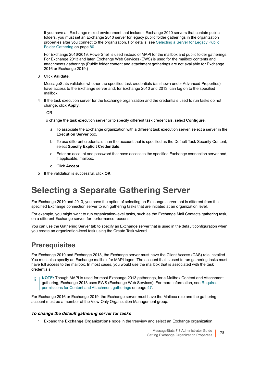If you have an Exchange mixed environment that includes Exchange 2010 servers that contain public folders, you must set an Exchange 2010 server for legacy public folder gatherings in the organization properties after you connect to the organization. For details, see [Selecting a Server for Legacy Public](#page-79-0)  [Folder Gathering on page 80.](#page-79-0)

For Exchange 2016/2019, PowerShell is used instead of MAPI for the mailbox and public folder gatherings. For Exchange 2013 and later, Exchange Web Services (EWS) is used for the mailbox contents and attachments gatherings.(Public folder content and attachment gatherings are not available for Exchange 2016 or Exchange 2019.)

3 Click **Validate**.

MessageStats validates whether the specified task credentials (as shown under Advanced Properties) have access to the Exchange server and, for Exchange 2010 and 2013, can log on to the specified mailbox.

4 If the task execution server for the Exchange organization and the credentials used to run tasks do not change, click **Apply**.

 $-$  OR  $-$ 

To change the task execution server or to specify different task credentials, select **Configure**.

- a To associate the Exchange organization with a different task execution server, select a server in the **Execution Server** box.
- b To use different credentials than the account that is specified as the Default Task Security Content, select **Specify Explicit Credentials**.
- c Enter an account and password that have access to the specified Exchange connection server and, if applicable, mailbox.
- d Click **Accept**.
- 5 If the validation is successful, click **OK**.

### <span id="page-77-0"></span>**Selecting a Separate Gathering Server**

For Exchange 2010 and 2013, you have the option of selecting an Exchange server that is different from the specified Exchange connection server to run gathering tasks that are initiated at an organization level.

For example, you might want to run organization-level tasks, such as the Exchange Mail Contacts gathering task, on a different Exchange server, for performance reasons.

You can use the Gathering Server tab to specify an Exchange server that is used in the default configuration when you create an organization-level task using the Create Task wizard.

### **Prerequisites**

For Exchange 2010 and Exchange 2013, the Exchange server must have the Client Access (CAS) role installed. You must also specify an Exchange mailbox for MAPI logon. The account that is used to run gathering tasks must have full access to the mailbox. In most cases, you would use the mailbox that is associated with the task credentials.

**NOTE:** Though MAPI is used for most Exchange 2013 gatherings, for a Mailbox Content and Attachment ÷ gathering, Exchange 2013 uses EWS (Exchange Web Services). For more information, see [Required](#page-46-0)  [permissions for Content and Attachment gatherings on page 47.](#page-46-0)

For Exchange 2016 or Exchange 2019, the Exchange server must have the Mailbox role and the gathering account must be a member of the View-Only Organization Management group.

#### *To change the default gathering server for tasks*

1 Expand the **Exchange Organizations** node in the treeview and select an Exchange organization.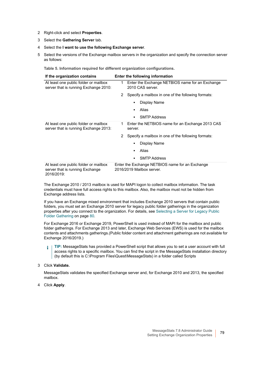- 2 Right-click and select **Properties**.
- 3 Select the **Gathering Server** tab.
- 4 Select the **I want to use the following Exchange server**.
- 5 Select the versions of the Exchange mailbox servers in the organization and specify the connection server as follows:

**Table 5. Information required for different organization configurations.**

| If the organization contains                                                           | Enter the following information                                              |  |
|----------------------------------------------------------------------------------------|------------------------------------------------------------------------------|--|
| At least one public folder or mailbox<br>server that is running Exchange 2010:         | Enter the Exchange NETBIOS name for an Exchange<br>1<br>2010 CAS server.     |  |
|                                                                                        | Specify a mailbox in one of the following formats:<br>2                      |  |
|                                                                                        | Display Name                                                                 |  |
|                                                                                        | Alias                                                                        |  |
|                                                                                        | <b>SMTP Address</b>                                                          |  |
| At least one public folder or mailbox<br>server that is running Exchange 2013:         | Enter the NETBIOS name for an Exchange 2013 CAS<br>1<br>server.              |  |
|                                                                                        | Specify a mailbox in one of the following formats:<br>2                      |  |
|                                                                                        | Display Name                                                                 |  |
|                                                                                        | Alias                                                                        |  |
|                                                                                        | <b>SMTP Address</b>                                                          |  |
| At least one public folder or mailbox<br>server that is running Exchange<br>2016/2019: | Enter the Exchange NETBIOS name for an Exchange<br>2016/2019 Mailbox server. |  |

The Exchange 2010 / 2013 mailbox is used for MAPI logon to collect mailbox information. The task credentials must have full access rights to this mailbox. Also, the mailbox must not be hidden from Exchange address lists.

If you have an Exchange mixed environment that includes Exchange 2010 servers that contain public folders, you must set an Exchange 2010 server for legacy public folder gatherings in the organization properties after you connect to the organization. For details, see [Selecting a Server for Legacy Public](#page-79-0)  [Folder Gathering on page 80.](#page-79-0)

For Exchange 2016 or Exchange 2019, PowerShell is used instead of MAPI for the mailbox and public folder gatherings. For Exchange 2013 and later, Exchange Web Services (EWS) is used for the mailbox contents and attachments gatherings.(Public folder content and attachment gatherings are not available for Exchange 2016/2019.)

**TIP:** MessageStats has provided a PowerShell script that allows you to set a user account with full î access rights to a specific mailbox. You can find the script in the MessageStats installation directory (by default this is C:\Program Files\Quest\MessageStats) in a folder called Scripts

3 Click **Validate.**

MessageStats validates the specified Exchange server and, for Exchange 2010 and 2013, the specified mailbox.

4 Click **Apply**.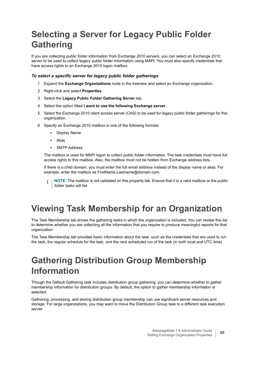## <span id="page-79-0"></span>**Selecting a Server for Legacy Public Folder Gathering**

If you are collecting public folder information from Exchange 2010 servers, you can select an Exchange 2010 server to be used to collect legacy public folder information using MAPI. You must also specify credentials that have access rights to an Exchange 2010 logon mailbox.

#### *To select a specific server for legacy public folder gatherings*

- 1 Expand the **Exchange Organizations** node in the treeview and select an Exchange organization.
- 2 Right-click and select **Properties**.
- 3 Select the **Legacy Public Folder Gathering Server** tab.
- 4 Select the option titled **I want to use the following Exchange server**.
- 5 Select the Exchange 2010 client access server (CAS) to be used for legacy public folder gatherings for this organization.
- 6 Specify an Exchange 2010 mailbox in one of the following formats:
	- **▪** Display Name
	- **▪** Alias
	- **▪** SMTP Address

The mailbox is used for MAPI logon to collect public folder information. The task credentials must have full access rights to this mailbox. Also, the mailbox must not be hidden from Exchange address lists.

If there is a child domain, you must enter the full email address instead of the display name or alias. For example, enter the mailbox as FirstName.Lastname@domain.com.

### **Viewing Task Membership for an Organization**

The Task Membership tab shows the gathering tasks in which the organization is included. You can review this list to determine whether you are collecting all the information that you require to produce meaningful reports for that organization.

The Task Membership tab provides basic information about the task, such as the credentials that are used to run the task, the regular schedule for the task, and the next scheduled run of the task (in both local and UTC time).

### **Gathering Distribution Group Membership Information**

Though the Default Gathering task includes distribution group gathering, you can determine whether to gather membership information for distribution groups. By default, the option to gather membership information is selected.

Gathering, processing, and storing distribution group membership can use significant server resources and storage. For large organizations, you may want to move the Distribution Group task to a different task execution server.

**NOTE:** The mailbox is not validated on this property tab. Ensure that it is a valid mailbox or the public i. folder tasks will fail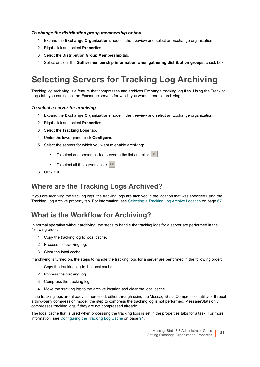#### *To change the distribution group membership option*

- 1 Expand the **Exchange Organizations** node in the treeview and select an Exchange organization.
- 2 Right-click and select **Properties**.
- 3 Select the **Distribution Group Membership** tab.
- 4 Select or clear the **Gather membership information when gathering distribution groups.** check box.

## <span id="page-80-1"></span>**Selecting Servers for Tracking Log Archiving**

Tracking log archiving is a feature that compresses and archives Exchange tracking log files. Using the Tracking Logs tab, you can select the Exchange servers for which you want to enable archiving.

#### *To select a server for archiving*

- 1 Expand the **Exchange Organizations** node in the treeview and select an Exchange organization.
- 2 Right-click and select **Properties**.
- 3 Select the **Tracking Logs** tab.
- 4 Under the lower pane, click **Configure**.
- 5 Select the servers for which you want to enable archiving:
	- **■** To select one server, click a server in the list and click **.**
	- **•** To select all the servers, click >>
- 6 Click **OK**.

#### **Where are the Tracking Logs Archived?**

If you are archiving the tracking logs, the tracking logs are archived in the location that was specified using the Tracking Log Archive property tab. For information, see [Selecting a Tracking Log Archive Location on page 67.](#page-66-0)

#### <span id="page-80-0"></span>**What is the Workflow for Archiving?**

In normal operation without archiving, the steps to handle the tracking logs for a server are performed in the following order:

- 1 Copy the tracking log to local cache.
- 2 Process the tracking log.
- 3 Clear the local cache.

If archiving is turned on, the steps to handle the tracking logs for a server are performed in the following order:

- 1 Copy the tracking log to the local cache.
- 2 Process the tracking log.
- 3 Compress the tracking log.
- 4 Move the tracking log to the archive location and clear the local cache.

If the tracking logs are already compressed, either through using the MessageStats Compression utility or through a third-party compression model, the step to compress the tracking log is not performed. MessageStats only compresses tracking logs if they are not compressed already.

The local cache that is used when processing the tracking logs is set in the properties tabs for a task. For more information, see [Configuring the Tracking Log Cache on page 94](#page-93-0).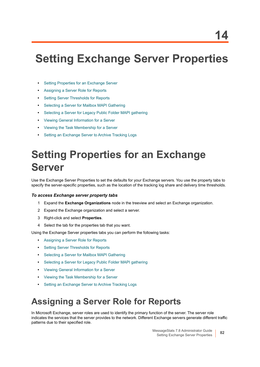# **Setting Exchange Server Properties**

- **•** [Setting Properties for an Exchange Server](#page-81-1)
- **•** [Assigning a Server Role for Reports](#page-81-0)
- **•** [Setting Server Thresholds for Reports](#page-83-0)
- **•** [Selecting a Server for Mailbox MAPI Gathering](#page-84-0)
- **•** [Selecting a Server for Legacy Public Folder MAPI gathering](#page-85-0)
- **•** [Viewing General Information for a Server](#page-85-1)
- **•** [Viewing the Task Membership for a Server](#page-86-0)
- **•** [Setting an Exchange Server to Archive Tracking Logs](#page-86-1)

# <span id="page-81-1"></span>**Setting Properties for an Exchange Server**

Use the Exchange Server Properties to set the defaults for your Exchange servers. You use the property tabs to specify the server-specific properties, such as the location of the tracking log share and delivery time thresholds.

#### *To access Exchange server property tabs*

- 1 Expand the **Exchange Organizations** node in the treeview and select an Exchange organization.
- 2 Expand the Exchange organization and select a server.
- 3 Right-click and select **Properties**.
- 4 Select the tab for the properties tab that you want.

Using the Exchange Server properties tabs you can perform the following tasks:

- **•** [Assigning a Server Role for Reports](#page-81-0)
- **•** [Setting Server Thresholds for Reports](#page-83-0)
- **•** [Selecting a Server for Mailbox MAPI Gathering](#page-84-0)
- **•** [Selecting a Server for Legacy Public Folder MAPI gathering](#page-85-0)
- **•** [Viewing General Information for a Server](#page-85-1)
- **•** [Viewing the Task Membership for a Server](#page-86-0)
- **•** [Setting an Exchange Server to Archive Tracking Logs](#page-86-1)

### <span id="page-81-0"></span>**Assigning a Server Role for Reports**

In Microsoft Exchange, server roles are used to identify the primary function of the server. The server role indicates the services that the server provides to the network. Different Exchange servers generate different traffic patterns due to their specified role.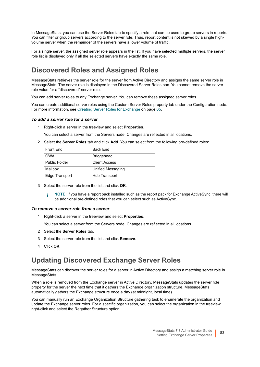In MessageStats, you can use the Server Roles tab to specify a role that can be used to group servers in reports. You can filter or group servers according to the server role. Thus, report content is not skewed by a single highvolume server when the remainder of the servers have a lower volume of traffic.

For a single server, the assigned server role appears in the list. If you have selected multiple servers, the server role list is displayed only if all the selected servers have exactly the same role.

### **Discovered Roles and Assigned Roles**

MessageStats retrieves the server role for the server from Active Directory and assigns the same server role in MessageStats. The server role is displayed in the Discovered Server Roles box. You cannot remove the server role value for a "discovered" server role.

You can add server roles to any Exchange server. You can remove these assigned server roles.

You can create additional server roles using the Custom Server Roles property tab under the Configuration node. For more information, see [Creating Server Roles for Exchange on page 65.](#page-64-0)

#### *To add a server role for a server*

1 Right-click a server in the treeview and select **Properties**.

You can select a server from the Servers node. Changes are reflected in all locations.

2 Select the **Server Roles** tab and click **Add**. You can select from the following pre-defined roles:

| Front Fnd            | <b>Back Fnd</b>      |
|----------------------|----------------------|
| OWA                  | <b>Bridgehead</b>    |
| <b>Public Folder</b> | <b>Client Access</b> |
| Mailbox              | Unified Messaging    |
| Edge Transport       | Hub Transport        |

3 Select the server role from the list and click **OK**.

**NOTE:** If you have a report pack installed such as the report pack for Exchange ActiveSync, there will be additional pre-defined roles that you can select such as ActiveSync.

#### *To remove a server role from a server*

1 Right-click a server in the treeview and select **Properties**.

You can select a server from the Servers node. Changes are reflected in all locations.

- 2 Select the **Server Roles** tab.
- 3 Select the server role from the list and click **Remove**.
- 4 Click **OK**.

#### **Updating Discovered Exchange Server Roles**

MessageStats can discover the server roles for a server in Active Directory and assign a matching server role in MessageStats.

When a role is removed from the Exchange server in Active Directory, MessageStats updates the server role property for the server the next time that it gathers the Exchange organization structure. MessageStats automatically gathers the Exchange structure once a day (at midnight, local time).

You can manually run an Exchange Organization Structure gathering task to enumerate the organization and update the Exchange server roles. For a specific organization, you can select the organization in the treeview, right-click and select the Regather Structure option.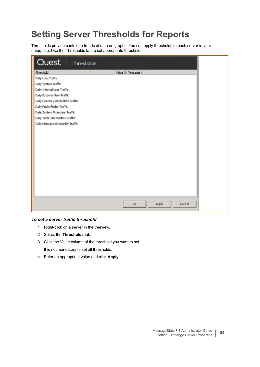## <span id="page-83-0"></span>**Setting Server Thresholds for Reports**

Thresholds provide context to trends of data on graphs. You can apply thresholds to each server in your enterprise. Use the Thresholds tab to set appropriate thresholds.

| <b>Quest</b><br>Thresholds          |                             |
|-------------------------------------|-----------------------------|
| Threshold                           | Value (in Messages)         |
| Daily User Traffic                  |                             |
| Daily System Traffic                |                             |
| Daily Internal User Traffic         |                             |
| Daily External User Traffic         |                             |
| Daily Directory Replication Traffic |                             |
| Daily Public Folder Traffic         |                             |
| Daily System Attendant Traffic      |                             |
| Daily Total User Mailbox Traffic    |                             |
|                                     |                             |
|                                     |                             |
|                                     |                             |
|                                     | $\alpha$<br>Apply<br>Cancel |

#### *To set a server traffic threshold*

- 1 Right-click on a server in the treeview.
- 2 Select the **Thresholds** tab.
- 3 Click the Value column of the threshold you want to set. It is not mandatory to set all thresholds.
- 4 Enter an appropriate value and click **Apply**.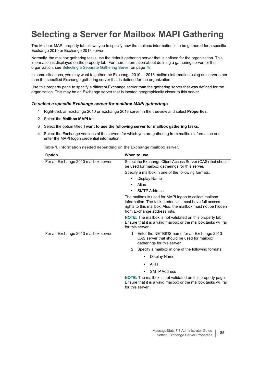## <span id="page-84-0"></span>**Selecting a Server for Mailbox MAPI Gathering**

The Mailbox MAPI property tab allows you to specify how the mailbox information is to be gathered for a specific Exchange 2010 or Exchange 2013 server.

Normally, the mailbox gathering tasks use the default gathering server that is defined for the organization. This information is displayed on the property tab. For more information about defining a gathering server for the organization, see [Selecting a Separate Gathering Server on page 78.](#page-77-0)

In some situations, you may want to gather the Exchange 2010 or 2013 mailbox information using an server other than the specified Exchange gathering server that is defined for the organization.

Use this property page to specify a different Exchange server than the gathering server that was defined for the organization. This may be an Exchange server that is located geographically closer to this server.

#### *To select a specific Exchange server for mailbox MAPI gatherings*

- 1 Right-click an Exchange 2010 or Exchange 2013 server in the treeview and select **Properties**.
- 2 Select the **Mailbox MAPI** tab.
- 3 Select the option titled **I want to use the following server for mailbox gathering tasks**.
- 4 Select the Exchange versions of the servers for which you are gathering from mailbox information and enter the MAPI logon credential information:

**Table 1. Information needed depending on the Exchange mailbox server.**

| <b>Option</b>                       | When to use                                                                                                                                                                                                      |  |
|-------------------------------------|------------------------------------------------------------------------------------------------------------------------------------------------------------------------------------------------------------------|--|
| For an Exchange 2010 mailbox server | Select the Exchange Client Access Server (CAS) that should<br>be used for mailbox gatherings for this server.                                                                                                    |  |
|                                     | Specify a mailbox in one of the following formats:                                                                                                                                                               |  |
|                                     | Display Name<br>٠                                                                                                                                                                                                |  |
|                                     | Alias<br>$\bullet$                                                                                                                                                                                               |  |
|                                     | <b>SMTP Address</b><br>$\bullet$                                                                                                                                                                                 |  |
|                                     | The mailbox is used for MAPI logon to collect mailbox<br>information. The task credentials must have full access<br>rights to this mailbox. Also, the mailbox must not be hidden<br>from Exchange address lists. |  |
|                                     | <b>NOTE:</b> The mailbox is not validated on this property tab.<br>Ensure that it is a valid mailbox or the mailbox tasks will fail<br>for this server.                                                          |  |
| For an Exchange 2013 mailbox server | Enter the NETBIOS name for an Exchange 2013<br>1.<br>CAS server that should be used for mailbox<br>gatherings for this server.                                                                                   |  |
|                                     | 2<br>Specify a mailbox in one of the following formats:                                                                                                                                                          |  |
|                                     | Display Name<br>٠                                                                                                                                                                                                |  |
|                                     | Alias<br>٠                                                                                                                                                                                                       |  |
|                                     | <b>SMTP Address</b><br>$\blacksquare$                                                                                                                                                                            |  |
|                                     | <b>NOTE:</b> The mailbox is not validated on this property page.<br>Ensure that it is a valid mailbox or the mailbox tasks will fail<br>for this server.                                                         |  |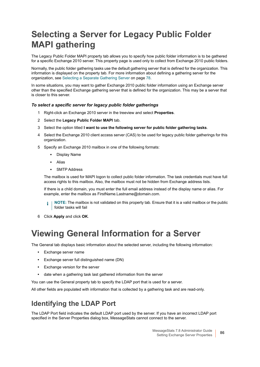## <span id="page-85-0"></span>**Selecting a Server for Legacy Public Folder MAPI gathering**

The Legacy Public Folder MAPI property tab allows you to specify how public folder information is to be gathered for a specific Exchange 2010 server. This property page is used only to collect from Exchange 2010 public folders.

Normally, the public folder gathering tasks use the default gathering server that is defined for the organization. This information is displayed on the property tab. For more information about defining a gathering server for the organization, see [Selecting a Separate Gathering Server on page 78.](#page-77-0)

In some situations, you may want to gather Exchange 2010 public folder information using an Exchange server other than the specified Exchange gathering server that is defined for the organization. This may be a server that is closer to this server.

#### *To select a specific server for legacy public folder gatherings*

- 1 Right-click an Exchange 2010 server in the treeview and select **Properties**.
- 2 Select the **Legacy Public Folder MAPI** tab.
- 3 Select the option titled **I want to use the following server for public folder gathering tasks**.
- 4 Select the Exchange 2010 client access server (CAS) to be used for legacy public folder gatherings for this organization.
- 5 Specify an Exchange 2010 mailbox in one of the following formats:
	- **▪** Display Name
	- **▪** Alias
	- **▪** SMTP Address

The mailbox is used for MAPI logon to collect public folder information. The task credentials must have full access rights to this mailbox. Also, the mailbox must not be hidden from Exchange address lists.

If there is a child domain, you must enter the full email address instead of the display name or alias. For example, enter the mailbox as FirstName.Lastname@domain.com.

**NOTE:** The mailbox is not validated on this property tab. Ensure that it is a valid mailbox or the public ÷ folder tasks will fail

6 Click **Apply** and click **OK**.

### <span id="page-85-1"></span>**Viewing General Information for a Server**

The General tab displays basic information about the selected server, including the following information:

- **•** Exchange server name
- **•** Exchange server full distinguished name (DN)
- **•** Exchange version for the server
- **•** date when a gathering task last gathered information from the server

You can use the General property tab to specify the LDAP port that is used for a server.

All other fields are populated with information that is collected by a gathering task and are read-only.

#### **Identifying the LDAP Port**

The LDAP Port field indicates the default LDAP port used by the server. If you have an incorrect LDAP port specified in the Server Properties dialog box, MessageStats cannot connect to the server.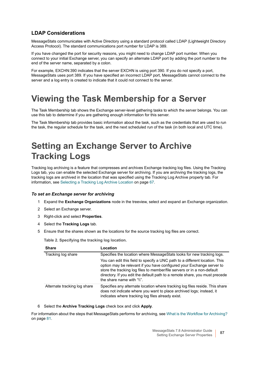#### **LDAP Considerations**

MessageStats communicates with Active Directory using a standard protocol called LDAP (Lightweight Directory Access Protocol). The standard communications port number for LDAP is 389.

If you have changed the port for security reasons, you might need to change LDAP port number. When you connect to your initial Exchange server, you can specify an alternate LDAP port by adding the port number to the end of the server name, separated by a colon.

For example, EXCHN:390 indicates that the server EXCHN is using port 390. If you do not specify a port, MessageStats uses port 389. If you have specified an incorrect LDAP port, MessageStats cannot connect to the server and a log entry is created to indicate that it could not connect to the server.

### <span id="page-86-0"></span>**Viewing the Task Membership for a Server**

The Task Membership tab shows the Exchange server-level gathering tasks to which the server belongs. You can use this tab to determine if you are gathering enough information for this server.

The Task Membership tab provides basic information about the task, such as the credentials that are used to run the task, the regular schedule for the task, and the next scheduled run of the task (in both local and UTC time).

## <span id="page-86-1"></span>**Setting an Exchange Server to Archive Tracking Logs**

Tracking log archiving is a feature that compresses and archives Exchange tracking log files. Using the Tracking Logs tab, you can enable the selected Exchange server for archiving. If you are archiving the tracking logs, the tracking logs are archived in the location that was specified using the Tracking Log Archive property tab. For information, see [Selecting a Tracking Log Archive Location on page 67.](#page-66-1)

#### *To set an Exchange server for archiving*

- 1 Expand the **Exchange Organizations** node in the treeview, select and expand an Exchange organization.
- 2 Select an Exchange server.
- 3 Right-click and select **Properties**.
- 4 Select the **Tracking Logs** tab.
- 5 Ensure that the shares shown as the locations for the source tracking log files are correct.

**Table 2. Specifying the tracking log location.**

| <b>Share</b>                 | Location                                                                                                                                                                                                                                                                                                                                    |
|------------------------------|---------------------------------------------------------------------------------------------------------------------------------------------------------------------------------------------------------------------------------------------------------------------------------------------------------------------------------------------|
| Tracking log share           | Specifies the location where MessageStats looks for new tracking logs.                                                                                                                                                                                                                                                                      |
|                              | You can edit this field to specify a UNC path to a different location. This<br>option may be relevant if you have configured your Exchange server to<br>store the tracking log files to member/file servers or in a non-default<br>directory. If you edit the default path to a remote share, you must precede<br>the share name with "\\". |
| Alternate tracking log share | Specifies any alternate location where tracking log files reside. This share<br>does not indicate where you want to place archived logs; instead, it<br>indicates where tracking log files already exist.                                                                                                                                   |

6 Select the **Archive Tracking Logs** check box and click **Apply**.

For information about the steps that MessageStats performs for archiving, see [What is the Workflow for Archiving?](#page-80-0) [on page 81.](#page-80-0)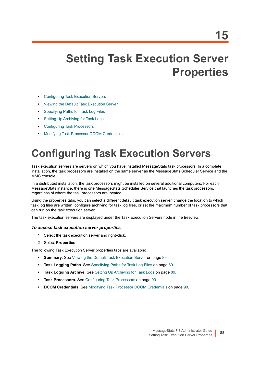# **Setting Task Execution Server Properties**

- **•** [Configuring Task Execution Servers](#page-87-0)
- **•** [Viewing the Default Task Execution Server](#page-88-1)
- **•** [Specifying Paths for Task Log Files](#page-88-2)
- **•** [Setting Up Archiving for Task Logs](#page-88-0)
- **•** [Configuring Task Processors](#page-89-0)
- **•** [Modifying Task Processor DCOM Credentials](#page-89-1)

# <span id="page-87-0"></span>**Configuring Task Execution Servers**

Task execution servers are servers on which you have installed MessageStats task processors. In a complete installation, the task processors are installed on the same server as the MessageStats Scheduler Service and the MMC console.

In a distributed installation, the task processors might be installed on several additional computers. For each MessageStats instance, there is one MessageStats Scheduler Service that launches the task processors, regardless of where the task processors are located.

Using the properties tabs, you can select a different default task execution server, change the location to which task log files are written, configure archiving for task log files, or set the maximum number of task processors that can run on the task execution server.

The task execution servers are displayed under the Task Execution Servers node in the treeview.

#### *To access task execution server properties*

- 1 Select the task execution server and right-click.
- 2 Select **Properties**.

The following Task Execution Server properties tabs are available:

- **Summary**. See [Viewing the Default Task Execution Server on page 89.](#page-88-1)
- **Task Logging Paths**. See [Specifying Paths for Task Log Files on page 89](#page-88-2).
- **Task Logging Archive.** See [Setting Up Archiving for Task Logs on page 89](#page-88-0).
- **Task Processors.** See [Configuring Task Processors on page 90](#page-89-0).
- **DCOM Credentials**. See [Modifying Task Processor DCOM Credentials on page 90.](#page-89-1)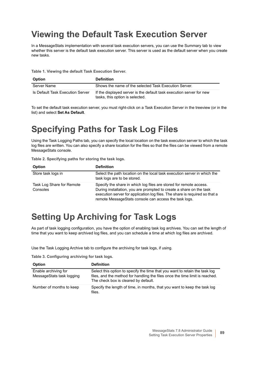### <span id="page-88-1"></span>**Viewing the Default Task Execution Server**

In a MessageStats implementation with several task execution servers, you can use the Summary tab to view whether this server is the default task execution server. This server is used as the default server when you create new tasks.

**Table 1. Viewing the default Task Execution Server.**

| <b>Option</b>                    | <b>Definition</b>                                                                                       |
|----------------------------------|---------------------------------------------------------------------------------------------------------|
| Server Name                      | Shows the name of the selected Task Execution Server.                                                   |
| Is Default Task Execution Server | If the displayed server is the default task execution server for new<br>tasks, this option is selected. |

To set the default task execution server, you must right-click on a Task Execution Server in the treeview (or in the list) and select **Set As Default**.

### <span id="page-88-2"></span>**Specifying Paths for Task Log Files**

Using the Task Logging Paths tab, you can specify the local location on the task execution server to which the task log files are written. You can also specify a share location for the files so that the files can be viewed from a remote MessageStats console.

| <b>Option</b>                         | <b>Definition</b>                                                                                                                                                                                                                                                                 |
|---------------------------------------|-----------------------------------------------------------------------------------------------------------------------------------------------------------------------------------------------------------------------------------------------------------------------------------|
| Store task logs in                    | Select the path location on the local task execution server in which the<br>task logs are to be stored.                                                                                                                                                                           |
| Task Log Share for Remote<br>Consoles | Specify the share in which log files are stored for remote access.<br>During installation, you are prompted to create a share on the task<br>execution server for application log files. The share is required so that a<br>remote MessageStats console can access the task logs. |

### <span id="page-88-0"></span>**Setting Up Archiving for Task Logs**

As part of task logging configuration, you have the option of enabling task log archives. You can set the length of time that you want to keep archived log files, and you can schedule a time at which log files are archived.

Use the Task Logging Archive tab to configure the archiving for task logs, if using.

**Table 3. Configuring archiving for task logs.**

| <b>Option</b>                                     | <b>Definition</b>                                                                                                                                                                                   |
|---------------------------------------------------|-----------------------------------------------------------------------------------------------------------------------------------------------------------------------------------------------------|
| Enable archiving for<br>MessageStats task logging | Select this option to specify the time that you want to retain the task log<br>files, and the method for handling the files once the time limit is reached.<br>The check box is cleared by default. |
| Number of months to keep                          | Specify the length of time, in months, that you want to keep the task log<br>files.                                                                                                                 |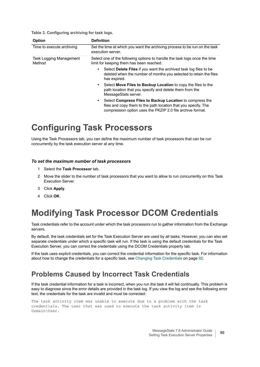**Table 3. Configuring archiving for task logs.**

| Option                                   | <b>Definition</b>                                                                                                                                                                             |
|------------------------------------------|-----------------------------------------------------------------------------------------------------------------------------------------------------------------------------------------------|
| Time to execute archiving                | Set the time at which you want the archiving process to be run on the task<br>execution server.                                                                                               |
| <b>Task Logging Management</b><br>Method | Select one of the following options to handle the task logs once the time<br>limit for keeping them has been reached:                                                                         |
|                                          | Select Delete Files if you want the archived task log files to be<br>٠<br>deleted when the number of months you selected to retain the files<br>has expired.                                  |
|                                          | Select Move Files to Backup Location to copy the files to the<br>$\bullet$<br>path location that you specify and delete them from the<br>MessageStats server.                                 |
|                                          | Select Compress Files to Backup Location to compress the<br>٠<br>files and copy them to the path location that you specify. The<br>compression option uses the PKZIP 2.0 file archive format. |

### <span id="page-89-0"></span>**Configuring Task Processors**

Using the Task Processors tab, you can define the maximum number of task processors that can be run concurrently by the task execution server at any time.

#### *To set the maximum number of task processors*

- 1 Select the **Task Processor** tab.
- 2 Move the slider to the number of task processors that you want to allow to run concurrently on this Task Execution Server.
- 3 Click **Apply**.
- 4 Click **OK**.

### <span id="page-89-1"></span>**Modifying Task Processor DCOM Credentials**

Task credentials refer to the account under which the task processors run to gather information from the Exchange servers.

By default, the task credentials set for the Task Execution Server are used by all tasks. However, you can also set separate credentials under which a specific task will run. If the task is using the default credentials for the Task Execution Server, you can correct the credentials using the DCOM Credentials property tab.

If the task uses explicit credentials, you can correct the credential information for the specific task. For information about how to change the credentials for a specific task, see [Changing Task Credentials on page 92.](#page-91-0)

#### **Problems Caused by Incorrect Task Credentials**

If the task credential information for a task is incorrect, when you run the task it will fail continually. This problem is easy to diagnose since the error details are provided in the task log. If you view the log and see the following error text, the credentials for the task are invalid and must be corrected:

The task activity item was unable to execute due to a problem with the task credentials. The user that was used to execute the task activity item is Domain\User.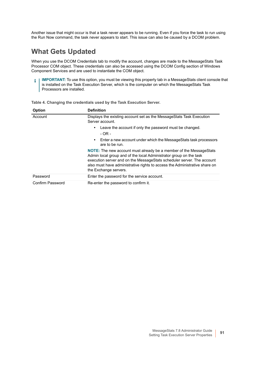Another issue that might occur is that a task never appears to be running. Even if you force the task to run using the Run Now command, the task never appears to start. This issue can also be caused by a DCOM problem.

#### **What Gets Updated**

When you use the DCOM Credentials tab to modify the account, changes are made to the MessageStats Task Processor COM object. These credentials can also be accessed using the DCOM Config section of Windows Component Services and are used to instantiate the COM object.

**IMPORTANT:** To use this option, you must be viewing this property tab in a MessageStats client console that  $\ddot{\mathbf{r}}$ is installed on the Task Execution Server, which is the computer on which the MessageStats Task Processors are installed.

| Option           | <b>Definition</b>                                                                                                                                                                                                                                                                                                                 |
|------------------|-----------------------------------------------------------------------------------------------------------------------------------------------------------------------------------------------------------------------------------------------------------------------------------------------------------------------------------|
| Account          | Displays the existing account set as the Message Stats Task Execution<br>Server account.                                                                                                                                                                                                                                          |
|                  | Leave the account if only the password must be changed.<br>$\bullet$<br>- OR -                                                                                                                                                                                                                                                    |
|                  | Enter a new account under which the MessageStats task processors<br>$\bullet$<br>are to be run.                                                                                                                                                                                                                                   |
|                  | <b>NOTE:</b> The new account must already be a member of the MessageStats<br>Admin local group and of the local Administrator group on the task<br>execution server and on the Message Stats scheduler server. The account<br>also must have administrative rights to access the Administrative share on<br>the Exchange servers. |
| Password         | Enter the password for the service account.                                                                                                                                                                                                                                                                                       |
| Confirm Password | Re-enter the password to confirm it.                                                                                                                                                                                                                                                                                              |

**Table 4. Changing the credentials used by the Task Execution Server.**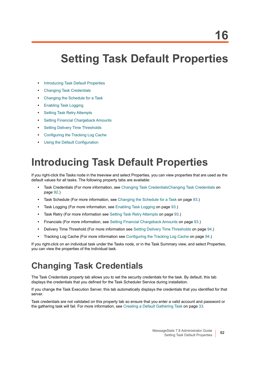# **Setting Task Default Properties**

- **•** [Introducing Task Default Properties](#page-91-2)
- **•** [Changing Task Credentials](#page-91-1)
- **•** [Changing the Schedule for a Task](#page-92-3)
- **•** [Enabling Task Logging](#page-92-0)
- **•** [Setting Task Retry Attempts](#page-92-1)
- **•** [Setting Financial Chargeback Amounts](#page-92-2)
- **•** [Setting Delivery Time Thresholds](#page-93-1)
- **•** [Configuring the Tracking Log Cache](#page-93-2)
- **•** [Using the Default Configuration](#page-93-3)

# <span id="page-91-2"></span>**Introducing Task Default Properties**

If you right-click the Tasks node in the treeview and select Properties, you can view properties that are used as the default values for all tasks. The following property tabs are available:

- **•** Task Credentials (For more information, see [Changing Task CredentialsChanging Task Credentials on](#page-91-1)  [page 92](#page-91-1).)
- **•** Task Schedule (For more information, see [Changing the Schedule for a Task on page 93](#page-92-3).)
- **•** Task Logging (For more information, see [Enabling Task Logging on page 93](#page-92-0).)
- **•** Task Retry (For more information see [Setting Task Retry Attempts on page 93](#page-92-1).)
- **•** Financials (For more information, see [Setting Financial Chargeback Amounts on page 93](#page-92-2).)
- **•** Delivery Time Threshold (For more information see [Setting Delivery Time Thresholds on page 94](#page-93-1).)
- **•** Tracking Log Cache (For more information see [Configuring the Tracking Log Cache on page 94](#page-93-2).)

If you right-click on an individual task under the Tasks node, or in the Task Summary view, and select Properties, you can view the properties of the individual task.

## <span id="page-91-1"></span><span id="page-91-0"></span>**Changing Task Credentials**

The Task Credentials property tab allows you to set the security credentials for the task. By default, this tab displays the credentials that you defined for the Task Scheduler Service during installation.

If you change the Task Execution Server, this tab automatically displays the credentials that you identified for that server.

Task credentials are not validated on this property tab so ensure that you enter a valid account and password or the gathering task will fail. For more information, see [Creating a Default Gathering Task on page 33](#page-32-0).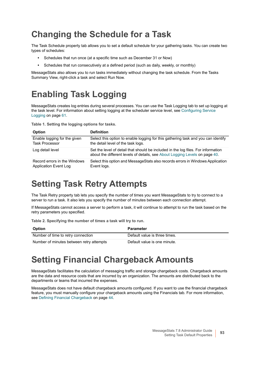## <span id="page-92-3"></span>**Changing the Schedule for a Task**

The Task Schedule property tab allows you to set a default schedule for your gathering tasks. You can create two types of schedules:

- **•** Schedules that run once (at a specific time such as December 31 or Now)
- **•** Schedules that run consecutively at a defined period (such as daily, weekly, or monthly)

MessageStats also allows you to run tasks immediately without changing the task schedule. From the Tasks Summary View, right-click a task and select Run Now.

## <span id="page-92-0"></span>**Enabling Task Logging**

MessageStats creates log entries during several processes. You can use the Task Logging tab to set up logging at the task level. For information about setting logging at the scheduler service level, see [Configuring Service](#page-60-0)  [Logging on page 61](#page-60-0).

**Table 1. Setting the logging options for tasks.**

| <b>Option</b>                | <b>Definition</b>                                                                                                                                                |
|------------------------------|------------------------------------------------------------------------------------------------------------------------------------------------------------------|
| Enable logging for the given | Select this option to enable logging for this gathering task and you can identify                                                                                |
| <b>Task Processor</b>        | the detail level of the task logs.                                                                                                                               |
| Log detail level             | Set the level of detail that should be included in the log files. For information<br>about the different levels of details, see About Logging Levels on page 40. |
| Record errors in the Windows | Select this option and MessageStats also records errors in Windows Application                                                                                   |
| Application Event Log        | Event logs.                                                                                                                                                      |

### <span id="page-92-1"></span>**Setting Task Retry Attempts**

The Task Retry property tab lets you specify the number of times you want MessageStats to try to connect to a server to run a task. It also lets you specify the number of minutes between each connection attempt.

If MessageStats cannot access a server to perform a task, it will continue to attempt to run the task based on the retry parameters you specified.

**Table 2. Specifying the number of times a task will try to run.**

| <b>Option</b>                            | <b>Parameter</b>              |
|------------------------------------------|-------------------------------|
| Number of time to retry connection       | Default value is three times. |
| Number of minutes between retry attempts | Default value is one minute.  |

### <span id="page-92-2"></span>**Setting Financial Chargeback Amounts**

MessageStats facilitates the calculation of messaging traffic and storage chargeback costs. Chargeback amounts are the data and resource costs that are incurred by an organization. The amounts are distributed back to the departments or teams that incurred the expenses.

MessageStats does not have default chargeback amounts configured. If you want to use the financial chargeback feature, you must manually configure your chargeback amounts using the Financials tab. For more information, see [Defining Financial Chargeback on page 44.](#page-43-0)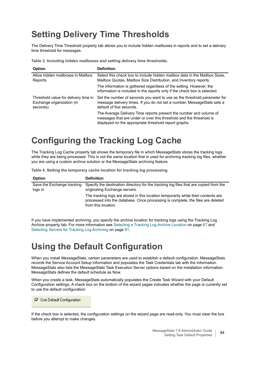## <span id="page-93-1"></span>**Setting Delivery Time Thresholds**

The Delivery Time Threshold property tab allows you to include hidden mailboxes in reports and to set a delivery time threshold for messages.

**Table 3. Including hidden mailboxes and setting delivery time thresholds.**

| <b>Option</b>                                                                 | <b>Definition</b>                                                                                                                                                                                  |
|-------------------------------------------------------------------------------|----------------------------------------------------------------------------------------------------------------------------------------------------------------------------------------------------|
| Allow hidden mailboxes in Mailbox<br>Reports                                  | Select this check box to include hidden mailbox data in the Mailbox Sizes,<br>Mailbox Quotas, Mailbox Size Distribution, and Inventory reports.                                                    |
|                                                                               | The information is gathered regardless of the setting. However, the<br>information is included in the reports only if the check box is selected.                                                   |
| Threshold value for delivery time in<br>Exchange organization (in<br>seconds) | Set the number of seconds you want to use as the threshold parameter for<br>message delivery times. If you do not set a number, MessageStats sets a<br>default of five seconds.                    |
|                                                                               | The Average Delivery Time reports present the number and volume of<br>messages that are under or over this threshold and the threshold is<br>displayed on the appropriate threshold report graphs. |

### <span id="page-93-2"></span><span id="page-93-0"></span>**Configuring the Tracking Log Cache**

The Tracking Log Cache property tab shows the temporary file in which MessageStats stores the tracking logs while they are being processed. This is not the same location that is used for archiving tracking log files, whether you are using a custom archive solution or the MessageStats archiving feature.

**Table 4. Setting the temporary cache location for tracking log processing.**

| <b>Option</b>                         | <b>Definition</b>                                                                                                                                                                            |
|---------------------------------------|----------------------------------------------------------------------------------------------------------------------------------------------------------------------------------------------|
| Save the Exchange tracking<br>logs in | Specify the destination directory for the tracking log files that are copied from the<br>originating Exchange servers.                                                                       |
|                                       | The tracking logs are stored in this location temporarily while their contents are<br>processed into the database. Once processing is complete, the files are deleted<br>from this location. |

If you have implemented archiving, you specify the archive location for tracking logs using the Tracking Log Archive property tab. For more information see [Selecting a Tracking Log Archive Location on page 67](#page-66-1) and [Selecting Servers for Tracking Log Archiving on page 81.](#page-80-1)

### <span id="page-93-3"></span>**Using the Default Configuration**

When you install MessageStats, certain parameters are used to establish a default configuration. MessageStats records the Service Account Setup information and populates the Task Credentials tab with the information. MessageStats also lists the MessageStats Task Execution Server options based on the installation information. MessageStats defines the default schedule as Now.

When you create a task, MessageStats automatically populates the Create Task Wizard with your Default Configuration settings. A check box on the bottom of the wizard pages indicates whether the page is currently set to use the default configuration:

**▽** Use Default Configuration

If the check box is selected, the configuration settings on the wizard page are read-only. You must clear the box before you attempt to make changes.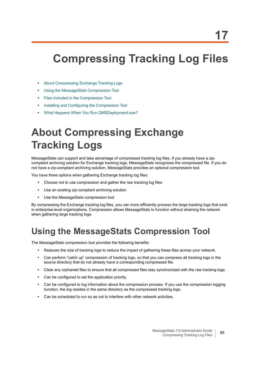# **Compressing Tracking Log Files**

- **•** [About Compressing Exchange Tracking Logs](#page-94-1)
- **•** [Using the MessageStats Compression Tool](#page-94-0)
- **•** [Files Included in the Compression Tool](#page-95-0)
- **•** [Installing and Configuring the Compression Tool](#page-95-1)
- **•** [What Happens When You Run QMSDeployment.exe?](#page-96-0)

# <span id="page-94-1"></span>**About Compressing Exchange Tracking Logs**

MessageStats can support and take advantage of compressed tracking log files. If you already have a zipcompliant archiving solution for Exchange tracking logs, MessageStats recognizes the compressed file. If you do not have a zip-compliant archiving solution, MessageStats provides an optional compression tool.

You have three options when gathering Exchange tracking log files:

- **•** Choose not to use compression and gather the raw tracking log files
- **•** Use an existing zip-compliant archiving solution
- **•** Use the MessageStats compression tool

By compressing the Exchange tracking log files, you can more efficiently process the large tracking logs that exist in enterprise-level organizations. Compression allows MessageStats to function without straining the network when gathering large tracking logs.

### <span id="page-94-0"></span>**Using the MessageStats Compression Tool**

The MessageStats compression tool provides the following benefits:

- **•** Reduces the size of tracking logs to reduce the impact of gathering these files across your network.
- **•** Can perform "catch up" compression of tracking logs, so that you can compress all tracking logs in the source directory that do not already have a corresponding compressed file.
- **•** Clear any orphaned files to ensure that all compressed files stay synchronized with the raw tracking logs.
- **•** Can be configured to set the application priority.
- **•** Can be configured to log information about the compression process. If you use the compression logging function, the log resides in the same directory as the compressed tracking logs.
- **•** Can be scheduled to run so as not to interfere with other network activities.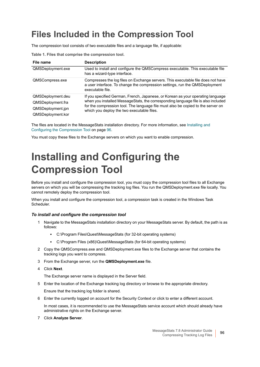## <span id="page-95-0"></span>**Files Included in the Compression Tool**

The compression tool consists of two executable files and a language file, if applicable:

| File name                                                                        | <b>Description</b>                                                                                                                                                                                                                                                                                     |
|----------------------------------------------------------------------------------|--------------------------------------------------------------------------------------------------------------------------------------------------------------------------------------------------------------------------------------------------------------------------------------------------------|
| QMSDeployment.exe                                                                | Used to install and configure the QMSCompress executable. This executable file<br>has a wizard-type interface.                                                                                                                                                                                         |
| QMSCompress.exe                                                                  | Compresses the log files on Exchange servers. This executable file does not have<br>a user interface. To change the compression settings, run the QMSDeployment<br>executable file.                                                                                                                    |
| QMSDeployment.deu<br>QMSDeployment.fra<br>QMSDeployment.jpn<br>QMSDeployment.kor | If you specified German, French, Japanese, or Korean as your operating language<br>when you installed MessageStats, the corresponding language file is also included<br>for the compression tool. The language file must also be copied to the server on<br>which you deploy the two executable files. |

**Table 1. Files that comprise the compression tool.**

The files are located in the MessageStats installation directory. For more information, see [Installing and](#page-95-1)  [Configuring the Compression Tool on page 96.](#page-95-1)

You must copy these files to the Exchange servers on which you want to enable compression.

# <span id="page-95-1"></span>**Installing and Configuring the Compression Tool**

Before you install and configure the compression tool, you must copy the compression tool files to all Exchange servers on which you will be compressing the tracking log files. You run the QMSDeployment.exe file locally. You cannot remotely deploy the compression tool.

When you install and configure the compression tool, a compression task is created in the Windows Task Scheduler.

#### *To install and configure the compression tool*

- 1 Navigate to the MessageStats installation directory on your MessageStats server. By default, the path is as follows:
	- **▪** C:\Program Files\Quest\MessageStats (for 32-bit operating systems)
	- **▪** C:\Program Files (x86)\Quest\MessageStats (for 64-bit operating systems)
- 2 Copy the QMSCompress.exe and QMSDeployment.exe files to the Exchange server that contains the tracking logs you want to compress.
- 3 From the Exchange server, run the **QMSDeployment.exe** file.
- 4 Click **Next**.

The Exchange server name is displayed in the Server field.

5 Enter the location of the Exchange tracking log directory or browse to the appropriate directory.

Ensure that the tracking log folder is shared.

6 Enter the currently logged on account for the Security Context or click to enter a different account.

In most cases, it is recommended to use the MessageStats service account which should already have administrative rights on the Exchange server.

7 Click **Analyze Server**.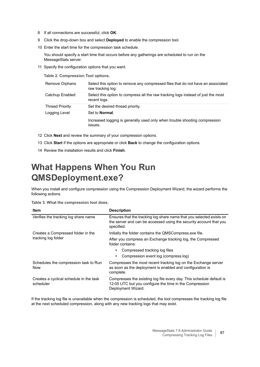- 8 If all connections are successful, click **OK**.
- 9 Click the drop-down box and select **Deployed** to enable the compression tool.
- 10 Enter the start time for the compression task schedule.

You should specify a start time that occurs before any gatherings are scheduled to run on the MessageStats server.

11 Specify the configuration options that you want.

**Table 2. Compression Tool options.**

| Remove Orphans         | Select this option to remove any compressed files that do not have an associated<br>raw tracking log. |
|------------------------|-------------------------------------------------------------------------------------------------------|
| Catchup Enabled        | Select this option to compress all the raw tracking logs instead of just the most<br>recent logs.     |
| <b>Thread Priority</b> | Set the desired thread priority.                                                                      |
| Logging Level          | Set to <b>Normal</b> .                                                                                |
|                        | Increased logging is generally used only when trouble shooting compression<br>issues.                 |

- 12 Click **Next** and review the summary of your compression options.
- 13 Click **Start** if the options are appropriate or click **Back** to change the configuration options.
- 14 Review the installation results and click **Finish**.

## <span id="page-96-0"></span>**What Happens When You Run QMSDeployment.exe?**

When you install and configure compression using the Compression Deployment Wizard, the wizard performs the following actions.

**Table 3. What the compression tool does.**

| <b>Item</b>                                          | <b>Description</b>                                                                                                                                       |
|------------------------------------------------------|----------------------------------------------------------------------------------------------------------------------------------------------------------|
| Verifies the tracking log share name                 | Ensures that the tracking log share name that you selected exists on<br>the server and can be accessed using the security account that you<br>specified. |
| Creates a Compressed folder in the                   | Initially the folder contains the QMSCompress.exe file.                                                                                                  |
| tracking log folder                                  | After you compress an Exchange tracking log, the Compressed<br>folder contains:                                                                          |
|                                                      | Compressed tracking log files                                                                                                                            |
|                                                      | Compression event log (compress.log)                                                                                                                     |
| Schedules the compression task to Run<br><b>Now</b>  | Compresses the most recent tracking log on the Exchange server<br>as soon as the deployment is enabled and configuration is<br>complete.                 |
| Creates a cyclical schedule in the task<br>scheduler | Compresses the existing log file every day. This schedule default is<br>12:05 UTC but you configure the time in the Compression<br>Deployment Wizard.    |

If the tracking log file is unavailable when the compression is scheduled, the tool compresses the tracking log file at the next scheduled compression, along with any new tracking logs that may exist.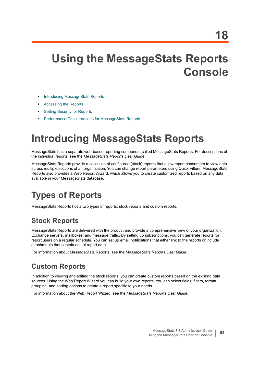# **Using the MessageStats Reports Console**

- **•** [Introducing MessageStats Reports](#page-97-0)
- **•** [Accessing the Reports](#page-98-1)
- **[Setting Security for Reports](#page-98-0)**
- **•** [Performance Considerations for MessageStats Reports](#page-101-0)

# <span id="page-97-0"></span>**Introducing MessageStats Reports**

MessageStats has a separate web-based reporting component called MessageStats Reports. For descriptions of the individual reports, see the *MessageStats Reports User Guide*.

MessageStats Reports provide a collection of configured (stock) reports that allow report consumers to view data across multiple sections of an organization. You can change report parameters using Quick Filters. MessageStats Reports also provides a Web Report Wizard, which allows you to create customized reports based on any data available in your MessageStats database.

## **Types of Reports**

MessageStats Reports hosts two types of reports: stock reports and custom reports.

### **Stock Reports**

MessageStats Reports are delivered with the product and provide a comprehensive view of your organization, Exchange servers, mailboxes, and message traffic. By setting up subscriptions, you can generate reports for report users on a regular schedule. You can set up email notifications that either link to the reports or include attachments that contain actual report data.

For information about MessageStats Reports, see the *MessageStats Reports User Guide*.

#### **Custom Reports**

In addition to viewing and editing the stock reports, you can create custom reports based on the existing data sources. Using the Web Report Wizard you can build your own reports. You can select fields, filters, format, grouping, and sorting options to create a report specific to your needs.

For information about the Web Report Wizard, see the *MessageStats Reports User Guide*.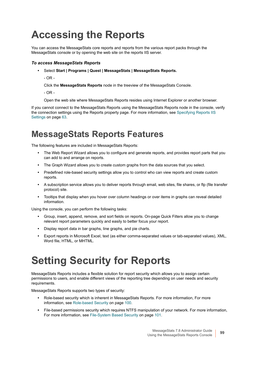# <span id="page-98-1"></span>**Accessing the Reports**

You can access the MessageStats core reports and reports from the various report packs through the MessageStats console or by opening the web site on the reports IIS server.

#### *To access MessageStats Reports*

- **•** Select **Start | Programs | Quest | MessageStats | MessageStats Reports.**
	- $-$  OR  $-$

Click the **MessageStats Reports** node in the treeview of the MessageStats Console.

- OR -

Open the web site where MessageStats Reports resides using Internet Explorer or another browser.

If you cannot connect to the MessageStats Reports using the MessageStats Reports node in the console, verify the connection settings using the Reports property page. For more information, see [Specifying Reports IIS](#page-62-0)  [Settings on page 63.](#page-62-0)

### **MessageStats Reports Features**

The following features are included in MessageStats Reports:

- **•** The Web Report Wizard allows you to configure and generate reports, and provides report parts that you can add to and arrange on reports.
- **•** The Graph Wizard allows you to create custom graphs from the data sources that you select.
- **•** Predefined role-based security settings allow you to control who can view reports and create custom reports.
- **•** A subscription service allows you to deliver reports through email, web sites, file shares, or ftp (file transfer protocol) site.
- **•** Tooltips that display when you hover over column headings or over items in graphs can reveal detailed information.

Using the console, you can perform the following tasks:

- **•** Group, insert, append, remove, and sort fields on reports. On-page Quick Filters allow you to change relevant report parameters quickly and easily to better focus your report.
- **•** Display report data in bar graphs, line graphs, and pie charts.
- **•** Export reports in Microsoft Excel, text (as either comma-separated values or tab-separated values), XML, Word file, HTML, or MHTML.

# <span id="page-98-0"></span>**Setting Security for Reports**

MessageStats Reports includes a flexible solution for report security which allows you to assign certain permissions to users, and enable different views of the reporting tree depending on user needs and security requirements.

MessageStats Reports supports two types of security:

- **•** Role-based security which is inherent in MessageStats Reports. For more information, [For more](#page-99-0)  [information, see Role-based Security on page 100.](#page-99-0)
- **•** File-based permissions security which requires NTFS manipulation of your network. For more information, [For more information, see File-System Based Security on page 101.](#page-100-0)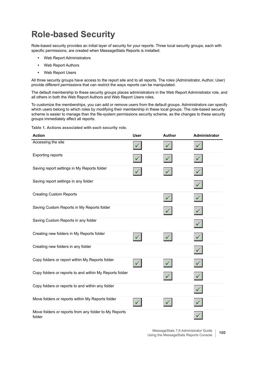## <span id="page-99-0"></span>**Role-based Security**

Role-based security provides an initial layer of security for your reports. Three local security groups, each with specific permissions, are created when MessageStats Reports is installed:

- **•** Web Report Administrators
- **•** Web Report Authors
- **•** Web Report Users

All three security groups have access to the report site and to all reports. The roles (Administrator, Author, User) provide different permissions that can restrict the ways reports can be manipulated.

The default membership to these security groups places administrators in the Web Report Administrator role, and all others in both the Web Report Authors and Web Report Users roles.

To customize the memberships, you can add or remove users from the default groups. Administrators can specify which users belong to which roles by modifying their membership in these local groups. The role-based security scheme is easier to manage than the file-system permissions security scheme, as the changes to these security groups immediately affect all reports.

**Action User Author Administrator** Accessing the site Exporting reports Saving report settings in My Reports folder Saving report settings in any folder Creating Custom Reports Saving Custom Reports in My Reports folder Saving Custom Reports in any folder Creating new folders in My Reports folder ✓ Creating new folders in any folder Copy folders or report within My Reports folder Copy folders or reports to and within My Reports folder Copy folders or reports to and within any folder Move folders or reports within My Reports folder Move folders or reports from any folder to My Reports folder

**Table 1. Actions associated with each security role.**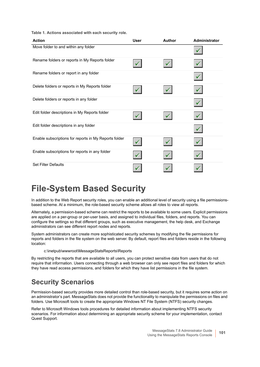**Table 1. Actions associated with each security role.**

| <b>Action</b>                                         | <b>User</b> | Author | Administrator |
|-------------------------------------------------------|-------------|--------|---------------|
| Move folder to and within any folder                  |             |        |               |
| Rename folders or reports in My Reports folder        |             |        |               |
| Rename folders or report in any folder                |             |        |               |
| Delete folders or reports in My Reports folder        |             |        |               |
| Delete folders or reports in any folder               |             |        |               |
| Edit folder descriptions in My Reports folder         |             |        |               |
| Edit folder descriptions in any folder                |             |        |               |
| Enable subscriptions for reports in My Reports folder |             |        |               |
| Enable subscriptions for reports in any folder        |             |        |               |
| <b>Set Filter Defaults</b>                            |             |        |               |

### <span id="page-100-0"></span>**File-System Based Security**

In addition to the Web Report security roles, you can enable an additional level of security using a file permissionsbased scheme. At a minimum, the role-based security scheme allows all roles to view all reports.

Alternately, a permission-based scheme can restrict the reports to be available to some users. Explicit permissions are applied on a per-group or per-user basis, and assigned to individual files, folders, and reports. You can configure the settings so that different groups, such as executive management, the help desk, and Exchange administrators can see different report nodes and reports.

System administrators can create more sophisticated security schemes by modifying the file permissions for reports and folders in the file system on the web server. By default, report files and folders reside in the following location:

c:\inetpub\wwwroot\MessageStatsReports\Reports

By restricting the reports that are available to all users, you can protect sensitive data from users that do not require that information. Users connecting through a web browser can only see report files and folders for which they have read access permissions, and folders for which they have list permissions in the file system.

### **Security Scenarios**

Permission-based security provides more detailed control than role-based security, but it requires some action on an administrator's part. MessageStats does not provide the functionality to manipulate the permissions on files and folders. Use Microsoft tools to create the appropriate Windows NT File System (NTFS) security changes.

Refer to Microsoft Windows tools procedures for detailed information about implementing NTFS security scenarios. For information about determining an appropriate security scheme for your implementation, contact Quest Support.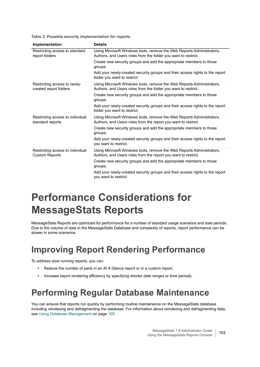**Table 2. Possible security implementation for reports.**

| Implementation                                            | <b>Details</b>                                                                                                                          |
|-----------------------------------------------------------|-----------------------------------------------------------------------------------------------------------------------------------------|
| Restricting access to standard<br>report folders          | Using Microsoft Windows tools, remove the Web Reports Administrators,<br>Authors, and Users roles from the folder you want to restrict. |
|                                                           | Create new security groups and add the appropriate members to those<br>groups.                                                          |
|                                                           | Add your newly-created security groups and their access rights to the report<br>folder you want to restrict.                            |
| Restricting access to newly-<br>created report folders    | Using Microsoft Windows tools, remove the Web Reports Administrators,<br>Authors, and Users roles from the folder you want to restrict. |
|                                                           | Create new security groups and add the appropriate members to those<br>groups.                                                          |
|                                                           | Add your newly-created security groups and their access rights to the report<br>folder you want to restrict.                            |
| Restricting access to individual<br>standard reports      | Using Microsoft Windows tools, remove the Web Reports Administrators,<br>Authors, and Users roles from the report you want to restrict. |
|                                                           | Create new security groups and add the appropriate members to those<br>groups.                                                          |
|                                                           | Add your newly-created security groups and their access rights to the report<br>you want to restrict.                                   |
| Restricting access to individual<br><b>Custom Reports</b> | Using Microsoft Windows tools, remove the Web Reports Administrators,<br>Authors, and Users roles from the report you want to restrict. |
|                                                           | Create new security groups and add the appropriate members to those<br>groups.                                                          |
|                                                           | Add your newly-created security groups and their access rights to the report<br>you want to restrict.                                   |

# <span id="page-101-0"></span>**Performance Considerations for MessageStats Reports**

MessageStats Reports are optimized for performance for a number of standard usage scenarios and date periods. Due to the volume of data in the MessageStats Database and complexity of reports, report performance can be slower in some scenarios.

## **Improving Report Rendering Performance**

To address slow running reports, you can:

- **•** Reduce the number of parts in an *At A Glance* report or in a custom report.
- **•** Increase report rendering efficiency by specifying shorter date ranges or time periods.

### **Performing Regular Database Maintenance**

You can ensure that reports run quickly by performing routine maintenance on the MessageStats database including reindexing and defragmenting the database. For information about reindexing and defragmenting data, see [Using Database Management on page 105.](#page-104-0)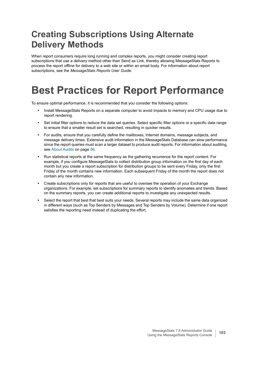## **Creating Subscriptions Using Alternate Delivery Methods**

When report consumers require long running and complex reports, you might consider creating report subscriptions that use a delivery method other than Send as Link, thereby allowing MessageStats Reports to process the report offline for delivery to a web site or within an email body. For information about report subscriptions, see the *MessageStats Reports User Guide*.

# **Best Practices for Report Performance**

To ensure optimal performance, it is recommended that you consider the following options:

- **•** Install MessageStats Reports on a separate computer to avoid impacts to memory and CPU usage due to report rendering.
- **•** Set initial filter options to reduce the data set queries. Select specific filter options or a specific date range to ensure that a smaller result set is searched, resulting in quicker results.
- **•** For audits, ensure that you carefully define the mailboxes, Internet domains, message subjects, and message delivery times. Extensive audit information in the MessageStats Database can slow performance since the report queries must scan a larger dataset to produce audit reports. For information about auditing, see [About Audits on page 56.](#page-55-0)
- **•** Run statistical reports at the same frequency as the gathering recurrence for the report content. For example, if you configure MessageStats to collect distribution group information on the first day of each month but you create a report subscription for distribution groups to be sent every Friday, only the first Friday of the month contains new information. Each subsequent Friday of the month the report does not contain any new information.
- **•** Create subscriptions only for reports that are useful to oversee the operation of your Exchange organizations. For example, set subscriptions for summary reports to identify anomalies and trends. Based on the summary reports, you can create additional reports to investigate any unexpected results.
- **•** Select the report that best that best suits your needs. Several reports may include the same data organized in different ways (such as Top Senders by Messages and Top Senders by Volume). Determine if one report satisfies the reporting need instead of duplicating the effort.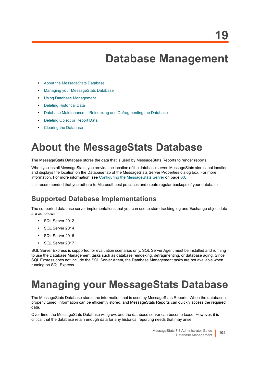# **Database Management**

- **•** [About the MessageStats Database](#page-103-0)
- **•** [Managing your MessageStats Database](#page-103-1)
- **•** [Using Database Management](#page-104-1)
- **•** [Deleting Historical Data](#page-105-0)
- **•** [Database Maintenance— Reindexing and Defragmenting the Database](#page-106-0)
- **•** [Deleting Object or Report Data](#page-108-0)
- **•** [Clearing the Database](#page-110-0)

# <span id="page-103-0"></span>**About the MessageStats Database**

The MessageStats Database stores the data that is used by MessageStats Reports to render reports.

When you install MessageStats, you provide the location of the database server. MessageStats stores that location and displays the location on the Database tab of the MessageStats Server Properties dialog box. For more information, [For more information, see Configuring the MessageStats Server on page 60.](#page-59-0)

It is recommended that you adhere to Microsoft best practices and create regular backups of your database.

### **Supported Database Implementations**

The supported database server implementations that you can use to store tracking log and Exchange object data are as follows:

- **•** SQL Server 2012
- **•** SQL Server 2014
- **•** SQL Server 2016
- **•** SQL Server 2017

SQL Server Express is supported for evaluation scenarios only. SQL Server Agent must be installed and running to use the Database Management tasks such as database reindexing, defragmenting, or database aging. Since SQL Express does not include the SQL Server Agent, the Database Management tasks are not available when running on SQL Express.

# <span id="page-103-1"></span>**Managing your MessageStats Database**

The MessageStats Database stores the information that is used by MessageStats Reports. When the database is properly tuned, information can be efficiently stored, and MessageStats Reports can quickly access the required data.

Over time, the MessageStats Database will grow, and the database server can become taxed. However, it is critical that the database retain enough data for any historical reporting needs that may arise.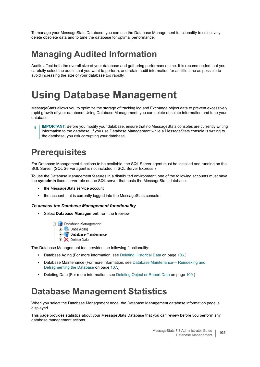To manage your MessageStats Database, you can use the Database Management functionality to selectively delete obsolete data and to tune the database for optimal performance.

## **Managing Audited Information**

Audits affect both the overall size of your database and gathering performance time. It is recommended that you carefully select the audits that you want to perform, and retain audit information for as little time as possible to avoid increasing the size of your database too rapidly.

# <span id="page-104-1"></span><span id="page-104-0"></span>**Using Database Management**

MessageStats allows you to optimize the storage of tracking log and Exchange object data to prevent excessively rapid growth of your database. Using Database Management, you can delete obsolete information and tune your database.

**IMPORTANT:** Before you modify your database, ensure that no MessageStats consoles are currently writing f information to the database. If you use Database Management while a MessageStats console is writing to the database, you risk corrupting your database.

## **Prerequisites**

For Database Management functions to be available, the SQL Server agent must be installed and running on the SQL Server. (SQL Server agent is not included in SQL Server Express.)

To use the Database Management features in a distributed environment, one of the following accounts must have the **sysadmin** fixed server role on the SQL server that hosts the MessageStats database:

- **•** the MessageStats service account
- **•** the account that is currently logged into the MessageStats console

#### *To access the Database Management functionality*

- **•** Select **Database Management** from the treeview.
	- **E**-L2 Database Management
		- 由 (2, Data Aging
		- **E. IF** Database Maintenance
		- **E** Delete Data

The Database Management tool provides the following functionality:

- **•** Database Aging (For more information, see [Deleting Historical Data on page 106](#page-105-0).)
- **•** Database Maintenance (For more information, see [Database Maintenance— Reindexing and](#page-106-0)  [Defragmenting the Database on page 107](#page-106-0).)
- **•** Deleting Data (For more information, see [Deleting Object or Report Data on page 109](#page-108-0).)

### **Database Management Statistics**

When you select the Database Management node, the Database Management database information page is displayed.

This page provides statistics about your MessageStats Database that you can review before you perform any database management actions.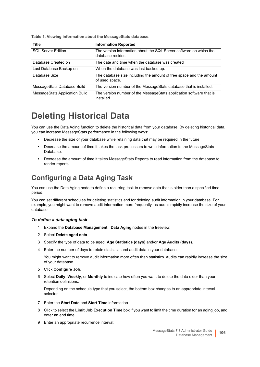**Table 1. Viewing information about the MessageStats database.**

| <b>Title</b>                   | <b>Information Reported</b>                                                             |
|--------------------------------|-----------------------------------------------------------------------------------------|
| <b>SQL Server Edition</b>      | The version information about the SQL Server software on which the<br>database resides. |
| Database Created on            | The date and time when the database was created                                         |
| Last Database Backup on        | When the database was last backed up.                                                   |
| Database Size                  | The database size including the amount of free space and the amount<br>of used space.   |
| MessageStats Database Build    | The version number of the Message Stats database that is installed.                     |
| MessageStats Application Build | The version number of the MessageStats application software that is<br>installed.       |

### <span id="page-105-0"></span>**Deleting Historical Data**

You can use the Data Aging function to delete the historical data from your database. By deleting historical data, you can increase MessageStats performance in the following ways:

- **•** Decrease the size of your database while retaining data that may be required in the future.
- **•** Decrease the amount of time it takes the task processors to write information to the MessageStats Database.
- **•** Decrease the amount of time it takes MessageStats Reports to read information from the database to render reports.

### **Configuring a Data Aging Task**

You can use the Data Aging node to define a recurring task to remove data that is older than a specified time period.

You can set different schedules for deleting statistics and for deleting audit information in your database. For example, you might want to remove audit information more frequently, as audits rapidly increase the size of your database.

#### *To define a data aging task*

- 1 Expand the **Database Management | Data Aging** nodes in the treeview.
- 2 Select **Delete aged data**.
- 3 Specify the type of data to be aged: **Age Statistics (days)** and/or **Age Audits (days)**.
- 4 Enter the number of days to retain statistical and audit data in your database.

You might want to remove audit information more often than statistics. Audits can rapidly increase the size of your database.

- 5 Click **Configure Job**.
- 6 Select **Daily**, **Weekly**, or **Monthly** to indicate how often you want to delete the data older than your retention definitions.

Depending on the schedule type that you select, the bottom box changes to an appropriate interval selector.

- 7 Enter the **Start Date** and **Start Time** information.
- 8 Click to select the **Limit Job Execution Time** box if you want to limit the time duration for an aging job, and enter an end time.
- 9 Enter an appropriate recurrence interval: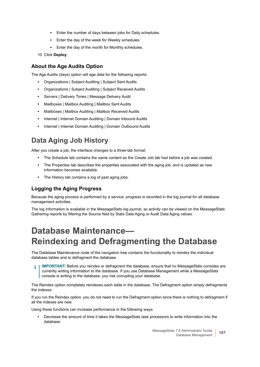- **▪** Enter the number of days between jobs for Daily schedules.
- **▪** Enter the day of the week for Weekly schedules.
- **▪** Enter the day of the month for Monthly schedules.
- 10 Click **Deploy**.

#### **About the Age Audits Option**

The Age Audits (days) option will age data for the following reports:

- **•** Organizations | Subject Auditing | Subject Sent Audits
- **•** Organizations | Subject Auditing | Subject Received Audits
- **•** Servers | Delivery Times | Message Delivery Audit
- **•** Mailboxes | Mailbox Auditing | Mailbox Sent Audits
- **•** Mailboxes | Mailbox Auditing | Mailbox Received Audits
- **•** Internet | Internet Domain Auditing | Domain Inbound Audits
- **•** Internet | Internet Domain Auditing | Domain Outbound Audits

### **Data Aging Job History**

After you create a job, the interface changes to a three-tab format:

- **•** The Schedule tab contains the same content as the Create Job tab had before a job was created.
- **•** The Properties tab describes the properties associated with the aging job, and is updated as new information becomes available.
- **•** The History tab contains a log of past aging jobs.

#### **Logging the Aging Progress**

Because the aging process is performed by a service, progress is recorded in the log journal for all database management activities.

The log information is available in the MessageStats log journal, so activity can be viewed on the MessageStats Gathering reports by filtering the Source field by Stats Data Aging or Audit Data Aging values.

## <span id="page-106-0"></span>**Database Maintenance— Reindexing and Defragmenting the Database**

The Database Maintenance node of the navigation tree contains the functionality to reindex the individual database tables and to defragment the database.

**IMPORTANT:** Before you reindex or defragment the database, ensure that no MessageStats consoles are currently writing information to the database. If you use Database Management while a MessageStats console is writing to the database, you risk corrupting your database.

The Reindex option completely reindexes each table in the database. The Defragment option simply defragments the indexes.

If you run the Reindex option, you do not need to run the Defragment option since there is nothing to defragment if all the indexes are new.

Using these functions can increase performance in the following ways:

**•** Decrease the amount of time it takes the MessageStats task processors to write information into the database.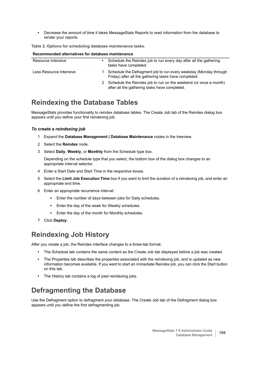**•** Decrease the amount of time it takes MessageStats Reports to read information from the database to render your reports.

**Table 2. Options for scheduling database maintenance tasks.**

#### **Recommended alternatives for database maintenance**

| Resource Intensive      | Schedule the Reindex job to run every day after all the gathering<br>tasks have completed.                                |
|-------------------------|---------------------------------------------------------------------------------------------------------------------------|
| Less Resource Intensive | Schedule the Defragment job to run every weekday (Monday through<br>Friday) after all the gathering tasks have completed. |
|                         | 2 Schedule the Reindex job to run on the weekend (or once a month)<br>after all the gathering tasks have completed.       |

#### **Reindexing the Database Tables**

MessageStats provides functionality to reindex database tables. The Create Job tab of the Reindex dialog box appears until you define your first reindexing job.

#### *To create a reindexing job*

- 1 Expand the **Database Management | Database Maintenance** nodes in the treeview.
- 2 Select the **Reindex** node.
- 3 Select **Daily**, **Weekly**, or **Monthly** from the Schedule type box.

Depending on the schedule type that you select, the bottom box of the dialog box changes to an appropriate interval selector.

- 4 Enter a Start Date and Start Time in the respective boxes.
- 5 Select the **Limit Job Execution Time** box if you want to limit the duration of a reindexing job, and enter an appropriate end time.
- 6 Enter an appropriate recurrence interval:
	- **▪** Enter the number of days between jobs for Daily schedules.
	- **▪** Enter the day of the week for Weekly schedules.
	- **▪** Enter the day of the month for Monthly schedules.
- 7 Click **Deploy.**

### **Reindexing Job History**

After you create a job, the Reindex interface changes to a three-tab format:

- **•** The Schedule tab contains the same content as the Create Job tab displayed before a job was created.
- **•** The Properties tab describes the properties associated with the reindexing job, and is updated as new information becomes available. If you want to start an immediate Reindex job, you can click the Start button on this tab.
- **•** The History tab contains a log of past reindexing jobs.

### **Defragmenting the Database**

Use the Defragment option to defragment your database. The Create Job tab of the Defragment dialog box appears until you define the first defragmenting job.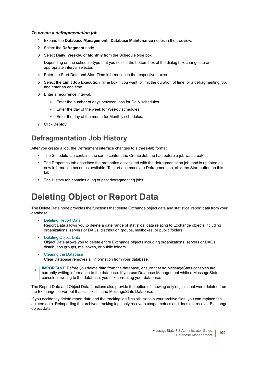#### *To create a defragmentation job*

- 1 Expand the **Database Management | Database Maintenance** nodes in the treeview.
- 2 Select the **Defragment** node.
- 3 Select **Daily**, **Weekly**, or **Monthly** from the Schedule type box.

Depending on the schedule type that you select, the bottom box of the dialog box changes to an appropriate interval selector.

- 4 Enter the Start Date and Start Time information in the respective boxes.
- 5 Select the **Limit Job Execution Time** box if you want to limit the duration of time for a defragmenting job, and enter an end time.
- 6 Enter a recurrence interval:
	- **▪** Enter the number of days between jobs for Daily schedules.
	- **▪** Enter the day of the week for Weekly schedules.
	- Enter the day of the month for Monthly schedules.
- 7 Click **Deploy**.

### **Defragmentation Job History**

After you create a job, the Defragment interface changes to a three-tab format:

- **•** The Schedule tab contains the same content the Create Job tab had before a job was created.
- **•** The Properties tab describes the properties associated with the defragmentation job, and is updated as new information becomes available. To start an immediate Defragment job, click the Start button on this tab.
- **•** The History tab contains a log of past defragmenting jobs.

### **Deleting Object or Report Data**

The Delete Data node provides the functions that delete Exchange object data and statistical report data from your database:

- <span id="page-108-0"></span>**•** [Deleting Report Data](#page-109-0) Report Data allows you to delete a date range of statistical data relating to Exchange objects including organizations, servers or DAGs, distribution groups, mailboxes, or public folders.
- **•** [Deleting Object Data](#page-109-1) Object Data allows you to delete entire Exchange objects including organizations, servers or DAGs, distribution groups, mailboxes, or public folders.
- **•** [Clearing the Database](#page-110-0) Clear Database removes all information from your database.
- **IMPORTANT:** Before you delete data from the database, ensure that no MessageStats consoles are f. currently writing information to the database. If you use Database Management while a MessageStats console is writing to the database, you risk corrupting your database.

The Report Data and Object Data functions also provide the option of showing only objects that were deleted from the Exchange server but that still exist in the MessageStats Database.

If you accidently delete report data and the tracking log files still exist in your archive files, you can replace the deleted data. Reimporting the archived tracking logs only recovers usage metrics and does not recover Exchange object data.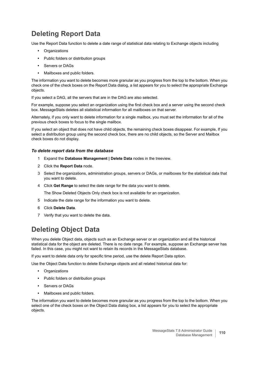### <span id="page-109-0"></span>**Deleting Report Data**

Use the Report Data function to delete a date range of statistical data relating to Exchange objects including

- <span id="page-109-3"></span>**•** Organizations
- **•** Public folders or distribution groups
- **•** Servers or DAGs
- **•** Mailboxes and public folders.

The information you want to delete becomes more granular as you progress from the top to the bottom. When you check one of the check boxes on the Report Data dialog, a list appears for you to select the appropriate Exchange objects.

If you select a DAG, all the servers that are in the DAG are also selected.

For example, suppose you select an organization using the first check box and a server using the second check box. MessageStats deletes all statistical information for all mailboxes on that server.

Alternately, if you only want to delete information for a single mailbox, you must set the information for all of the previous check boxes to focus to the single mailbox.

If you select an object that does not have child objects, the remaining check boxes disappear. For example, If you select a distribution group using the second check box, there are no child objects, so the Server and Mailbox check boxes do not display.

#### *To delete report data from the database*

- 1 Expand the **Database Management | Delete Data** nodes in the treeview.
- 2 Click the **Report Data** node.
- 3 Select the organizations, administration groups, servers or DAGs, or mailboxes for the statistical data that you want to delete.
- 4 Click **Get Range** to select the date range for the data you want to delete.

The Show Deleted Objects Only check box is not available for an organization.

- 5 Indicate the date range for the information you want to delete.
- 6 Click **Delete Data**.
- 7 Verify that you want to delete the data.

### <span id="page-109-1"></span>**Deleting Object Data**

When you delete Object data, objects such as an Exchange server or an organization and all the historical statistical data for the object are deleted. There is no date range. For example, suppose an Exchange server has failed. In this case, you might not want to retain its records in the MessageStats database.

If you want to delete data only for specific time period, use the delete Report Data option.

Use the Object Data function to delete Exchange objects and all related historical data for:

- <span id="page-109-2"></span>**•** Organizations
- **•** Public folders or distribution groups
- **•** Servers or DAGs
- **•** Mailboxes and public folders.

The information you want to delete becomes more granular as you progress from the top to the bottom. When you select one of the check boxes on the Object Data dialog box, a list appears for you to select the appropriate objects.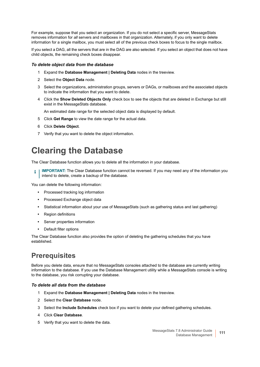For example, suppose that you select an organization. If you do not select a specific server, MessageStats removes information for *all* servers and mailboxes in that organization. Alternately, if you only want to delete information for a single mailbox, you must select all of the previous check boxes to focus to the single mailbox.

If you select a DAG, all the servers that are in the DAG are also selected. If you select an object that does not have child objects, the remaining check boxes disappear.

#### *To delete object data from the database*

- 1 Expand the **Database Management | Deleting Data** nodes in the treeview.
- 2 Select the **Object Data** node.
- 3 Select the organizations, administration groups, servers or DAGs, or mailboxes and the associated objects to indicate the information that you want to delete.
- 4 Click the **Show Deleted Objects Only** check box to see the objects that are deleted in Exchange but still exist in the MessageStats database.

An estimated date range for the selected object data is displayed by default.

- 5 Click **Get Range** to view the date range for the actual data.
- 6 Click **Delete Object**.
- 7 Verify that you want to delete the object information.

### <span id="page-110-0"></span>**Clearing the Database**

<span id="page-110-2"></span>The Clear Database function allows you to delete all the information in your database.

**IMPORTANT:** The Clear Database function cannot be reversed. If you may need any of the information you intend to delete, create a backup of the database.

You can delete the following information:

- **•** Processed tracking log information
- **•** Processed Exchange object data
- **•** Statistical information about your use of MessageStats (such as gathering status and last gathering)
- **•** Region definitions
- **•** Server properties information
- **•** Default filter options

The Clear Database function also provides the option of deleting the gathering schedules that you have established.

### **Prerequisites**

Before you delete data, ensure that no MessageStats consoles attached to the database are currently writing information to the database. If you use the Database Management utility while a MessageStats console is writing to the database, you risk corrupting your database.

#### <span id="page-110-1"></span>*To delete all data from the database*

- 1 Expand the **Database Management | Deleting Data** nodes in the treeview.
- 2 Select the **Clear Database** node.
- 3 Select the **Include Schedules** check box if you want to delete your defined gathering schedules.
- 4 Click **Clear Database**.
- 5 Verify that you want to delete the data.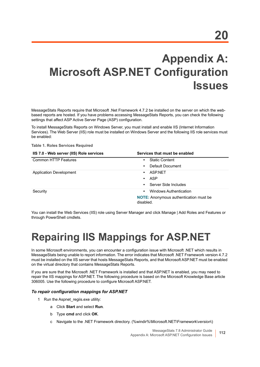# **Appendix A: Microsoft ASP.NET Configuration Issues**

<span id="page-111-0"></span>MessageStats Reports require that Microsoft .Net Framework 4.7.2 be installed on the server on which the webbased reports are hosted. If you have problems accessing MessageStats Reports, you can check the following settings that affect ASP Active Server Page (ASP) configuration.

To install MessageStats Reports on Windows Server, you must install and enable IIS (Internet Information Services). The Web Server (IIS) role must be installed on Windows Server and the following IIS role services must be enabled:

**Table 1. Roles Services Required**

| IIS 7.0 - Web server (IIS) Role services | Services that must be enabled                              |
|------------------------------------------|------------------------------------------------------------|
| <b>Common HTTP Features</b>              | <b>Static Content</b><br>$\bullet$                         |
|                                          | Default Document<br>$\bullet$                              |
| <b>Application Development</b>           | ASP.NET<br>$\bullet$                                       |
|                                          | ASP<br>$\bullet$                                           |
|                                          | Server Side Includes<br>$\bullet$                          |
| Security                                 | Windows Authentication<br>$\bullet$                        |
|                                          | <b>NOTE:</b> Anonymous authentication must be<br>disabled. |

You can install the Web Services (IIS) role using Server Manager and click Manage | Add Roles and Features or through PowerShell cmdlets.

## **Repairing IIS Mappings for ASP.NET**

In some Microsoft environments, you can encounter a configuration issue with Microsoft .NET which results in MessageStats being unable to report information. The error indicates that Microsoft .NET Framework version 4.7.2 must be installed on the IIS server that hosts MessageStats Reports, and that Microsoft ASP.NET must be enabled on the virtual directory that contains MessageStats Reports.

If you are sure that the Microsoft .NET Framework is installed and that ASP.NET is enabled, you may need to repair the IIS mappings for ASP.NET. The following procedure is based on the Microsoft Knowledge Base article 306005. Use the following procedure to configure Microsoft ASP.NET.

#### *To repair configuration mappings for ASP.NET*

- 1 Run the Aspnet regiis.exe utility:
	- a Click **Start** and select **Run**.
	- b Type **cmd** and click **OK**.
	- c Navigate to the .NET Framework directory. (%windir%\Microsoft.NET\Framework\*version*\)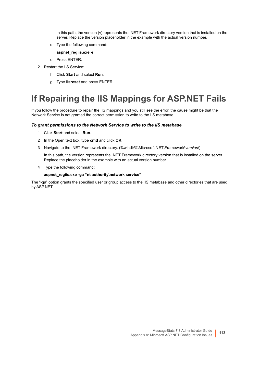In this path, the version (v) represents the .NET Framework directory version that is installed on the server. Replace the version placeholder in the example with the actual version number.

- d Type the following command:
	- **aspnet\_regiis.exe -i**
- e Press ENTER.
- 2 Restart the IIS Service:
	- f Click **Start** and select **Run**.
	- g Type **iisreset** and press ENTER.

### **If Repairing the IIS Mappings for ASP.NET Fails**

If you follow the procedure to repair the IIS mappings and you still see the error, the cause might be that the Network Service is not granted the correct permission to write to the IIS metabase.

#### *To grant permissions to the Network Service to write to the IIS metabase*

- 1 Click **Start** and select **Run**.
- 2 In the Open text box, type **cmd** and click **OK**.
- 3 Navigate to the .NET Framework directory. (%windir%\Microsoft.NET\Framework\*version*\)

In this path, the version represents the .NET Framework directory version that is installed on the server. Replace the placeholder in the example with an actual version number.

4 Type the following command:

#### **aspnet\_regiis.exe -ga "nt authority\network service"**

The "-ga" option grants the specified user or group access to the IIS metabase and other directories that are used by ASP.NET.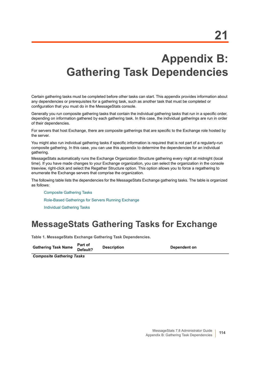## **Appendix B: Gathering Task Dependencies**

Certain gathering tasks must be completed before other tasks can start. This appendix provides information about any dependencies or prerequisites for a gathering task, such as another task that must be completed or configuration that you must do in the MessageStats console.

Generally you run composite gathering tasks that contain the individual gathering tasks that run in a specific order, depending on information gathered by each gathering task. In this case, the individual gatherings are run in order of their dependencies.

For servers that host Exchange, there are composite gatherings that are specific to the Exchange role hosted by the server.

You might also run individual gathering tasks if specific information is required that is not part of a regularly-run composite gathering. In this case, you can use this appendix to determine the dependencies for an individual gathering.

MessageStats automatically runs the Exchange Organization Structure gathering every night at midnight (local time). If you have made changes to your Exchange organization, you can select the organization in the console treeview, right-click and select the Regather Structure option. This option allows you to force a regathering to enumerate the Exchange servers that comprise the organization.

The following table lists the dependencies for the MessageStats Exchange gathering tasks. The table is organized as follows:

[Composite Gathering Tasks](#page-113-0) [Role-Based Gatherings for Servers Running Exchange](#page-116-0) [Individual Gathering Tasks](#page-118-0)

### **MessageStats Gathering Tasks for Exchange**

**Table 1. MessageStats Exchange Gathering Task Dependencies.**

| <b>Gathering Task Name Default?</b> |         | <b>Description</b> | Dependent on |
|-------------------------------------|---------|--------------------|--------------|
|                                     | Part of |                    |              |

<span id="page-113-0"></span>*Composite Gathering Tasks*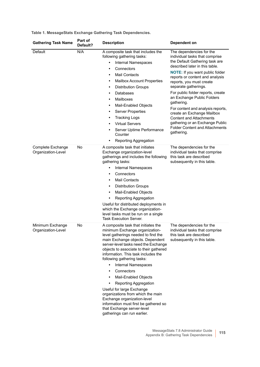| <b>Gathering Task Name</b>              | Part of<br>Default? | <b>Description</b>                                                                                                                                                                                                                                                                                                                                                                                                                                                                                                                                                                                                                                              | Dependent on                                                                                                                                                                                                                                                                                                                                                                                                                                                                                                                             |
|-----------------------------------------|---------------------|-----------------------------------------------------------------------------------------------------------------------------------------------------------------------------------------------------------------------------------------------------------------------------------------------------------------------------------------------------------------------------------------------------------------------------------------------------------------------------------------------------------------------------------------------------------------------------------------------------------------------------------------------------------------|------------------------------------------------------------------------------------------------------------------------------------------------------------------------------------------------------------------------------------------------------------------------------------------------------------------------------------------------------------------------------------------------------------------------------------------------------------------------------------------------------------------------------------------|
| Default                                 | N/A                 | A composite task that includes the<br>following gathering tasks:<br>Internal Namespaces<br>٠<br>Connectors<br>٠<br><b>Mail Contacts</b><br>$\bullet$<br><b>Mailbox Account Properties</b><br>$\bullet$<br><b>Distribution Groups</b><br>$\bullet$<br><b>Databases</b><br>$\bullet$<br>Mailboxes<br>$\bullet$<br>Mail-Enabled Objects<br>$\bullet$<br><b>Server Properties</b><br>$\bullet$<br>Tracking Logs<br>$\bullet$<br><b>Virtual Servers</b><br>٠<br>Server Uptime Performance<br>Counter<br>Reporting Aggregation<br>٠                                                                                                                                   | The dependencies for the<br>individual tasks that comprise<br>the Default Gathering task are<br>described later in this table.<br>NOTE: If you want public folder<br>reports or content and analysis<br>reports, you must create<br>separate gatherings.<br>For public folder reports, create<br>an Exchange Public Folders<br>gathering.<br>For content and analysis reports,<br>create an Exchange Mailbox<br><b>Content and Attachments</b><br>gathering or an Exchange Public<br><b>Folder Content and Attachments</b><br>gathering. |
| Complete Exchange<br>Organization-Level | No                  | A composite task that initiates<br>Exchange organization-level<br>gatherings and includes the following<br>gathering tasks:<br>Internal Namespaces<br>٠<br>Connectors<br>$\bullet$<br><b>Mail Contacts</b><br>$\bullet$<br><b>Distribution Groups</b><br>$\bullet$<br>Mail-Enabled Objects<br>$\bullet$<br>Reporting Aggregation<br>٠<br>Useful for distributed deployments in<br>which the Exchange organization-<br>level tasks must be run on a single<br><b>Task Execution Server.</b>                                                                                                                                                                      | The dependencies for the<br>individual tasks that comprise<br>this task are described<br>subsequently in this table.                                                                                                                                                                                                                                                                                                                                                                                                                     |
| Minimum Exchange<br>Organization-Level  | No                  | A composite task that initiates the<br>minimum Exchange organization-<br>level gatherings needed to find the<br>main Exchange objects. Dependent<br>server-level tasks need the Exchange<br>objects to associate to their gathered<br>information. This task includes the<br>following gathering tasks:<br><b>Internal Namespaces</b><br>$\bullet$<br>Connectors<br>$\bullet$<br>Mail-Enabled Objects<br>$\bullet$<br>Reporting Aggregation<br>$\bullet$<br>Useful for large Exchange<br>organizations from which the main<br>Exchange organization-level<br>information must first be gathered so<br>that Exchange server-level<br>gatherings can run earlier. | The dependencies for the<br>individual tasks that comprise<br>this task are described<br>subsequently in this table.                                                                                                                                                                                                                                                                                                                                                                                                                     |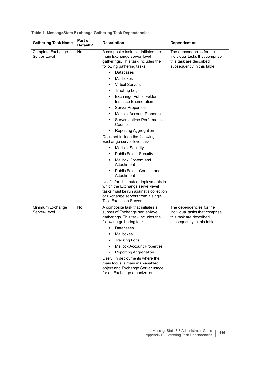| <b>Gathering Task Name</b>        | Part of<br>Default? | <b>Description</b>                                                                                                                                                                                                                                                                                                                                                                                                                                                                                                                                                                                                                                                                                                                                                                                                                                                                                                                       | <b>Dependent on</b>                                                                                                  |
|-----------------------------------|---------------------|------------------------------------------------------------------------------------------------------------------------------------------------------------------------------------------------------------------------------------------------------------------------------------------------------------------------------------------------------------------------------------------------------------------------------------------------------------------------------------------------------------------------------------------------------------------------------------------------------------------------------------------------------------------------------------------------------------------------------------------------------------------------------------------------------------------------------------------------------------------------------------------------------------------------------------------|----------------------------------------------------------------------------------------------------------------------|
| Complete Exchange<br>Server-Level | No                  | A composite task that initiates the<br>main Exchange server-level<br>gatherings. This task includes the<br>following gathering tasks:<br>Databases<br>$\bullet$<br>Mailboxes<br><b>Virtual Servers</b><br>٠<br><b>Tracking Logs</b><br>٠<br>Exchange Public Folder<br>$\bullet$<br>Instance Enumeration<br><b>Server Properties</b><br>$\bullet$<br><b>Mailbox Account Properties</b><br>$\bullet$<br>Server Uptime Performance<br>Counter<br>Reporting Aggregation<br>Does not include the following<br>Exchange server-level tasks:<br><b>Mailbox Security</b><br>$\bullet$<br><b>Public Folder Security</b><br>$\bullet$<br>Mailbox Content and<br>$\bullet$<br>Attachment<br><b>Public Folder Content and</b><br>$\bullet$<br>Attachment<br>Useful for distributed deployments in<br>which the Exchange server-level<br>tasks must be run against a collection<br>of Exchange servers from a single<br><b>Task Execution Server.</b> | The dependencies for the<br>individual tasks that comprise<br>this task are described<br>subsequently in this table. |
| Minimum Exchange<br>Server-Level  | No                  | A composite task that initiates a<br>subset of Exchange server-level<br>gatherings. This task includes the<br>following gathering tasks:<br>Databases<br>٠<br>Mailboxes<br><b>Tracking Logs</b><br>Mailbox Account Properties<br>$\bullet$<br>Reporting Aggregation<br>$\bullet$<br>Useful in deployments where the<br>main focus is main mail-enabled<br>object and Exchange Server usage<br>for an Exchange organization.                                                                                                                                                                                                                                                                                                                                                                                                                                                                                                              | The dependencies for the<br>individual tasks that comprise<br>this task are described<br>subsequently in this table. |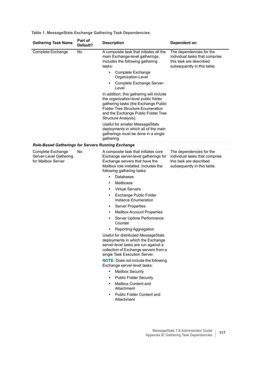<span id="page-116-0"></span>

| <b>Gathering Task Name</b>                                        | Part of<br>Default? | <b>Description</b>                                                                                                                                                                                                                                                                                                                                                                                                                                                                                                                                                                                                                                            | Dependent on                                                                                                         |
|-------------------------------------------------------------------|---------------------|---------------------------------------------------------------------------------------------------------------------------------------------------------------------------------------------------------------------------------------------------------------------------------------------------------------------------------------------------------------------------------------------------------------------------------------------------------------------------------------------------------------------------------------------------------------------------------------------------------------------------------------------------------------|----------------------------------------------------------------------------------------------------------------------|
| Complete Exchange                                                 | No                  | A composite task that initiates all the<br>main Exchange-level gatherings.<br>Includes the following gathering<br>tasks:                                                                                                                                                                                                                                                                                                                                                                                                                                                                                                                                      | The dependencies for the<br>individual tasks that comprise<br>this task are described<br>subsequently in this table. |
|                                                                   |                     | Complete Exchange<br>$\bullet$<br>Organization-Level                                                                                                                                                                                                                                                                                                                                                                                                                                                                                                                                                                                                          |                                                                                                                      |
|                                                                   |                     | Complete Exchange Server-<br>Level                                                                                                                                                                                                                                                                                                                                                                                                                                                                                                                                                                                                                            |                                                                                                                      |
|                                                                   |                     | In addition, this gathering will include<br>the organization-level public folder<br>gathering tasks (the Exchange Public<br><b>Folder Tree Structure Enumeration</b><br>and the Exchange Public Folder Tree<br>Structure Analysis).                                                                                                                                                                                                                                                                                                                                                                                                                           |                                                                                                                      |
|                                                                   |                     | Useful for smaller MessageStats<br>deployments in which all of the main<br>gatherings must be done in a single<br>gathering.                                                                                                                                                                                                                                                                                                                                                                                                                                                                                                                                  |                                                                                                                      |
| <b>Role-Based Gatherings for Servers Running Exchange</b>         |                     |                                                                                                                                                                                                                                                                                                                                                                                                                                                                                                                                                                                                                                                               |                                                                                                                      |
| Complete Exchange<br>Server-Level Gathering<br>for Mailbox Server | No                  | A composite task that initiates core<br>Exchange server-level gatherings for<br>Exchange servers that have the<br>Mailbox role installed. Includes the<br>following gathering tasks:<br>Databases<br>٠<br>Mailboxes<br>٠<br><b>Virtual Servers</b><br>٠<br>Exchange Public Folder<br>٠<br>Instance Enumeration<br><b>Server Properties</b><br>٠<br><b>Mailbox Account Properties</b><br>٠<br>Server Uptime Performance<br>٠<br>Counter<br>Reporting Aggregation<br>Useful for distributed MessageStats<br>deployments in which the Exchange<br>server-level tasks are run against a<br>collection of Exchange servers from a<br>single Task Execution Server. | The dependencies for the<br>individual tasks that comprise<br>this task are described<br>subsequently in this table. |
|                                                                   |                     | <b>NOTE:</b> Does not include the following<br>Exchange server-level tasks:                                                                                                                                                                                                                                                                                                                                                                                                                                                                                                                                                                                   |                                                                                                                      |
|                                                                   |                     | <b>Mailbox Security</b><br>$\bullet$                                                                                                                                                                                                                                                                                                                                                                                                                                                                                                                                                                                                                          |                                                                                                                      |
|                                                                   |                     | <b>Public Folder Security</b><br>٠                                                                                                                                                                                                                                                                                                                                                                                                                                                                                                                                                                                                                            |                                                                                                                      |
|                                                                   |                     | Mailbox Content and<br>$\bullet$<br>Attachment                                                                                                                                                                                                                                                                                                                                                                                                                                                                                                                                                                                                                |                                                                                                                      |
|                                                                   |                     | <b>Public Folder Content and</b><br>$\bullet$<br>Attachment                                                                                                                                                                                                                                                                                                                                                                                                                                                                                                                                                                                                   |                                                                                                                      |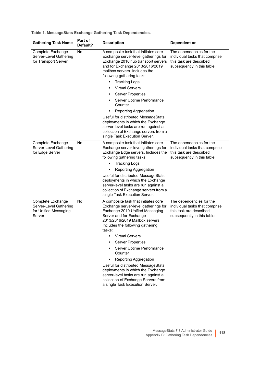| <b>Gathering Task Name</b>                                                     | Part of<br>Default? | <b>Description</b>                                                                                                                                                                                                                                                                                                                                                                                                                                                                                                                                                                                                          | Dependent on                                                                                                         |
|--------------------------------------------------------------------------------|---------------------|-----------------------------------------------------------------------------------------------------------------------------------------------------------------------------------------------------------------------------------------------------------------------------------------------------------------------------------------------------------------------------------------------------------------------------------------------------------------------------------------------------------------------------------------------------------------------------------------------------------------------------|----------------------------------------------------------------------------------------------------------------------|
| Complete Exchange<br>Server-Level Gathering<br>for Transport Server            | No                  | A composite task that initiates core<br>Exchange server-level gatherings for<br>Exchange 2010 hub transport servers<br>and for Exchange 2013/2016/2019<br>mailbox servers. Includes the<br>following gathering tasks:<br><b>Tracking Logs</b><br>$\bullet$<br><b>Virtual Servers</b><br>$\bullet$<br><b>Server Properties</b><br>$\bullet$<br>Server Uptime Performance<br>$\bullet$<br>Counter<br>Reporting Aggregation<br>٠<br>Useful for distributed MessageStats<br>deployments in which the Exchange<br>server-level tasks are run against a<br>collection of Exchange servers from a<br>single Task Execution Server. | The dependencies for the<br>individual tasks that comprise<br>this task are described<br>subsequently in this table. |
| Complete Exchange<br>Server-Level Gathering<br>for Edge Server                 | No                  | A composite task that initiates core<br>Exchange server-level gatherings for<br>Exchange Edge servers. Includes the<br>following gathering tasks:<br><b>Tracking Logs</b><br>$\bullet$<br>Reporting Aggregation<br>Useful for distributed MessageStats<br>deployments in which the Exchange<br>server-level tasks are run against a<br>collection of Exchange servers from a<br>single Task Execution Server.                                                                                                                                                                                                               | The dependencies for the<br>individual tasks that comprise<br>this task are described<br>subsequently in this table. |
| Complete Exchange<br>Server-Level Gathering<br>for Unified Messaging<br>Server | No                  | A composite task that initiates core<br>Exchange server-level gatherings for<br>Exchange 2010 Unified Messaging<br>Server and for Exchange<br>2013/2016/2019 Mailbox servers.<br>Includes the following gathering<br>tasks:<br><b>Virtual Servers</b><br><b>Server Properties</b><br>Server Uptime Performance<br>٠<br>Counter<br>Reporting Aggregation<br>$\bullet$<br>Useful for distributed MessageStats<br>deployments in which the Exchange<br>server-level tasks are run against a<br>collection of Exchange Servers from<br>a single Task Execution Server.                                                          | The dependencies for the<br>individual tasks that comprise<br>this task are described<br>subsequently in this table. |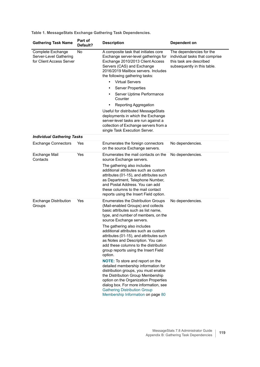<span id="page-118-0"></span>

| <b>Gathering Task Name</b>                                              | Part of<br>Default? | <b>Description</b>                                                                                                                                                                                                                                                                                                        | Dependent on                                                                                                         |
|-------------------------------------------------------------------------|---------------------|---------------------------------------------------------------------------------------------------------------------------------------------------------------------------------------------------------------------------------------------------------------------------------------------------------------------------|----------------------------------------------------------------------------------------------------------------------|
| Complete Exchange<br>Server-Level Gathering<br>for Client Access Server | No                  | A composite task that initiates core<br>Exchange server-level gatherings for<br>Exchange 2010/2013 Client Access<br>Servers (CAS) and Exchange<br>2016/2019 Mailbox servers. Includes<br>the following gathering tasks:                                                                                                   | The dependencies for the<br>individual tasks that comprise<br>this task are described<br>subsequently in this table. |
|                                                                         |                     | <b>Virtual Servers</b><br>$\bullet$                                                                                                                                                                                                                                                                                       |                                                                                                                      |
|                                                                         |                     | <b>Server Properties</b><br>$\bullet$                                                                                                                                                                                                                                                                                     |                                                                                                                      |
|                                                                         |                     | Server Uptime Performance<br>$\bullet$<br>Counter                                                                                                                                                                                                                                                                         |                                                                                                                      |
|                                                                         |                     | Reporting Aggregation<br>$\bullet$                                                                                                                                                                                                                                                                                        |                                                                                                                      |
|                                                                         |                     | Useful for distributed MessageStats<br>deployments in which the Exchange<br>server-level tasks are run against a<br>collection of Exchange servers from a<br>single Task Execution Server.                                                                                                                                |                                                                                                                      |
| <b>Individual Gathering Tasks</b>                                       |                     |                                                                                                                                                                                                                                                                                                                           |                                                                                                                      |
| <b>Exchange Connectors</b>                                              | Yes                 | Enumerates the foreign connectors<br>on the source Exchange servers.                                                                                                                                                                                                                                                      | No dependencies.                                                                                                     |
| Exchange Mail<br>Contacts                                               | Yes                 | Enumerates the mail contacts on the<br>source Exchange servers.                                                                                                                                                                                                                                                           | No dependencies.                                                                                                     |
|                                                                         |                     | The gathering also includes<br>additional attributes such as custom<br>attributes (01-15), and attributes such<br>as Department, Telephone Number,<br>and Postal Address. You can add<br>these columns to the mail contact<br>reports using the Insert Field option.                                                      |                                                                                                                      |
| <b>Exchange Distribution</b><br>Groups                                  | Yes                 | Enumerates the Distribution Groups<br>(Mail-enabled Groups) and collects<br>basic attributes such as list name,<br>type, and number of members, on the<br>source Exchange servers.                                                                                                                                        | No dependencies.                                                                                                     |
|                                                                         |                     | The gathering also includes<br>additional attributes such as custom<br>attributes (01-15), and attributes such<br>as Notes and Description. You can<br>add these columns to the distribution<br>group reports using the Insert Field<br>option.                                                                           |                                                                                                                      |
|                                                                         |                     | <b>NOTE:</b> To store and report on the<br>detailed membership information for<br>distribution groups, you must enable<br>the Distribution Group Membership<br>option on the Organization Properties<br>dialog box. For more information, see<br><b>Gathering Distribution Group</b><br>Membership Information on page 80 |                                                                                                                      |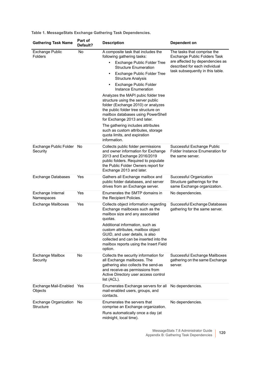| <b>Gathering Task Name</b>               | Part of<br>Default? | <b>Description</b>                                                                                                                                                                                                                                                                                                              | Dependent on                                                                                                                                                        |
|------------------------------------------|---------------------|---------------------------------------------------------------------------------------------------------------------------------------------------------------------------------------------------------------------------------------------------------------------------------------------------------------------------------|---------------------------------------------------------------------------------------------------------------------------------------------------------------------|
| <b>Exchange Public</b><br><b>Folders</b> | No                  | A composite task that includes the<br>following gathering tasks:                                                                                                                                                                                                                                                                | The tasks that comprise the<br>Exchange Public Folders Task<br>are affected by dependencies as<br>described for each individual<br>task subsequently in this table. |
|                                          |                     | <b>Exchange Public Folder Tree</b><br><b>Structure Enumeration</b>                                                                                                                                                                                                                                                              |                                                                                                                                                                     |
|                                          |                     | <b>Exchange Public Folder Tree</b><br>$\bullet$<br><b>Structure Analysis</b>                                                                                                                                                                                                                                                    |                                                                                                                                                                     |
|                                          |                     | Exchange Public Folder<br>$\bullet$<br>Instance Enumeration                                                                                                                                                                                                                                                                     |                                                                                                                                                                     |
|                                          |                     | Analyzes the MAPI pubic folder tree<br>structure using the server public<br>folder (Exchange 2010) or analyzes<br>the public folder tree structure on<br>mailbox databases using PowerShell<br>for Exchange 2013 and later.                                                                                                     |                                                                                                                                                                     |
|                                          |                     | The gathering includes attributes<br>such as custom attributes, storage<br>quota limits, and expiration<br>information.                                                                                                                                                                                                         |                                                                                                                                                                     |
| Exchange Public Folder No<br>Security    |                     | Collects public folder permissions<br>and owner information for Exchange<br>2013 and Exchange 2016/2019<br>public folders. Required to populate<br>the Public Folder Owners report for<br>Exchange 2013 and later.                                                                                                              | Successful Exchange Public<br>Folder Instance Enumeration for<br>the same server.                                                                                   |
| <b>Exchange Databases</b>                | Yes                 | Gathers all Exchange mailbox and<br>public folder databases, and server<br>drives from an Exchange server.                                                                                                                                                                                                                      | Successful Organization<br>Structure gatherings for the<br>same Exchange organization.                                                                              |
| Exchange Internal<br>Namespaces          | Yes                 | Enumerates the SMTP domains in<br>the Recipient Policies.                                                                                                                                                                                                                                                                       | No dependencies.                                                                                                                                                    |
| <b>Exchange Mailboxes</b>                | Yes                 | Collects object information regarding<br>Exchange mailboxes such as the<br>mailbox size and any associated<br>quotas.<br>Additional information, such as<br>custom attributes, mailbox object<br>GUID, and user details, is also<br>collected and can be inserted into the<br>mailbox reports using the Insert Field<br>option. | Successful Exchange Databases<br>gathering for the same server.                                                                                                     |
| <b>Exchange Mailbox</b><br>Security      | No                  | Collects the security information for<br>all Exchange mailboxes. The<br>gathering also collects the send-as<br>and receive-as permissions from<br>Active Directory user access control<br>list (ACL).                                                                                                                           | Successful Exchange Mailboxes<br>gathering on the same Exchange<br>server.                                                                                          |
| Exchange Mail-Enabled Yes<br>Objects     |                     | Enumerates Exchange servers for all<br>mail-enabled users, groups, and<br>contacts.                                                                                                                                                                                                                                             | No dependencies.                                                                                                                                                    |
| Exchange Organization<br>Structure       | No                  | Enumerates the servers that<br>comprise an Exchange organization.<br>Runs automatically once a day (at<br>midnight, local time).                                                                                                                                                                                                | No dependencies.                                                                                                                                                    |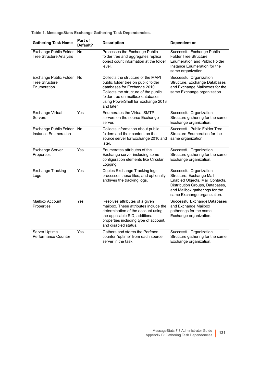| <b>Gathering Task Name</b>                                        | Part of<br>Default? | <b>Description</b>                                                                                                                                                                                                                        | Dependent on                                                                                                                                                                                |
|-------------------------------------------------------------------|---------------------|-------------------------------------------------------------------------------------------------------------------------------------------------------------------------------------------------------------------------------------------|---------------------------------------------------------------------------------------------------------------------------------------------------------------------------------------------|
| Exchange Public Folder<br><b>Tree Structure Analysis</b>          | No                  | Processes the Exchange Public<br>folder tree and aggregates replica<br>object count information at the folder<br>level.                                                                                                                   | Successful Exchange Public<br><b>Folder Tree Structure</b><br><b>Enumeration and Public Folder</b><br>Instance Enumeration for the<br>same organization.                                    |
| Exchange Public Folder No<br><b>Tree Structure</b><br>Enumeration |                     | Collects the structure of the MAPI<br>public folder tree on public folder<br>databases for Exchange 2010.<br>Collects the structure of the public<br>folder tree on mailbox databases<br>using PowerShell for Exchange 2013<br>and later. | Successful Organization<br>Structure, Exchange Databases<br>and Exchange Mailboxes for the<br>same Exchange organization.                                                                   |
| <b>Exchange Virtual</b><br>Servers                                | Yes                 | <b>Enumerates the Virtual SMTP</b><br>servers on the source Exchange<br>server.                                                                                                                                                           | Successful Organization<br>Structure gathering for the same<br>Exchange organization.                                                                                                       |
| Exchange Public Folder<br><b>Instance Enumeration</b>             | No                  | Collects information about public<br>folders and their content on the<br>source server for Exchange 2010 and<br>later.                                                                                                                    | Successful Public Folder Tree<br>Structure Enumeration for the<br>same organization.                                                                                                        |
| <b>Exchange Server</b><br>Properties                              | Yes                 | Enumerates attributes of the<br>Exchange server including some<br>configuration elements like Circular<br>Logging.                                                                                                                        | Successful Organization<br>Structure gathering for the same<br>Exchange organization.                                                                                                       |
| <b>Exchange Tracking</b><br>Logs                                  | Yes                 | Copies Exchange Tracking logs,<br>processes those files, and optionally<br>archives the tracking logs.                                                                                                                                    | Successful Organization<br>Structure, Exchange Mail-<br>Enabled Objects, Mail Contacts,<br>Distribution Groups, Databases,<br>and Mailbox gatherings for the<br>same Exchange organization. |
| <b>Mailbox Account</b><br>Properties                              | Yes                 | Resolves attributes of a given<br>mailbox. These attributes include the<br>determination of the account using<br>the applicable SID, additional<br>properties including type of account,<br>and disabled status.                          | Successful Exchange Databases<br>and Exchange Mailbox<br>gatherings for the same<br>Exchange organization.                                                                                  |
| Server Uptime<br>Performance Counter                              | Yes                 | Gathers and stores the Perfmon<br>counter "uptime" from each source<br>server in the task.                                                                                                                                                | Successful Organization<br>Structure gathering for the same<br>Exchange organization.                                                                                                       |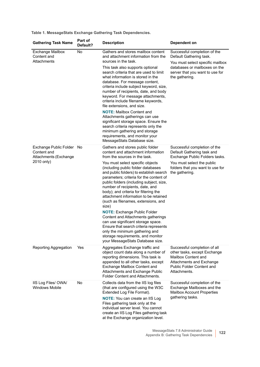| <b>Gathering Task Name</b>                                                      | Part of<br>Default? | <b>Description</b>                                                                                                                                                                                                                                                                                                                                                            | Dependent on                                                                                                                                                 |
|---------------------------------------------------------------------------------|---------------------|-------------------------------------------------------------------------------------------------------------------------------------------------------------------------------------------------------------------------------------------------------------------------------------------------------------------------------------------------------------------------------|--------------------------------------------------------------------------------------------------------------------------------------------------------------|
| <b>Exchange Mailbox</b><br>Content and<br>Attachments                           | No                  | Gathers and stores mailbox content<br>and attachment information from the<br>sources in the task.                                                                                                                                                                                                                                                                             | Successful completion of the<br>Default Gathering task.<br>You must select specific mailbox                                                                  |
|                                                                                 |                     | This task also supports optional<br>search criteria that are used to limit<br>what information is stored in the<br>database. For message content,<br>criteria include subject keyword, size,<br>number of recipients, date, and body<br>keyword. For message attachments,<br>criteria include filename keywords,<br>file extensions, and size.                                | databases or mailboxes on the<br>server that you want to use for<br>the gathering.                                                                           |
|                                                                                 |                     | <b>NOTE:</b> Mailbox Content and<br>Attachments gatherings can use<br>significant storage space. Ensure the<br>search criteria represents only the<br>minimum gathering and storage<br>requirements, and monitor your<br>MessageStats Database size.                                                                                                                          |                                                                                                                                                              |
| Exchange Public Folder No<br>Content and<br>Attachments (Exchange<br>2010 only) |                     | Gathers and stores public folder<br>content and attachment information<br>from the sources in the task.                                                                                                                                                                                                                                                                       | Successful completion of the<br>Default Gathering task and<br>Exchange Public Folders tasks.                                                                 |
|                                                                                 |                     | You must select specific objects<br>(including public folder databases<br>and public folders) to establish search<br>parameters; criteria for the content of<br>public folders (including subject, size,<br>number of recipients, date, and<br>body); and criteria for filtering the<br>attachment information to be retained<br>(such as filenames, extensions, and<br>size) | You must select the public<br>folders that you want to use for<br>the gathering.                                                                             |
|                                                                                 |                     | <b>NOTE: Exchange Public Folder</b><br>Content and Attachments gatherings<br>can use significant storage space.<br>Ensure that search criteria represents<br>only the minimum gathering and<br>storage requirements, and monitor<br>your MessageStats Database size.                                                                                                          |                                                                                                                                                              |
| Reporting Aggregation                                                           | Yes                 | Aggregates Exchange traffic and<br>object count data along a number of<br>reporting dimensions. This task is<br>appended to all other tasks, except<br>Exchange Mailbox Content and<br>Attachments and Exchange Public<br>Folder Content and Attachments.                                                                                                                     | Successful completion of all<br>other tasks, except Exchange<br>Mailbox Content and<br>Attachments and Exchange<br>Public Folder Content and<br>Attachments. |
| IIS Log Files/OWA/<br><b>Windows Mobile</b>                                     | No                  | Collects data from the IIS log files<br>(that are configured using the W3C<br>Extended Log File Format).<br><b>NOTE:</b> You can create an IIS Log<br>Files gathering task only at the<br>individual server level. You cannot<br>create an IIS Log Files gathering task<br>at the Exchange organization level.                                                                | Successful completion of the<br>Exchange Mailboxes and the<br><b>Mailbox Account Properties</b><br>gathering tasks.                                          |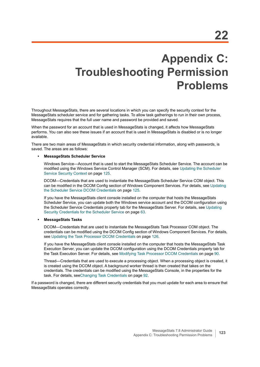## **Appendix C: Troubleshooting Permission Problems**

Throughout MessageStats, there are several locations in which you can specify the security context for the MessageStats scheduler service and for gathering tasks. To allow task gatherings to run in their own process, MessageStats requires that the full user name and password be provided and saved.

When the password for an account that is used in MessageStats is changed, it affects how MessageStats performs. You can also see these issues if an account that is used in MessageStats is disabled or is no longer available.

There are two main areas of MessageStats in which security credential information, along with passwords, is saved. The areas are as follows:

#### **• MessageStats Scheduler Service**

<span id="page-122-0"></span>Windows Service—Account that is used to start the MessageStats Scheduler Service. The account can be modified using the Windows Service Control Manager (SCM). For details, see [Updating the Scheduler](#page-124-0)  [Service Security Context on page 125.](#page-124-0)

DCOM—Credentials that are used to instantiate the MessageStats Scheduler Service COM object. This can be modified in the DCOM Config section of Windows Component Services. For details, see [Updating](#page-124-1)  [the Scheduler Service DCOM Credentials on page 125](#page-124-1).

If you have the MessageStats client console installed on the computer that hosts the MessageStats Scheduler Service, you can update both the Windows service account and the DCOM configuration using the Scheduler Service Credentials property tab for the MessageStats Server. For details, see [Updating](#page-62-0)  [Security Credentials for the Scheduler Service on page 63](#page-62-0).

#### **• MessageStats Tasks**

DCOM—Credentials that are used to instantiate the MessageStats Task Processor COM object. The credentials can be modified using the DCOM Config section of Windows Component Services. For details, see [Updating the Task Processor DCOM Credentials on page 126.](#page-125-0)

If you have the MessageStats client console installed on the computer that hosts the MessageStats Task Execution Server, you can update the DCOM configuration using the DCOM Credentials property tab for the Task Execution Server. For details, see [Modifying Task Processor DCOM Credentials on page 90](#page-89-0).

Thread—Credentials that are used to execute a processing object. When a processing object is created, it is created using the DCOM object. A background worker thread is then created that takes on the credentials. The credentials can be modified using the MessageStats Console, in the properties for the task. For details, see[Changing Task Credentials on page 92](#page-91-0).

If a password is changed, there are different security credentials that you must update for each area to ensure that MessageStats operates correctly.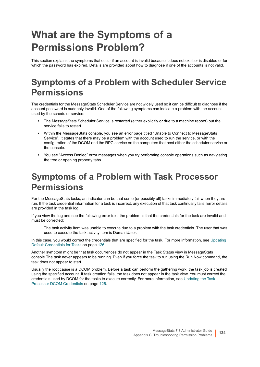## **What are the Symptoms of a Permissions Problem?**

This section explains the symptoms that occur if an account is invalid because it does not exist or is disabled or for which the password has expired. Details are provided about how to diagnose if one of the accounts is not valid.

### **Symptoms of a Problem with Scheduler Service Permissions**

The credentials for the MessageStats Scheduler Service are not widely used so it can be difficult to diagnose if the account password is suddenly invalid. One of the following symptoms can indicate a problem with the account used by the scheduler service:

- **•** The MessageStats Scheduler Service is restarted (either explicitly or due to a machine reboot) but the service fails to restart.
- **•** Within the MessageStats console, you see an error page titled "Unable to Connect to MessageStats Service". It states that there may be a problem with the account used to run the service, or with the configuration of the DCOM and the RPC service on the computers that host either the scheduler service or the console.
- **•** You see "Access Denied" error messages when you try performing console operations such as navigating the tree or opening property tabs.

### **Symptoms of a Problem with Task Processor Permissions**

For the MessageStats tasks, an indicator can be that some (or possibly all) tasks immediately fail when they are run. If the task credential information for a task is incorrect, any execution of that task continually fails. Error details are provided in the task log.

If you view the log and see the following error text, the problem is that the credentials for the task are invalid and must be corrected:

The task activity item was unable to execute due to a problem with the task credentials. The user that was used to execute the task activity item is Domain\User.

In this case, you would correct the credentials that are specified for the task. For more information, see Updating [Default Credentials for Tasks on page 126](#page-125-1).

Another symptom might be that task occurrences do not appear in the Task Status view in MessageStats console.The task never appears to be running. Even if you force the task to run using the Run Now command, the task does not appear to start.

Usually the root cause is a DCOM problem. Before a task can perform the gathering work, the task job is created using the specified account. If task creation fails, the task does not appear in the task view. You must correct the credentials used by DCOM for the tasks to execute correctly. For more information, see [Updating the Task](#page-125-0)  [Processor DCOM Credentials on page 126.](#page-125-0)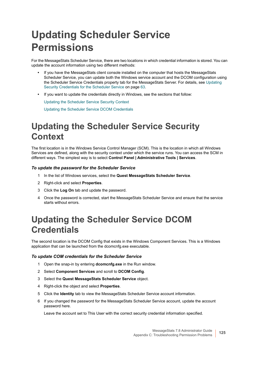## **Updating Scheduler Service Permissions**

For the MessageStats Scheduler Service, there are two locations in which credential information is stored. You can update the account information using two different methods:

- **•** If you have the MessageStats client console installed on the computer that hosts the MessageStats Scheduler Service, you can update both the Windows service account and the DCOM configuration using the Scheduler Service Credentials property tab for the MessageStats Server. For details, see [Updating](#page-62-0)  [Security Credentials for the Scheduler Service on page 63](#page-62-0).
- **•** If you want to update the credentials directly in Windows, see the sections that follow:

[Updating the Scheduler Service Security Context](#page-124-0)

[Updating the Scheduler Service DCOM Credentials](#page-124-1)

## <span id="page-124-0"></span>**Updating the Scheduler Service Security Context**

The first location is in the Windows Service Control Manager (SCM). This is the location in which all Windows Services are defined, along with the security context under which the service runs. You can access the SCM in different ways. The simplest way is to select **Control Panel | Administrative Tools | Services**.

#### *To update the password for the Scheduler Service*

- 1 In the list of Windows services, select the **Quest MessageStats Scheduler Service**.
- 2 Right-click and select **Properties**.
- 3 Click the **Log On** tab and update the password.
- 4 Once the password is corrected, start the MessageStats Scheduler Service and ensure that the service starts without errors.

### <span id="page-124-1"></span>**Updating the Scheduler Service DCOM Credentials**

<span id="page-124-2"></span>The second location is the DCOM Config that exists in the Windows Component Services. This is a Windows application that can be launched from the dcomcnfg.exe executable.

#### *To update COM credentials for the Scheduler Service*

- 1 Open the snap-in by entering **dcomcnfg.exe** in the Run window.
- 2 Select **Component Services** and scroll to **DCOM Config**.
- 3 Select the **Quest MessageStats Scheduler Service** object.
- 4 Right-click the object and select **Properties**.
- 5 Click the **Identity** tab to view the MessageStats Scheduler Service account information.
- 6 If you changed the password for the MessageStats Scheduler Service account, update the account password here.

Leave the account set to This User with the correct security credential information specified.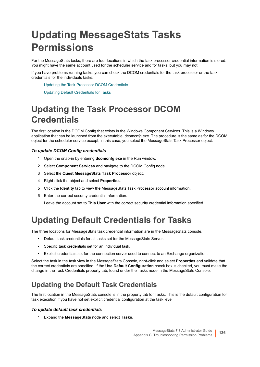## **Updating MessageStats Tasks Permissions**

For the MessageStats tasks, there are four locations in which the task processor credential information is stored. You might have the same account used for the scheduler service and for tasks, but you may not.

If you have problems running tasks, you can check the DCOM credentials for the task processor or the task credentials for the individuals tasks:

[Updating the Task Processor DCOM Credentials](#page-125-0)

[Updating Default Credentials for Tasks](#page-125-1)

## <span id="page-125-0"></span>**Updating the Task Processor DCOM Credentials**

The first location is the DCOM Config that exists in the Windows Component Services. This is a Windows application that can be launched from the executable, dcomcnfg.exe. The procedure is the same as for the DCOM object for the scheduler service except, in this case, you select the MessageStats Task Processor object.

#### *To update DCOM Config credentials*

- 1 Open the snap-in by entering **dcomcnfg.exe** in the Run window.
- 2 Select **Component Services** and navigate to the DCOM Config node.
- 3 Select the **Quest MessageStats Task Processor** object.
- 4 Right-click the object and select **Properties**.
- 5 Click the **Identity** tab to view the MessageStats Task Processor account information.
- 6 Enter the correct security credential information.

Leave the account set to **This User** with the correct security credential information specified.

### <span id="page-125-1"></span>**Updating Default Credentials for Tasks**

The three locations for MessageStats task credential information are in the MessageStats console.

- **•** Default task credentials for all tasks set for the MessageStats Server.
- **•** Specific task credentials set for an individual task.
- **•** Explicit credentials set for the connection server used to connect to an Exchange organization.

Select the task in the task view in the MessageStats Console, right-click and select **Properties** and validate that the correct credentials are specified. If the **Use Default Configuration** check box is checked, you must make the change in the Task Credentials property tab, found under the Tasks node in the MessageStats Console.

### **Updating the Default Task Credentials**

The first location in the MessageStats console is in the property tab for Tasks. This is the default configuration for task execution if you have not set explicit credential configuration at the task level.

#### *To update default task credentials*

1 Expand the **MessageStats** node and select **Tasks**.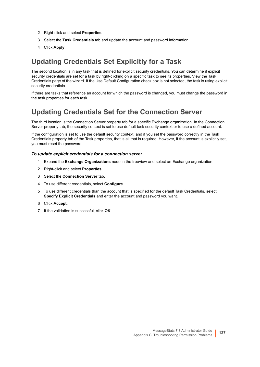- 2 Right-click and select **Properties**
- 3 Select the **Task Credentials** tab and update the account and password information.
- 4 Click **Apply**.

### **Updating Credentials Set Explicitly for a Task**

The second location is in any task that is defined for explicit security credentials. You can determine if explicit security credentials are set for a task by right-clicking on a specific task to see its properties. View the Task Credentials page of the wizard. If the Use Default Configuration check box is not selected, the task is using explicit security credentials.

If there are tasks that reference an account for which the password is changed, you must change the password in the task properties for each task.

### **Updating Credentials Set for the Connection Server**

The third location is the Connection Server property tab for a specific Exchange organization. In the Connection Server property tab, the security context is set to use default task security context or to use a defined account.

If the configuration is set to use the default security context, and if you set the password correctly in the Task Credentials property tab of the Task properties, that is all that is required. However, if the account is explicitly set, you must reset the password.

#### *To update explicit credentials for a connection server*

- 1 Expand the **Exchange Organizations** node in the treeview and select an Exchange organization.
- 2 Right-click and select **Properties**.
- 3 Select the **Connection Server** tab.
- 4 To use different credentials, select **Configure**.
- 5 To use different credentials than the account that is specified for the default Task Credentials, select **Specify Explicit Credentials** and enter the account and password you want.
- 6 Click **Accept**.
- 7 If the validation is successful, click **OK**.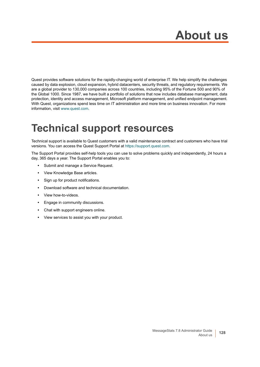Quest provides software solutions for the rapidly-changing world of enterprise IT. We help simplify the challenges caused by data explosion, cloud expansion, hybrid datacenters, security threats, and regulatory requirements. We are a global provider to 130,000 companies across 100 countries, including 95% of the Fortune 500 and 90% of the Global 1000. Since 1987, we have built a portfolio of solutions that now includes database management, data protection, identity and access management, Microsoft platform management, and unified endpoint management. With Quest, organizations spend less time on IT administration and more time on business innovation. For more information, visit [www.quest.com](https://www.quest.com/company/contact-us.aspx).

## **Technical support resources**

Technical support is available to Quest customers with a valid maintenance contract and customers who have trial versions. You can access the Quest Support Portal at [https://support.quest.com.](https://support.quest.com)

The Support Portal provides self-help tools you can use to solve problems quickly and independently, 24 hours a day, 365 days a year. The Support Portal enables you to:

- **•** Submit and manage a Service Request.
- **•** View Knowledge Base articles.
- **•** Sign up for product notifications.
- **•** Download software and technical documentation.
- **•** View how-to-videos.
- **•** Engage in community discussions.
- **•** Chat with support engineers online.
- **•** View services to assist you with your product.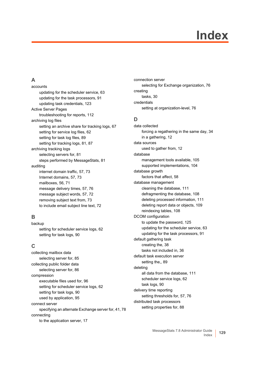# **Index**

### **A**

accounts [updating for the scheduler service, 63](#page-62-1) [updating for the task processors, 91](#page-90-0) [updating task credentials, 123](#page-122-0) Active Server Pages [troubleshooting for reports, 112](#page-111-0) archiving log files [setting an archive share for tracking logs, 67](#page-66-0) [setting for service log files, 62](#page-61-0) [setting for task log files, 89](#page-88-0) [setting for tracking logs, 81,](#page-80-0) [87](#page-86-0) archiving tracking logs [selecting servers for, 81](#page-80-1) [steps performed by MessageStats, 81](#page-80-2) auditing [internet domain traffic, 57,](#page-56-0) [73](#page-72-0) [Internet domains, 57,](#page-56-0) [73](#page-72-0) [mailboxes, 56,](#page-55-0) [71](#page-70-0) [message delivery times, 57,](#page-56-1) [76](#page-75-0) [message subject words, 57,](#page-56-2) [72](#page-71-0) [removing subject text from, 73](#page-72-1) [to include email subject line text, 72](#page-71-1)

### **B**

backup [setting for scheduler service logs, 62](#page-61-1) [setting for task logs, 90](#page-89-1)

### **C**

collecting mailbox data [selecting server for, 85](#page-84-0) collecting public folder data [selecting server for, 86](#page-85-0) compression [executable files used for, 96](#page-95-0) [setting for scheduler service logs, 62](#page-61-1) [setting for task logs, 90](#page-89-1) [used by application, 95](#page-94-0) connect server [specifying an alternate Exchange server for, 41,](#page-40-0) [78](#page-77-0) connecting [to the application server, 17](#page-16-0)

connection server [selecting for Exchange organization, 76](#page-75-1) creating [tasks, 30](#page-29-0) credentials [setting at organization-level, 76](#page-75-1)

### **D**

data collected [forcing a regathering in the same day, 34](#page-33-0) [in a gathering, 12](#page-11-0) data sources [used to gather from, 12](#page-11-1) database [management tools available, 105](#page-104-0) [supported implementations, 104](#page-103-0) database growth [factors that affect, 58](#page-57-0) database management [cleaning the database, 111](#page-110-1) [defragmenting the database, 108](#page-107-0) [deleting processed information, 111](#page-110-2) [deleting report data or objects, 109](#page-108-0) [reindexing tables, 108](#page-107-1) DCOM configuration [to update the password, 125](#page-124-2) [updating for the scheduler service, 63](#page-62-1) [updating for the task processors, 91](#page-90-0) default gathering task [creating the, 38](#page-37-0) [tasks not included in, 36](#page-35-0) default task execution server [setting the,, 89](#page-88-1) deleting [all data from the database, 111](#page-110-1) [scheduler service logs, 62](#page-61-1) [task logs, 90](#page-89-1) delivery time reporting [setting thresholds for, 57,](#page-56-1) [76](#page-75-0) distributed task processors [setting properties for, 88](#page-87-0)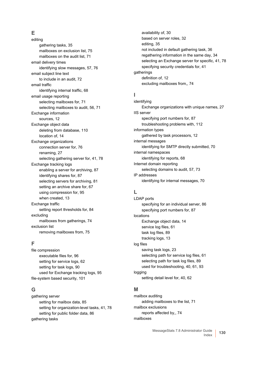### **E**

editing [gathering tasks, 35](#page-34-0) [mailboxes on exclusion list, 75](#page-74-0) [mailboxes on the audit list, 71](#page-70-1) email delivery times [identifying slow messages, 57,](#page-56-1) [76](#page-75-0) email subject line text [to include in an audit, 72](#page-71-1) email traffic [identifying internal traffic, 68](#page-67-0) email usage reporting [selecting mailboxes for, 71](#page-70-2) [selecting mailboxes to audit, 56,](#page-55-0) [71](#page-70-0) Exchange information [sources, 12](#page-11-1) Exchange object data [deleting from database, 110](#page-109-2) [location of, 14](#page-13-0) Exchange organizations [connection server for, 76](#page-75-1) [renaming, 27](#page-26-0) [selecting gathering server for, 41,](#page-40-0) [78](#page-77-0) Exchange tracking logs [enabling a server for archiving, 87](#page-86-0) [identifying shares for, 87](#page-86-1) [selecting servers for archiving, 81](#page-80-0) [setting an archive share for, 67](#page-66-0) [using compression for, 95](#page-94-0) [when created, 13](#page-12-0) Exchange traffic [setting report thresholds for, 84](#page-83-0) excluding [mailboxes from gatherings, 74](#page-73-0) exclusion list [removing mailboxes from, 75](#page-74-1)

### **F**

file compression [executable files for, 96](#page-95-0) [setting for service logs, 62](#page-61-1) [setting for task logs, 90](#page-89-1) [used for Exchange tracking logs, 95](#page-94-0) [file-system based security, 101](#page-100-0)

### **G**

gathering server [setting for mailbox data, 85](#page-84-0) [setting for organization-level tasks, 41,](#page-40-0) [78](#page-77-0) [setting for public folder data, 86](#page-85-0) gathering tasks

[availability of, 30](#page-29-1) [based on server roles, 32](#page-31-0) [editing, 35](#page-34-0) [not included in default gathering task, 36](#page-35-0) [regathering information in the same day, 34](#page-33-0) [selecting an Exchange server for specific, 41,](#page-40-0) [78](#page-77-0) [specifying security credentials for, 41](#page-40-1) gatherings [definition of, 12](#page-11-0) [excluding mailboxes from,, 74](#page-73-0)

### **I**

identifying [Exchange organizations with unique names, 27](#page-26-0) IIS server [specifying port numbers for, 87](#page-86-2) [troubleshooting problems with, 112](#page-111-0) information types [gathered by task processors, 12](#page-11-1) internal messages [identifying for SMTP directly submitted, 70](#page-69-0) internal namespaces [identifying for reports, 68](#page-67-0) Internet domain reporting [selecting domains to audit, 57,](#page-56-0) [73](#page-72-0) IP addresses [identifying for internal messages, 70](#page-69-0)

### **L**

LDAP ports [specifying for an individual server, 86](#page-85-1) [specifying port numbers for, 87](#page-86-2) locations [Exchange object data, 14](#page-13-0) [service log files, 61](#page-60-0) [task log files, 89](#page-88-2) [tracking logs, 13](#page-12-1) log files [saving task logs, 23](#page-22-0) [selecting path for service log files, 61](#page-60-1) [selecting path for task log files, 89](#page-88-2) [used for troubleshooting, 40,](#page-39-0) [61,](#page-60-0) [93](#page-92-0) logging [setting detail level for, 40,](#page-39-1) [62](#page-61-2)

### **M**

mailbox auditing [adding mailboxes to the list, 71](#page-70-2) mailbox exclusions [reports affected by,, 74](#page-73-1) mailboxes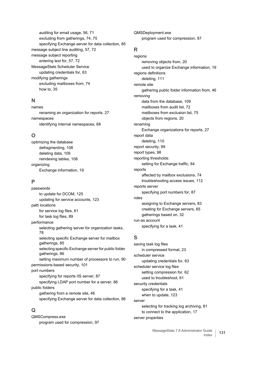[auditing for email usage, 56,](#page-55-0) [71](#page-70-0) [excluding from gatherings, 74,](#page-73-2) [75](#page-74-0) [specifying Exchange server for data collection, 85](#page-84-0) [message subject line auditing, 57,](#page-56-2) [72](#page-71-0) message subject reporting [entering text for, 57,](#page-56-2) [72](#page-71-0) MessageStats Scheduler Service [updating credentials for, 63](#page-62-1) modifying gatherings [excluding mailboxes from, 74](#page-73-2) [how to, 35](#page-34-0)

### **N**

names [renaming an organization for reports, 27](#page-26-0) namespaces [identifying internal namespaces, 68](#page-67-0)

### **O**

optimizing the database [defragmenting, 108](#page-107-0) [deleting data, 109](#page-108-0) [reindexing tables, 108](#page-107-1) organizing [Exchange information, 19](#page-18-0)

### **P**

passwords [to update for DCOM, 125](#page-124-2) [updating for service accounts, 123](#page-122-0) path locations [for service log files, 61](#page-60-1) [for task log files, 89](#page-88-2) performance [selecting gathering server for organization tasks,](#page-77-1)  78 [selecting specific Exchange server for mailbox](#page-84-0)  gatherings, 85 [selecting specific Exchange server for public folder](#page-85-0)  gatherings, 86 [setting maximum number of processors to run, 90](#page-89-2) [permissions-based security, 101](#page-100-0) port numbers [specifying for reports IIS server, 87](#page-86-2) [specifying LDAP port number for a server, 86](#page-85-1) public folders [gathering from a remote site, 46](#page-45-0) [specifying Exchange server for data collection, 86](#page-85-0)

### **Q**

QMSCompress.exe [program used for compression, 97](#page-96-0) QMSDeployment.exe [program used for compression, 97](#page-96-1)

### **R**

regions [removing objects from, 20](#page-19-0) [used to organize Exchange information, 19](#page-18-0) regions definitions [deleting, 111](#page-110-2) remote site [gathering public folder information from, 46](#page-45-0) removing [data from the database, 109](#page-108-0) [mailboxes from audit list, 72](#page-71-2) [mailboxes from exclusion list, 75](#page-74-1) [objects from regions, 20](#page-19-0) renaming [Exchange organizations for reports, 27](#page-26-0) report data [deleting, 110](#page-109-3) [report security, 99](#page-98-0) [report types, 98](#page-97-0) reporting thresholds [setting for Exchange traffic, 84](#page-83-0) reports [affected by mailbox exclusions, 74](#page-73-1) [troubleshooting access issues, 112](#page-111-0) reports server [specifying port numbers for, 87](#page-86-2) roles [assigning to Exchange servers, 83](#page-82-0) [creating for Exchange servers, 65](#page-64-0) [gatherings based on, 32](#page-31-0) run-as account [specifying for a task, 41](#page-40-1)

### **S**

saving task log files [in compressed format, 23](#page-22-0) scheduler service [updating credentials for, 63](#page-62-1) scheduler service log files [setting compression for, 62](#page-61-1) [used to troubleshoot, 61](#page-60-0) security credentials [specifying for a task, 41](#page-40-1) [when to update, 123](#page-122-0) server [selecting for tracking log archiving, 81](#page-80-1) [to connect to the application, 17](#page-16-0) server properties

> MessageStats 7.8 Administrator Guide  $\frac{UU}{U}$  131